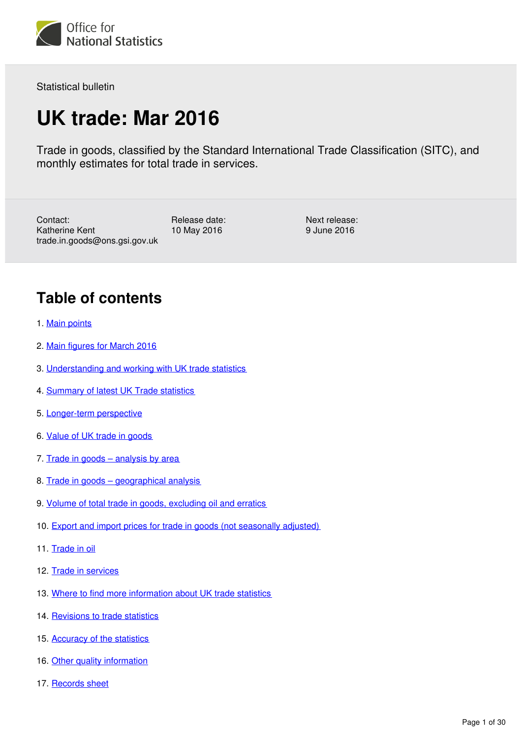

Statistical bulletin

# **UK trade: Mar 2016**

Trade in goods, classified by the Standard International Trade Classification (SITC), and monthly estimates for total trade in services.

Contact: Katherine Kent trade.in.goods@ons.gsi.gov.uk

Release date: 10 May 2016

Next release: 9 June 2016

# **Table of contents**

- 1. [Main points](#page-2-0)
- 2. [Main figures for March 2016](#page-2-1)
- 3. [Understanding and working with UK trade statistics](#page-3-0)
- 4. [Summary of latest UK Trade statistics](#page-6-0)
- 5. [Longer-term perspective](#page-8-0)
- 6. [Value of UK trade in goods](#page-10-0)
- 7. [Trade in goods analysis by area](#page-13-0)
- 8. [Trade in goods geographical analysis](#page-16-0)
- 9. [Volume of total trade in goods, excluding oil and erratics](#page-19-0)
- 10. [Export and import prices for trade in goods \(not seasonally adjusted\)](#page-20-0)
- 11. [Trade in oil](#page-21-0)
- 12. [Trade in services](#page-22-0)
- 13. [Where to find more information about UK trade statistics](#page-24-0)
- 14. [Revisions to trade statistics](#page-26-0)
- 15. [Accuracy of the statistics](#page-26-1)
- 16. [Other quality information](#page-27-0)
- 17. [Records sheet](#page-29-0)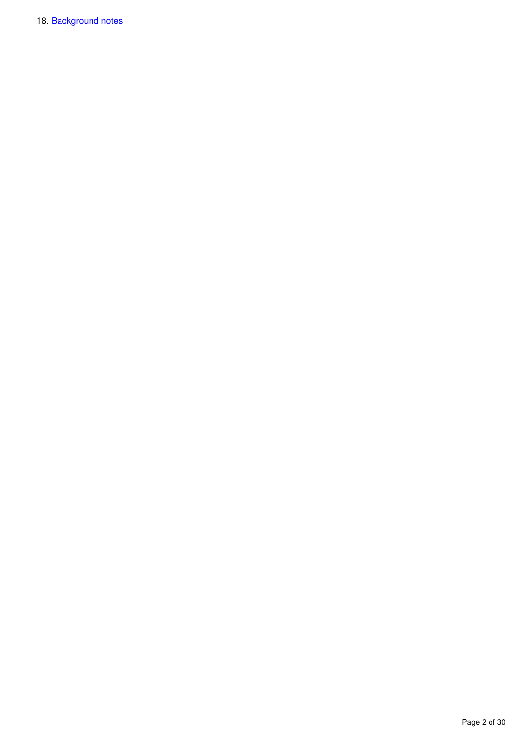18. [Background notes](#page-29-1)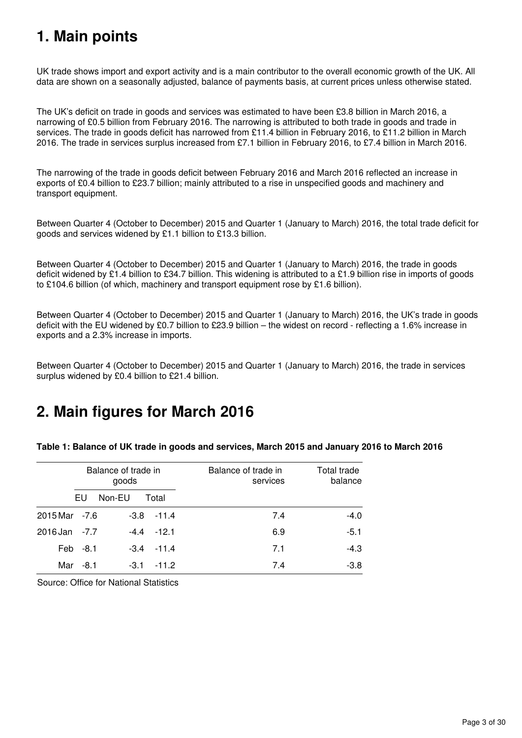# <span id="page-2-0"></span>**1. Main points**

UK trade shows import and export activity and is a main contributor to the overall economic growth of the UK. All data are shown on a seasonally adjusted, balance of payments basis, at current prices unless otherwise stated.

The UK's deficit on trade in goods and services was estimated to have been £3.8 billion in March 2016, a narrowing of £0.5 billion from February 2016. The narrowing is attributed to both trade in goods and trade in services. The trade in goods deficit has narrowed from £11.4 billion in February 2016, to £11.2 billion in March 2016. The trade in services surplus increased from £7.1 billion in February 2016, to £7.4 billion in March 2016.

The narrowing of the trade in goods deficit between February 2016 and March 2016 reflected an increase in exports of £0.4 billion to £23.7 billion; mainly attributed to a rise in unspecified goods and machinery and transport equipment.

Between Quarter 4 (October to December) 2015 and Quarter 1 (January to March) 2016, the total trade deficit for goods and services widened by £1.1 billion to £13.3 billion.

Between Quarter 4 (October to December) 2015 and Quarter 1 (January to March) 2016, the trade in goods deficit widened by £1.4 billion to £34.7 billion. This widening is attributed to a £1.9 billion rise in imports of goods to £104.6 billion (of which, machinery and transport equipment rose by £1.6 billion).

Between Quarter 4 (October to December) 2015 and Quarter 1 (January to March) 2016, the UK's trade in goods deficit with the EU widened by £0.7 billion to £23.9 billion – the widest on record - reflecting a 1.6% increase in exports and a 2.3% increase in imports.

Between Quarter 4 (October to December) 2015 and Quarter 1 (January to March) 2016, the trade in services surplus widened by £0.4 billion to £21.4 billion.

# <span id="page-2-1"></span>**2. Main figures for March 2016**

|                   |        | Balance of trade in<br>goods |               | Balance of trade in<br>services | Total trade<br>balance |
|-------------------|--------|------------------------------|---------------|---------------------------------|------------------------|
|                   | EU     | Non-EU                       | Total         |                                 |                        |
| $2015$ Mar $-7.6$ |        | $-3.8$                       | $-11.4$       | 7.4                             | $-4.0$                 |
| $2016$ Jan $-7.7$ |        |                              | $-4.4 - 12.1$ | 6.9                             | $-5.1$                 |
| Feb               | -8.1   | -3.4                         | $-11.4$       | 7.1                             | $-4.3$                 |
| Mar               | $-8.1$ | -3.1                         | $-11.2$       | 7.4                             | $-3.8$                 |

**Table 1: Balance of UK trade in goods and services, March 2015 and January 2016 to March 2016**

Source: Office for National Statistics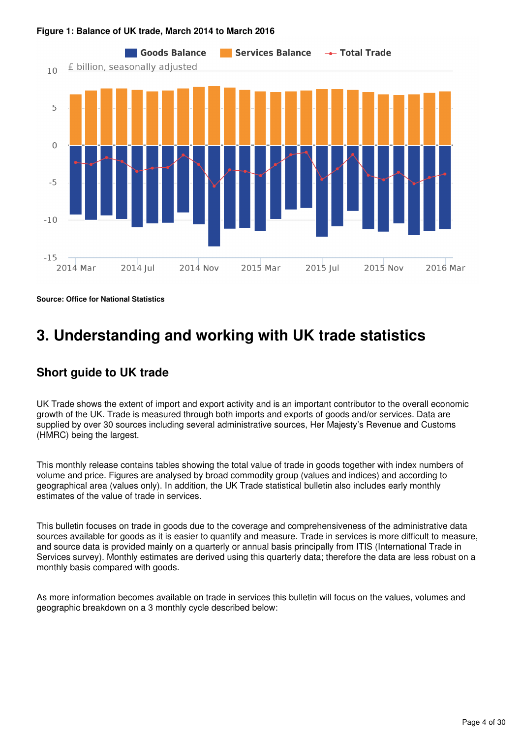

### **Figure 1: Balance of UK trade, March 2014 to March 2016**

**Source: Office for National Statistics**

# <span id="page-3-0"></span>**3. Understanding and working with UK trade statistics**

## **Short guide to UK trade**

UK Trade shows the extent of import and export activity and is an important contributor to the overall economic growth of the UK. Trade is measured through both imports and exports of goods and/or services. Data are supplied by over 30 sources including several administrative sources, Her Majesty's Revenue and Customs (HMRC) being the largest.

This monthly release contains tables showing the total value of trade in goods together with index numbers of volume and price. Figures are analysed by broad commodity group (values and indices) and according to geographical area (values only). In addition, the UK Trade statistical bulletin also includes early monthly estimates of the value of trade in services.

This bulletin focuses on trade in goods due to the coverage and comprehensiveness of the administrative data sources available for goods as it is easier to quantify and measure. Trade in services is more difficult to measure, and source data is provided mainly on a quarterly or annual basis principally from ITIS (International Trade in Services survey). Monthly estimates are derived using this quarterly data; therefore the data are less robust on a monthly basis compared with goods.

As more information becomes available on trade in services this bulletin will focus on the values, volumes and geographic breakdown on a 3 monthly cycle described below: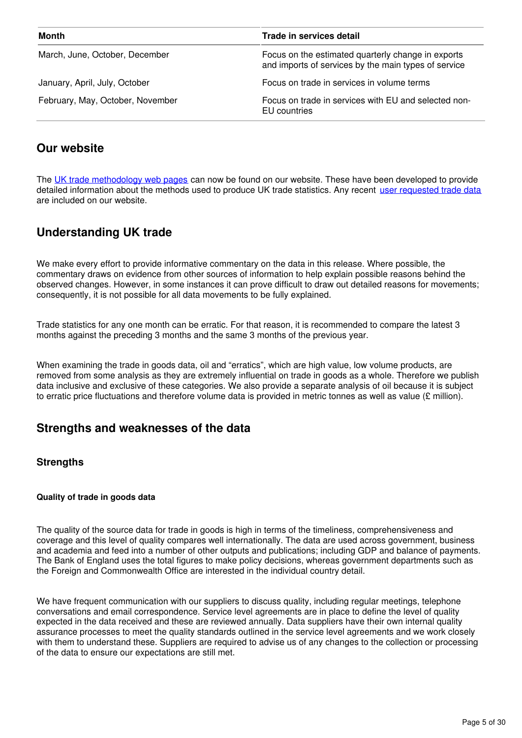| Month                            | Trade in services detail                                                                                   |  |  |  |  |  |
|----------------------------------|------------------------------------------------------------------------------------------------------------|--|--|--|--|--|
| March, June, October, December   | Focus on the estimated quarterly change in exports<br>and imports of services by the main types of service |  |  |  |  |  |
| January, April, July, October    | Focus on trade in services in volume terms                                                                 |  |  |  |  |  |
| February, May, October, November | Focus on trade in services with EU and selected non-<br>EU countries                                       |  |  |  |  |  |

## **Our website**

The [UK trade methodology web pages](http://www.ons.gov.uk/economy/nationalaccounts/balanceofpayments/methodologies/uktrade) can now be found on our website. These have been developed to provide detailed information about the methods used to produce UK trade statistics. Any recent [user requested trade data](https://www.ons.gov.uk/search?q=uk%20trade&sortBy=relevance&filter=user_requested_data&q=uk%20trade) are included on our website.

# **Understanding UK trade**

We make every effort to provide informative commentary on the data in this release. Where possible, the commentary draws on evidence from other sources of information to help explain possible reasons behind the observed changes. However, in some instances it can prove difficult to draw out detailed reasons for movements; consequently, it is not possible for all data movements to be fully explained.

Trade statistics for any one month can be erratic. For that reason, it is recommended to compare the latest 3 months against the preceding 3 months and the same 3 months of the previous year.

When examining the trade in goods data, oil and "erratics", which are high value, low volume products, are removed from some analysis as they are extremely influential on trade in goods as a whole. Therefore we publish data inclusive and exclusive of these categories. We also provide a separate analysis of oil because it is subject to erratic price fluctuations and therefore volume data is provided in metric tonnes as well as value ( $\epsilon$  million).

## **Strengths and weaknesses of the data**

### **Strengths**

### **Quality of trade in goods data**

The quality of the source data for trade in goods is high in terms of the timeliness, comprehensiveness and coverage and this level of quality compares well internationally. The data are used across government, business and academia and feed into a number of other outputs and publications; including GDP and balance of payments. The Bank of England uses the total figures to make policy decisions, whereas government departments such as the Foreign and Commonwealth Office are interested in the individual country detail.

We have frequent communication with our suppliers to discuss quality, including regular meetings, telephone conversations and email correspondence. Service level agreements are in place to define the level of quality expected in the data received and these are reviewed annually. Data suppliers have their own internal quality assurance processes to meet the quality standards outlined in the service level agreements and we work closely with them to understand these. Suppliers are required to advise us of any changes to the collection or processing of the data to ensure our expectations are still met.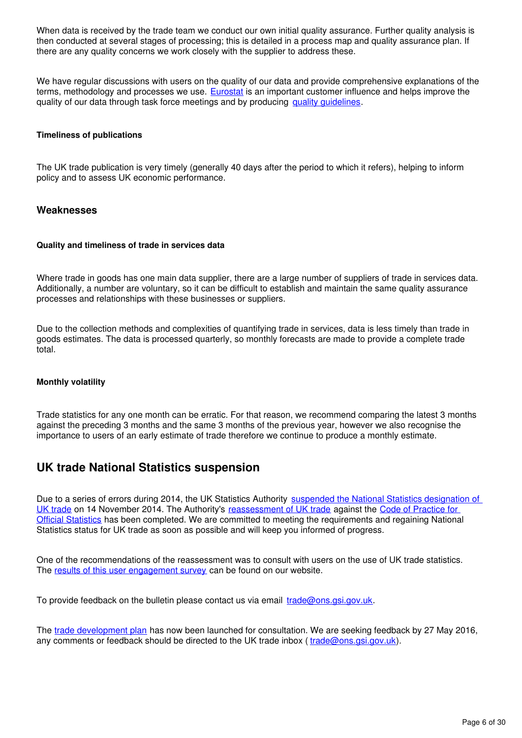When data is received by the trade team we conduct our own initial quality assurance. Further quality analysis is then conducted at several stages of processing; this is detailed in a process map and quality assurance plan. If there are any quality concerns we work closely with the supplier to address these.

We have regular discussions with users on the quality of our data and provide comprehensive explanations of the terms, methodology and processes we use. **[Eurostat](http://ec.europa.eu/eurostat)** is an important customer influence and helps improve the quality of our data through task force meetings and by producing quality quidelines[.](http://ec.europa.eu/eurostat/documents/3888793/6182577/KS-TC-14-009-EN-N.pdf/fc46caf3-5c6d-4359-af64-af0a0952e231)

#### **Timeliness of publications**

The UK trade publication is very timely (generally 40 days after the period to which it refers), helping to inform policy and to assess UK economic performance.

### **Weaknesses**

#### **Quality and timeliness of trade in services data**

Where trade in goods has one main data supplier, there are a large number of suppliers of trade in services data. Additionally, a number are voluntary, so it can be difficult to establish and maintain the same quality assurance processes and relationships with these businesses or suppliers.

Due to the collection methods and complexities of quantifying trade in services, data is less timely than trade in goods estimates. The data is processed quarterly, so monthly forecasts are made to provide a complete trade total.

#### **Monthly volatility**

Trade statistics for any one month can be erratic. For that reason, we recommend comparing the latest 3 months against the preceding 3 months and the same 3 months of the previous year, however we also recognise the importance to users of an early estimate of trade therefore we continue to produce a monthly estimate.

### **UK trade National Statistics suspension**

Due to a series of errors during 2014, the UK Statistics Authority [suspended the National Statistics designation of](http://www.statisticsauthority.gov.uk/reports---correspondence/correspondence/letter-from-sir-andrew-dilnot-to-john-pullinger-141114.pdf)  [UK trade](http://www.statisticsauthority.gov.uk/reports---correspondence/correspondence/letter-from-sir-andrew-dilnot-to-john-pullinger-141114.pdf) on 14 November 2014. The Authority's [reassessment of UK trade](https://www.statisticsauthority.gov.uk/publication/statistics-on-uk-trade/) against the Code of Practice for [Official Statistics](https://www.statisticsauthority.gov.uk/monitoring-and-assessment/code-of-practice/) has been completed. We are committed to meeting the requirements and regaining National Statistics status for UK trade as soon as possible and will keep you informed of progress.

One of the recommendations of the reassessment was to consult with users on the use of UK trade statistics. The [results of this user engagement survey](http://www.ons.gov.uk/ons/about-ons/get-involved/consultations-and-user-surveys/consultations/uk-trade-survey/feedback-from-consultations-on-ons-uk-trade-outputs.doc) can be found on our website.

To provide feedback on the bulletin please contact us via email  $\text{trade@ons.}\text{asi.gov.uk.}$ 

The [trade development plan](https://www.ons.gov.uk/economy/nationalaccounts/balanceofpayments/articles/uktradedevelopmentplan/2016) has now been launched for consultation. We are seeking feedback by 27 May 2016, any comments or feedback should be directed to the UK trade inbox ( $\text{trade@ons.}\$ gsi.gov.uk).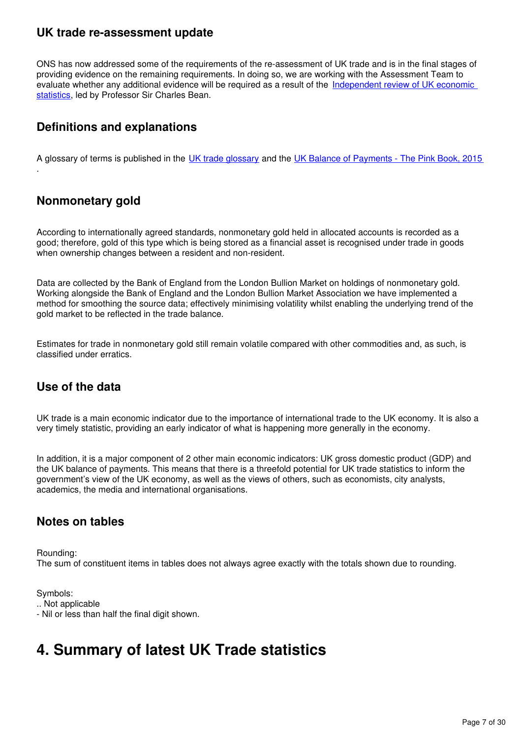### **UK trade re-assessment update**

ONS has now addressed some of the requirements of the re-assessment of UK trade and is in the final stages of providing evidence on the remaining requirements. In doing so, we are working with the Assessment Team to evaluate whether any additional evidence will be required as a result of the [Independent review of UK economic](https://www.gov.uk/government/publications/independent-review-of-uk-economic-statistics-final-report)  [statistics,](https://www.gov.uk/government/publications/independent-review-of-uk-economic-statistics-final-report) led by Professor Sir Charles Bean.

# **Definitions and explanations**

A glossary of terms is published in the [UK trade glossary](http://webarchive.nationalarchives.gov.uk/20160204094749/http:/ons.gov.uk/ons/guide-method/method-quality/specific/economy/uk-trade/index.html) and the [UK Balance of Payments - The Pink Book, 2015](https://www.ons.gov.uk/economy/nationalaccounts/balanceofpayments/compendium/unitedkingdombalanceofpaymentsthepinkbook/2015-10-30)

## **Nonmonetary gold**

.

According to internationally agreed standards, nonmonetary gold held in allocated accounts is recorded as a good; therefore, gold of this type which is being stored as a financial asset is recognised under trade in goods when ownership changes between a resident and non-resident.

Data are collected by the Bank of England from the London Bullion Market on holdings of nonmonetary gold. Working alongside the Bank of England and the London Bullion Market Association we have implemented a method for smoothing the source data; effectively minimising volatility whilst enabling the underlying trend of the gold market to be reflected in the trade balance.

Estimates for trade in nonmonetary gold still remain volatile compared with other commodities and, as such, is classified under erratics.

## **Use of the data**

UK trade is a main economic indicator due to the importance of international trade to the UK economy. It is also a very timely statistic, providing an early indicator of what is happening more generally in the economy.

In addition, it is a major component of 2 other main economic indicators: UK gross domestic product (GDP) and the UK balance of payments. This means that there is a threefold potential for UK trade statistics to inform the government's view of the UK economy, as well as the views of others, such as economists, city analysts, academics, the media and international organisations.

### **Notes on tables**

Rounding: The sum of constituent items in tables does not always agree exactly with the totals shown due to rounding.

Symbols: .. Not applicable - Nil or less than half the final digit shown.

# <span id="page-6-0"></span>**4. Summary of latest UK Trade statistics**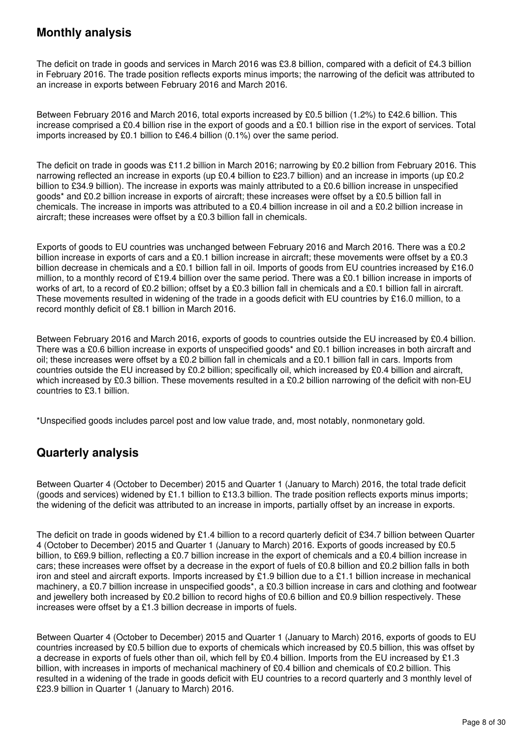# **Monthly analysis**

The deficit on trade in goods and services in March 2016 was £3.8 billion, compared with a deficit of £4.3 billion in February 2016. The trade position reflects exports minus imports; the narrowing of the deficit was attributed to an increase in exports between February 2016 and March 2016.

Between February 2016 and March 2016, total exports increased by £0.5 billion (1.2%) to £42.6 billion. This increase comprised a £0.4 billion rise in the export of goods and a £0.1 billion rise in the export of services. Total imports increased by £0.1 billion to £46.4 billion (0.1%) over the same period.

The deficit on trade in goods was £11.2 billion in March 2016; narrowing by £0.2 billion from February 2016. This narrowing reflected an increase in exports (up £0.4 billion to £23.7 billion) and an increase in imports (up £0.2 billion to £34.9 billion). The increase in exports was mainly attributed to a £0.6 billion increase in unspecified goods\* and £0.2 billion increase in exports of aircraft; these increases were offset by a £0.5 billion fall in chemicals. The increase in imports was attributed to a £0.4 billion increase in oil and a £0.2 billion increase in aircraft; these increases were offset by a £0.3 billion fall in chemicals.

Exports of goods to EU countries was unchanged between February 2016 and March 2016. There was a £0.2 billion increase in exports of cars and a £0.1 billion increase in aircraft; these movements were offset by a £0.3 billion decrease in chemicals and a £0.1 billion fall in oil. Imports of goods from EU countries increased by £16.0 million, to a monthly record of £19.4 billion over the same period. There was a £0.1 billion increase in imports of works of art, to a record of £0.2 billion; offset by a £0.3 billion fall in chemicals and a £0.1 billion fall in aircraft. These movements resulted in widening of the trade in a goods deficit with EU countries by £16.0 million, to a record monthly deficit of £8.1 billion in March 2016.

Between February 2016 and March 2016, exports of goods to countries outside the EU increased by £0.4 billion. There was a £0.6 billion increase in exports of unspecified goods\* and £0.1 billion increases in both aircraft and oil; these increases were offset by a £0.2 billion fall in chemicals and a £0.1 billion fall in cars. Imports from countries outside the EU increased by £0.2 billion; specifically oil, which increased by £0.4 billion and aircraft, which increased by £0.3 billion. These movements resulted in a £0.2 billion narrowing of the deficit with non-EU countries to £3.1 billion.

\*Unspecified goods includes parcel post and low value trade, and, most notably, nonmonetary gold.

# **Quarterly analysis**

Between Quarter 4 (October to December) 2015 and Quarter 1 (January to March) 2016, the total trade deficit (goods and services) widened by £1.1 billion to £13.3 billion. The trade position reflects exports minus imports; the widening of the deficit was attributed to an increase in imports, partially offset by an increase in exports.

The deficit on trade in goods widened by £1.4 billion to a record quarterly deficit of £34.7 billion between Quarter 4 (October to December) 2015 and Quarter 1 (January to March) 2016. Exports of goods increased by £0.5 billion, to £69.9 billion, reflecting a £0.7 billion increase in the export of chemicals and a £0.4 billion increase in cars; these increases were offset by a decrease in the export of fuels of £0.8 billion and £0.2 billion falls in both iron and steel and aircraft exports. Imports increased by £1.9 billion due to a £1.1 billion increase in mechanical machinery, a £0.7 billion increase in unspecified goods\*, a £0.3 billion increase in cars and clothing and footwear and jewellery both increased by £0.2 billion to record highs of £0.6 billion and £0.9 billion respectively. These increases were offset by a £1.3 billion decrease in imports of fuels.

Between Quarter 4 (October to December) 2015 and Quarter 1 (January to March) 2016, exports of goods to EU countries increased by £0.5 billion due to exports of chemicals which increased by £0.5 billion, this was offset by a decrease in exports of fuels other than oil, which fell by £0.4 billion. Imports from the EU increased by £1.3 billion, with increases in imports of mechanical machinery of £0.4 billion and chemicals of £0.2 billion. This resulted in a widening of the trade in goods deficit with EU countries to a record quarterly and 3 monthly level of £23.9 billion in Quarter 1 (January to March) 2016.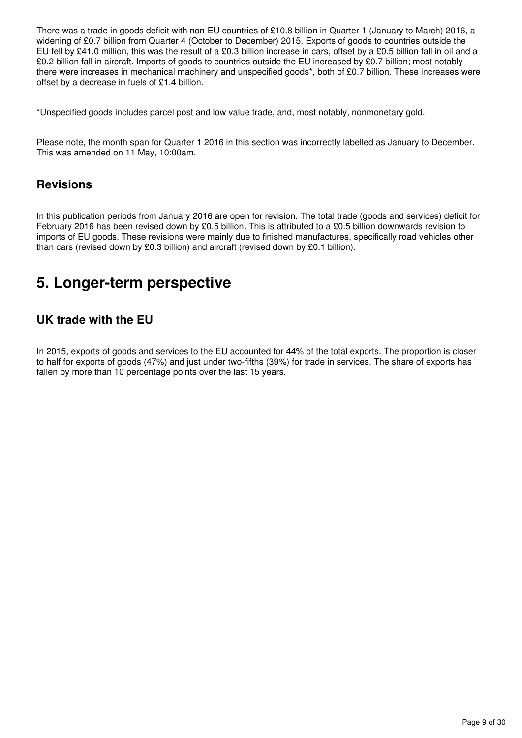There was a trade in goods deficit with non-EU countries of £10.8 billion in Quarter 1 (January to March) 2016, a widening of £0.7 billion from Quarter 4 (October to December) 2015. Exports of goods to countries outside the EU fell by £41.0 million, this was the result of a £0.3 billion increase in cars, offset by a £0.5 billion fall in oil and a £0.2 billion fall in aircraft. Imports of goods to countries outside the EU increased by £0.7 billion; most notably there were increases in mechanical machinery and unspecified goods\*, both of £0.7 billion. These increases were offset by a decrease in fuels of £1.4 billion.

\*Unspecified goods includes parcel post and low value trade, and, most notably, nonmonetary gold.

Please note, the month span for Quarter 1 2016 in this section was incorrectly labelled as January to December. This was amended on 11 May, 10:00am.

### **Revisions**

In this publication periods from January 2016 are open for revision. The total trade (goods and services) deficit for February 2016 has been revised down by £0.5 billion. This is attributed to a £0.5 billion downwards revision to imports of EU goods. These revisions were mainly due to finished manufactures, specifically road vehicles other than cars (revised down by £0.3 billion) and aircraft (revised down by £0.1 billion).

# <span id="page-8-0"></span>**5. Longer-term perspective**

## **UK trade with the EU**

In 2015, exports of goods and services to the EU accounted for 44% of the total exports. The proportion is closer to half for exports of goods (47%) and just under two-fifths (39%) for trade in services. The share of exports has fallen by more than 10 percentage points over the last 15 years.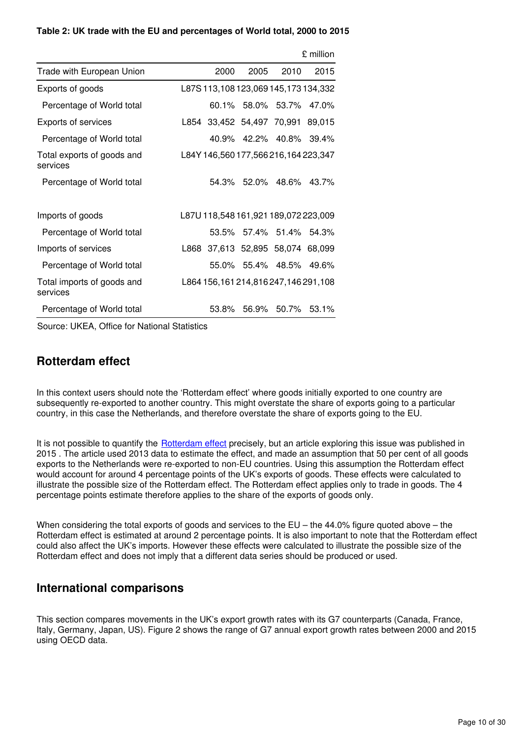#### **Table 2: UK trade with the EU and percentages of World total, 2000 to 2015**

|                                        |      |      |                                      | £ million |
|----------------------------------------|------|------|--------------------------------------|-----------|
| Trade with European Union              | 2000 | 2005 | 2010                                 | 2015      |
| Exports of goods                       |      |      | L87S 113,108 123,069 145,173 134,332 |           |
| Percentage of World total              |      |      | 60.1% 58.0% 53.7%                    | $47.0\%$  |
| <b>Exports of services</b>             |      |      | L854 33,452 54,497 70,991            | 89,015    |
| Percentage of World total              |      |      | 40.9% 42.2% 40.8%                    | 39.4%     |
| Total exports of goods and<br>services |      |      | L84Y 146,560 177,566 216,164 223,347 |           |
| Percentage of World total              |      |      | 54.3% 52.0% 48.6% 43.7%              |           |
| Imports of goods                       |      |      | L87U 118,548 161,921 189,072 223,009 |           |
| Percentage of World total              |      |      | 53.5% 57.4% 51.4% 54.3%              |           |
| Imports of services                    |      |      | L868 37,613 52,895 58,074 68,099     |           |
| Percentage of World total              |      |      | 55.0% 55.4% 48.5% 49.6%              |           |
| Total imports of goods and<br>services |      |      | L864 156,161 214,816 247,146 291,108 |           |
| Percentage of World total              |      |      | 53.8% 56.9% 50.7%                    | 53.1%     |

Source: UKEA, Office for National Statistics

### **Rotterdam effect**

In this context users should note the 'Rotterdam effect' where goods initially exported to one country are subsequently re-exported to another country. This might overstate the share of exports going to a particular country, in this case the Netherlands, and therefore overstate the share of exports going to the EU.

It is not possible to quantify the **[Rotterdam effect](http://webarchive.nationalarchives.gov.uk/20160105160709/http:/www.ons.gov.uk/ons/rel/uktrade/uk-trade/december-2014/sty-trade-rotterdam-effect-.html)** precisely, but an article exploring this issue was published in 2015 . The article used 2013 data to estimate the effect, and made an assumption that 50 per cent of all goods exports to the Netherlands were re-exported to non-EU countries. Using this assumption the Rotterdam effect would account for around 4 percentage points of the UK's exports of goods. These effects were calculated to illustrate the possible size of the Rotterdam effect. The Rotterdam effect applies only to trade in goods. The 4 percentage points estimate therefore applies to the share of the exports of goods only.

When considering the total exports of goods and services to the  $EU$  – the 44.0% figure quoted above – the Rotterdam effect is estimated at around 2 percentage points. It is also important to note that the Rotterdam effect could also affect the UK's imports. However these effects were calculated to illustrate the possible size of the Rotterdam effect and does not imply that a different data series should be produced or used.

### **International comparisons**

This section compares movements in the UK's export growth rates with its G7 counterparts (Canada, France, Italy, Germany, Japan, US). Figure 2 shows the range of G7 annual export growth rates between 2000 and 2015 using OECD data.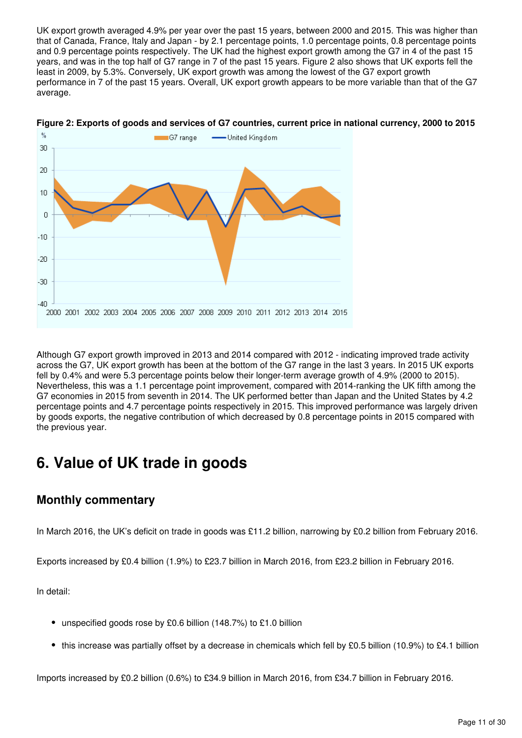UK export growth averaged 4.9% per year over the past 15 years, between 2000 and 2015. This was higher than that of Canada, France, Italy and Japan - by 2.1 percentage points, 1.0 percentage points, 0.8 percentage points and 0.9 percentage points respectively. The UK had the highest export growth among the G7 in 4 of the past 15 years, and was in the top half of G7 range in 7 of the past 15 years. Figure 2 also shows that UK exports fell the least in 2009, by 5.3%. Conversely, UK export growth was among the lowest of the G7 export growth performance in 7 of the past 15 years. Overall, UK export growth appears to be more variable than that of the G7 average.



#### **Figure 2: Exports of goods and services of G7 countries, current price in national currency, 2000 to 2015**

Although G7 export growth improved in 2013 and 2014 compared with 2012 - indicating improved trade activity across the G7, UK export growth has been at the bottom of the G7 range in the last 3 years. In 2015 UK exports fell by 0.4% and were 5.3 percentage points below their longer-term average growth of 4.9% (2000 to 2015). Nevertheless, this was a 1.1 percentage point improvement, compared with 2014-ranking the UK fifth among the G7 economies in 2015 from seventh in 2014. The UK performed better than Japan and the United States by 4.2 percentage points and 4.7 percentage points respectively in 2015. This improved performance was largely driven by goods exports, the negative contribution of which decreased by 0.8 percentage points in 2015 compared with the previous year.

# <span id="page-10-0"></span>**6. Value of UK trade in goods**

## **Monthly commentary**

In March 2016, the UK's deficit on trade in goods was £11.2 billion, narrowing by £0.2 billion from February 2016.

Exports increased by £0.4 billion (1.9%) to £23.7 billion in March 2016, from £23.2 billion in February 2016.

In detail:

- unspecified goods rose by £0.6 billion (148.7%) to £1.0 billion
- this increase was partially offset by a decrease in chemicals which fell by £0.5 billion (10.9%) to £4.1 billion

Imports increased by £0.2 billion (0.6%) to £34.9 billion in March 2016, from £34.7 billion in February 2016.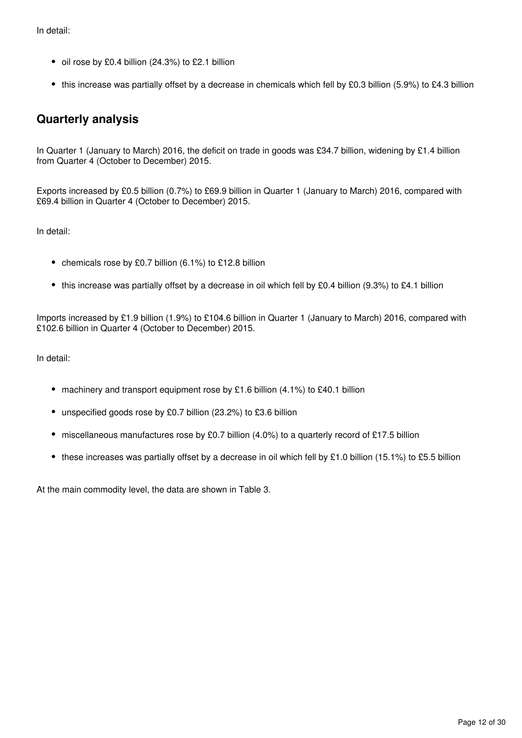In detail:

- oil rose by £0.4 billion (24.3%) to £2.1 billion
- this increase was partially offset by a decrease in chemicals which fell by £0.3 billion (5.9%) to £4.3 billion

## **Quarterly analysis**

In Quarter 1 (January to March) 2016, the deficit on trade in goods was £34.7 billion, widening by £1.4 billion from Quarter 4 (October to December) 2015.

Exports increased by £0.5 billion (0.7%) to £69.9 billion in Quarter 1 (January to March) 2016, compared with £69.4 billion in Quarter 4 (October to December) 2015.

In detail:

- chemicals rose by £0.7 billion (6.1%) to £12.8 billion
- this increase was partially offset by a decrease in oil which fell by £0.4 billion (9.3%) to £4.1 billion

Imports increased by £1.9 billion (1.9%) to £104.6 billion in Quarter 1 (January to March) 2016, compared with £102.6 billion in Quarter 4 (October to December) 2015.

In detail:

- machinery and transport equipment rose by £1.6 billion (4.1%) to £40.1 billion
- unspecified goods rose by £0.7 billion (23.2%) to £3.6 billion
- miscellaneous manufactures rose by £0.7 billion (4.0%) to a quarterly record of £17.5 billion
- $\bullet$  these increases was partially offset by a decrease in oil which fell by £1.0 billion (15.1%) to £5.5 billion

At the main commodity level, the data are shown in Table 3.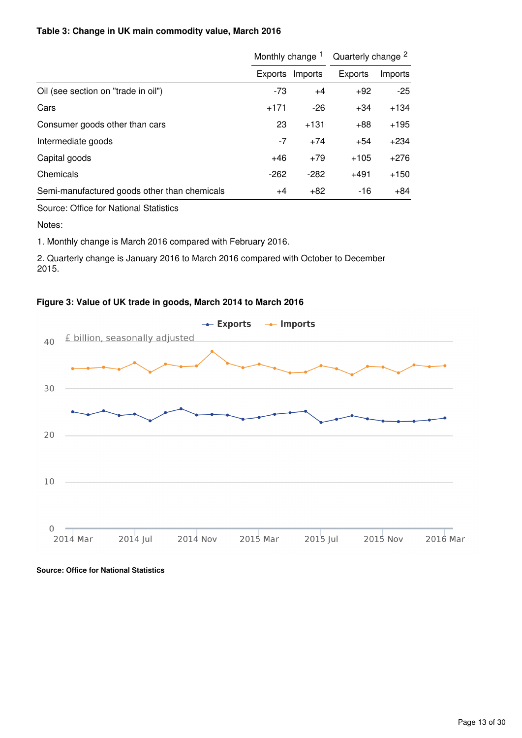### **Table 3: Change in UK main commodity value, March 2016**

|                                              | Monthly change <sup>1</sup> |         | Quarterly change <sup>2</sup> |         |  |
|----------------------------------------------|-----------------------------|---------|-------------------------------|---------|--|
|                                              | Exports                     | Imports | <b>Exports</b>                | Imports |  |
| Oil (see section on "trade in oil")          | $-73$                       | $+4$    | $+92$                         | $-25$   |  |
| Cars                                         | $+171$                      | $-26$   | $+34$                         | $+134$  |  |
| Consumer goods other than cars               | 23                          | $+131$  | $+88$                         | $+195$  |  |
| Intermediate goods                           | -7                          | $+74$   | $+54$                         | $+234$  |  |
| Capital goods                                | $+46$                       | $+79$   | $+105$                        | $+276$  |  |
| Chemicals                                    | $-262$                      | $-282$  | +491                          | $+150$  |  |
| Semi-manufactured goods other than chemicals | $+4$                        | $+82$   | $-16$                         | $+84$   |  |

Source: Office for National Statistics

Notes:

1. Monthly change is March 2016 compared with February 2016.

2. Quarterly change is January 2016 to March 2016 compared with October to December 2015.

### **Figure 3: Value of UK trade in goods, March 2014 to March 2016**



**Source: Office for National Statistics**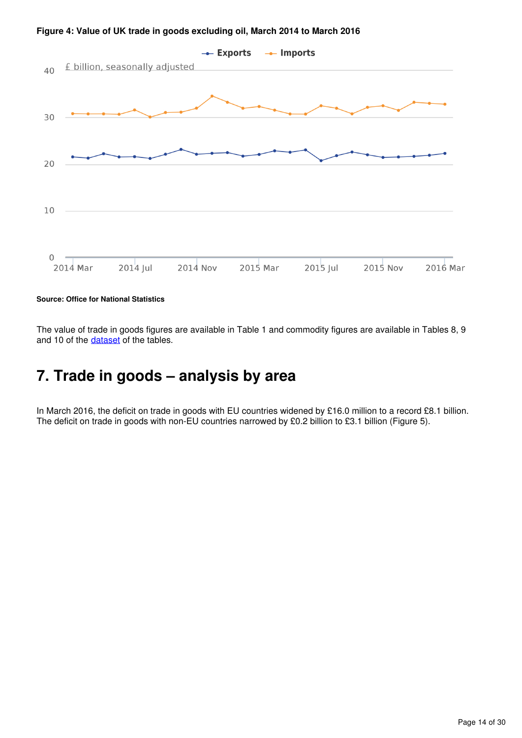

**Figure 4: Value of UK trade in goods excluding oil, March 2014 to March 2016**

**Source: Office for National Statistics**

The value of trade in goods figures are available in Table 1 and commodity figures are available in Tables 8, 9 and 10 of the dataset of the tables.

# <span id="page-13-0"></span>**7. Trade in goods – analysis by area**

In March 2016, the deficit on trade in goods with EU countries widened by £16.0 million to a record £8.1 billion. The deficit on trade in goods with non-EU countries narrowed by £0.2 billion to £3.1 billion (Figure 5).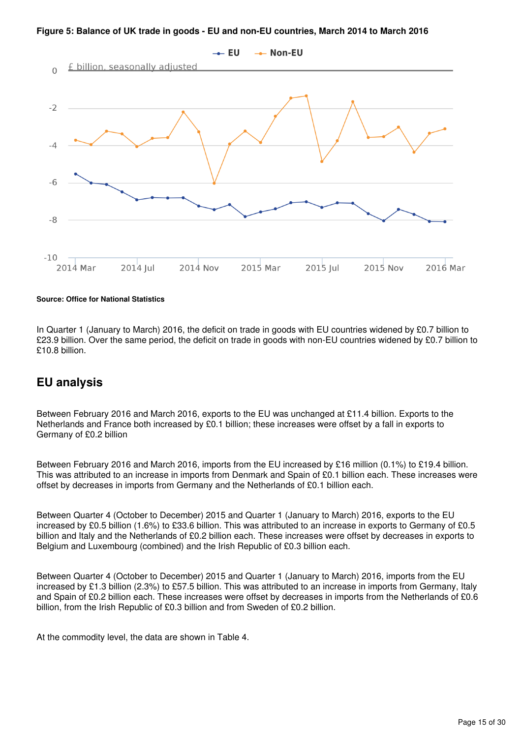**Figure 5: Balance of UK trade in goods - EU and non-EU countries, March 2014 to March 2016**



**Source: Office for National Statistics**

In Quarter 1 (January to March) 2016, the deficit on trade in goods with EU countries widened by £0.7 billion to £23.9 billion. Over the same period, the deficit on trade in goods with non-EU countries widened by £0.7 billion to £10.8 billion.

## **EU analysis**

Between February 2016 and March 2016, exports to the EU was unchanged at £11.4 billion. Exports to the Netherlands and France both increased by £0.1 billion; these increases were offset by a fall in exports to Germany of £0.2 billion

Between February 2016 and March 2016, imports from the EU increased by £16 million (0.1%) to £19.4 billion. This was attributed to an increase in imports from Denmark and Spain of £0.1 billion each. These increases were offset by decreases in imports from Germany and the Netherlands of £0.1 billion each.

Between Quarter 4 (October to December) 2015 and Quarter 1 (January to March) 2016, exports to the EU increased by £0.5 billion (1.6%) to £33.6 billion. This was attributed to an increase in exports to Germany of £0.5 billion and Italy and the Netherlands of £0.2 billion each. These increases were offset by decreases in exports to Belgium and Luxembourg (combined) and the Irish Republic of £0.3 billion each.

Between Quarter 4 (October to December) 2015 and Quarter 1 (January to March) 2016, imports from the EU increased by £1.3 billion (2.3%) to £57.5 billion. This was attributed to an increase in imports from Germany, Italy and Spain of £0.2 billion each. These increases were offset by decreases in imports from the Netherlands of £0.6 billion, from the Irish Republic of £0.3 billion and from Sweden of £0.2 billion.

At the commodity level, the data are shown in Table 4.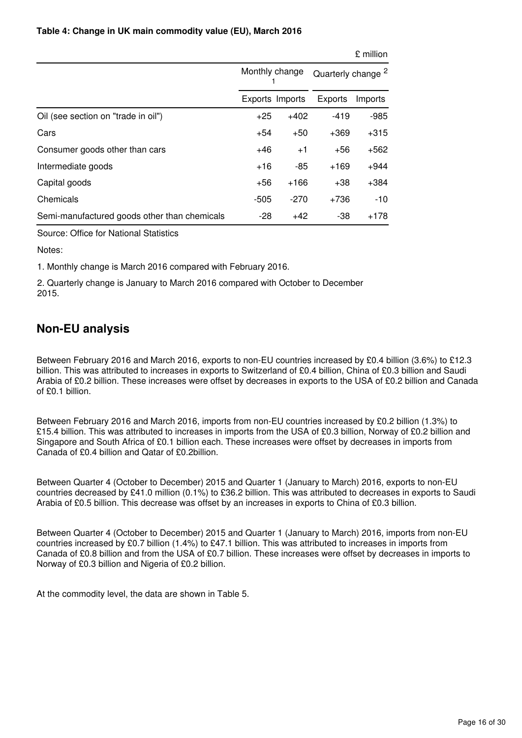#### **Table 4: Change in UK main commodity value (EU), March 2016**

|                                              |                 |        |                               | £ million |  |
|----------------------------------------------|-----------------|--------|-------------------------------|-----------|--|
|                                              | Monthly change  |        | Quarterly change <sup>2</sup> |           |  |
|                                              | Exports Imports |        | Exports                       | Imports   |  |
| Oil (see section on "trade in oil")          | $+25$           | $+402$ | $-419$                        | $-985$    |  |
| Cars                                         | $+54$           | $+50$  | $+369$                        | $+315$    |  |
| Consumer goods other than cars               | $+46$           | $+1$   | +56                           | +562      |  |
| Intermediate goods                           | $+16$           | -85    | $+169$                        | $+944$    |  |
| Capital goods                                | +56             | $+166$ | $+38$                         | $+384$    |  |
| Chemicals                                    | -505            | $-270$ | +736                          | $-10$     |  |
| Semi-manufactured goods other than chemicals | -28             | $+42$  | -38                           | +178      |  |

Source: Office for National Statistics

Notes:

1. Monthly change is March 2016 compared with February 2016.

2. Quarterly change is January to March 2016 compared with October to December 2015.

# **Non-EU analysis**

Between February 2016 and March 2016, exports to non-EU countries increased by £0.4 billion (3.6%) to £12.3 billion. This was attributed to increases in exports to Switzerland of £0.4 billion, China of £0.3 billion and Saudi Arabia of £0.2 billion. These increases were offset by decreases in exports to the USA of £0.2 billion and Canada of £0.1 billion.

Between February 2016 and March 2016, imports from non-EU countries increased by £0.2 billion (1.3%) to £15.4 billion. This was attributed to increases in imports from the USA of £0.3 billion, Norway of £0.2 billion and Singapore and South Africa of £0.1 billion each. These increases were offset by decreases in imports from Canada of £0.4 billion and Qatar of £0.2billion.

Between Quarter 4 (October to December) 2015 and Quarter 1 (January to March) 2016, exports to non-EU countries decreased by £41.0 million (0.1%) to £36.2 billion. This was attributed to decreases in exports to Saudi Arabia of £0.5 billion. This decrease was offset by an increases in exports to China of £0.3 billion.

Between Quarter 4 (October to December) 2015 and Quarter 1 (January to March) 2016, imports from non-EU countries increased by £0.7 billion (1.4%) to £47.1 billion. This was attributed to increases in imports from Canada of £0.8 billion and from the USA of £0.7 billion. These increases were offset by decreases in imports to Norway of £0.3 billion and Nigeria of £0.2 billion.

At the commodity level, the data are shown in Table 5.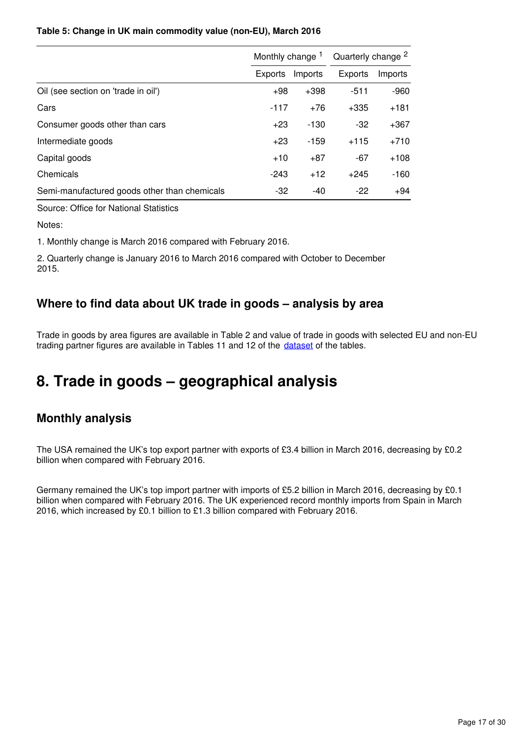### **Table 5: Change in UK main commodity value (non-EU), March 2016**

|                                              | Monthly change <sup>1</sup> |         | Quarterly change <sup>2</sup> |         |  |
|----------------------------------------------|-----------------------------|---------|-------------------------------|---------|--|
|                                              | <b>Exports</b>              | Imports | Exports                       | Imports |  |
| Oil (see section on 'trade in oil')          | $+98$                       | $+398$  | $-511$                        | $-960$  |  |
| Cars                                         | $-117$                      | $+76$   | $+335$                        | $+181$  |  |
| Consumer goods other than cars               | $+23$                       | -130    | $-32$                         | $+367$  |  |
| Intermediate goods                           | $+23$                       | -159    | $+115$                        | $+710$  |  |
| Capital goods                                | $+10$                       | $+87$   | $-67$                         | $+108$  |  |
| Chemicals                                    | $-243$                      | $+12$   | $+245$                        | $-160$  |  |
| Semi-manufactured goods other than chemicals | -32                         | -40     | $-22$                         | +94     |  |

Source: Office for National Statistics

Notes:

1. Monthly change is March 2016 compared with February 2016.

2. Quarterly change is January 2016 to March 2016 compared with October to December 2015.

## **Where to find data about UK trade in goods – analysis by area**

Trade in goods by area figures are available in Table 2 and value of trade in goods with selected EU and non-EU trading partner figures are available in Tables 11 and 12 of the dataset of the tables.

# <span id="page-16-0"></span>**8. Trade in goods – geographical analysis**

# **Monthly analysis**

The USA remained the UK's top export partner with exports of £3.4 billion in March 2016, decreasing by £0.2 billion when compared with February 2016.

Germany remained the UK's top import partner with imports of £5.2 billion in March 2016, decreasing by £0.1 billion when compared with February 2016. The UK experienced record monthly imports from Spain in March 2016, which increased by £0.1 billion to £1.3 billion compared with February 2016.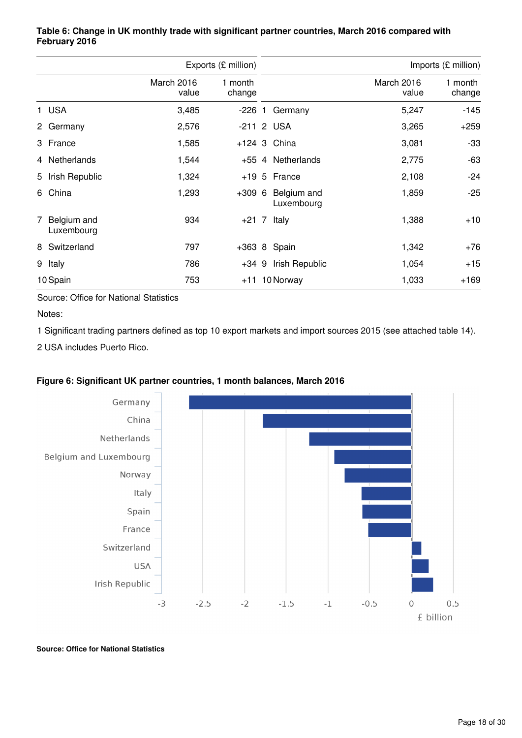|                             |                     | Exports (£ million) |  | Imports (£ million)       |                     |                   |
|-----------------------------|---------------------|---------------------|--|---------------------------|---------------------|-------------------|
|                             | March 2016<br>value | 1 month<br>change   |  |                           | March 2016<br>value | 1 month<br>change |
| 1 USA                       | 3,485               | -226 1              |  | Germany                   | 5,247               | $-145$            |
| 2 Germany                   | 2,576               |                     |  | -211 2 USA                | 3,265               | $+259$            |
| 3 France                    | 1,585               |                     |  | $+124$ 3 China            | 3,081               | $-33$             |
| 4 Netherlands               | 1,544               |                     |  | +55 4 Netherlands         | 2,775               | -63               |
| 5 Irish Republic            | 1,324               |                     |  | $+19$ 5 France            | 2,108               | $-24$             |
| 6 China                     | 1,293               | $+3096$             |  | Belgium and<br>Luxembourg | 1,859               | $-25$             |
| 7 Belgium and<br>Luxembourg | 934                 | $+21$ 7             |  | Italy                     | 1,388               | $+10$             |
| 8 Switzerland               | 797                 |                     |  | $+363$ 8 Spain            | 1,342               | $+76$             |
| 9 Italy                     | 786                 | $+34.9$             |  | Irish Republic            | 1,054               | $+15$             |
| 10 Spain                    | 753                 |                     |  | $+11$ 10 Norway           | 1,033               | $+169$            |

### **Table 6: Change in UK monthly trade with significant partner countries, March 2016 compared with February 2016**

Source: Office for National Statistics

Notes:

1 Significant trading partners defined as top 10 export markets and import sources 2015 (see attached table 14).

2 USA includes Puerto Rico.



### **Figure 6: Significant UK partner countries, 1 month balances, March 2016**

**Source: Office for National Statistics**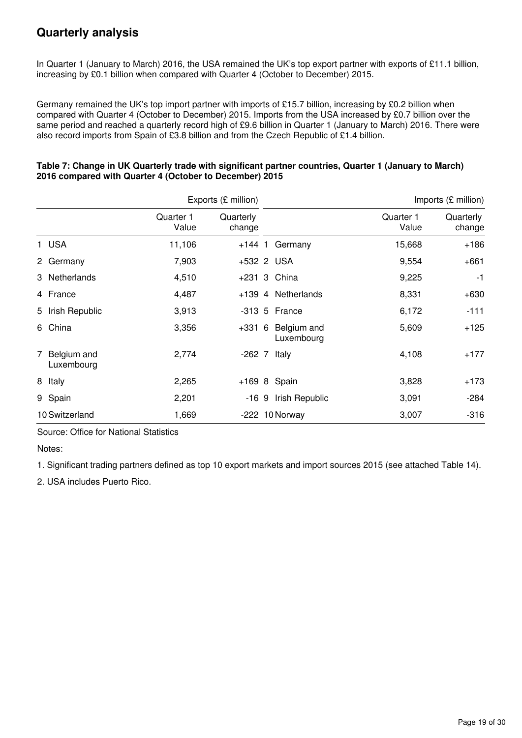# **Quarterly analysis**

In Quarter 1 (January to March) 2016, the USA remained the UK's top export partner with exports of £11.1 billion, increasing by £0.1 billion when compared with Quarter 4 (October to December) 2015.

Germany remained the UK's top import partner with imports of £15.7 billion, increasing by £0.2 billion when compared with Quarter 4 (October to December) 2015. Imports from the USA increased by £0.7 billion over the same period and reached a quarterly record high of £9.6 billion in Quarter 1 (January to March) 2016. There were also record imports from Spain of £3.8 billion and from the Czech Republic of £1.4 billion.

|                             |                    | Exports (£ million) |                           |                    | Imports (£ million) |
|-----------------------------|--------------------|---------------------|---------------------------|--------------------|---------------------|
|                             | Quarter 1<br>Value | Quarterly<br>change |                           | Quarter 1<br>Value | Quarterly<br>change |
| 1 USA                       | 11,106             |                     | +144 1 Germany            | 15,668             | $+186$              |
| 2 Germany                   | 7,903              |                     | +532 2 USA                | 9,554              | $+661$              |
| 3 Netherlands               | 4,510              |                     | +231 3 China              | 9,225              | -1                  |
| 4 France                    | 4,487              |                     | +139 4 Netherlands        | 8,331              | $+630$              |
| 5 Irish Republic            | 3,913              |                     | $-313$ 5 France           | 6,172              | $-111$              |
| 6 China                     | 3,356              | +331 6              | Belgium and<br>Luxembourg | 5,609              | +125                |
| 7 Belgium and<br>Luxembourg | 2,774              |                     | $-262$ 7 Italy            | 4,108              | $+177$              |
| 8 Italy                     | 2,265              |                     | $+169$ 8 Spain            | 3,828              | $+173$              |
| 9 Spain                     | 2,201              |                     | -16 9 Irish Republic      | 3,091              | $-284$              |
| 10 Switzerland              | 1,669              |                     | $-222$ 10 Norway          | 3,007              | $-316$              |

### **Table 7: Change in UK Quarterly trade with significant partner countries, Quarter 1 (January to March) 2016 compared with Quarter 4 (October to December) 2015**

Source: Office for National Statistics

Notes:

1. Significant trading partners defined as top 10 export markets and import sources 2015 (see attached Table 14).

2. USA includes Puerto Rico.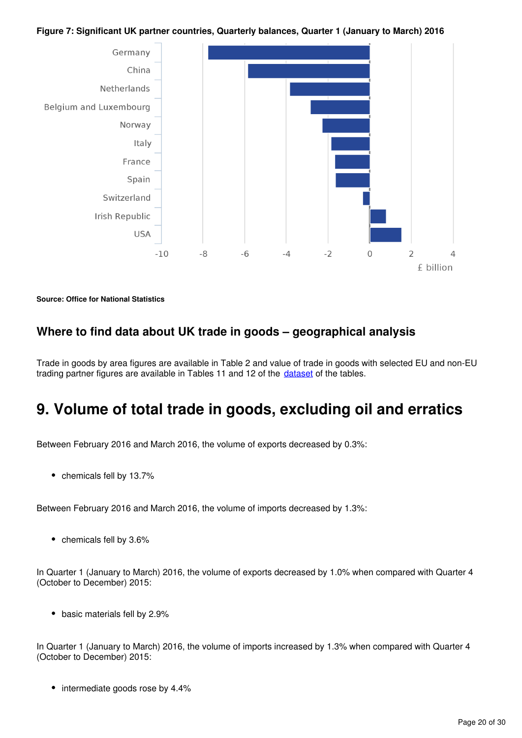### **Figure 7: Significant UK partner countries, Quarterly balances, Quarter 1 (January to March) 2016**



#### **Source: Office for National Statistics**

### **Where to find data about UK trade in goods – geographical analysis**

Trade in goods by area figures are available in Table 2 and value of trade in goods with selected EU and non-EU trading partner figures are available in Tables 11 and 12 of the *dataset* of the tables.

# <span id="page-19-0"></span>**9. Volume of total trade in goods, excluding oil and erratics**

Between February 2016 and March 2016, the volume of exports decreased by 0.3%:

• chemicals fell by 13.7%

Between February 2016 and March 2016, the volume of imports decreased by 1.3%:

 $\bullet$  chemicals fell by 3.6%

In Quarter 1 (January to March) 2016, the volume of exports decreased by 1.0% when compared with Quarter 4 (October to December) 2015:

• basic materials fell by 2.9%

In Quarter 1 (January to March) 2016, the volume of imports increased by 1.3% when compared with Quarter 4 (October to December) 2015:

• intermediate goods rose by 4.4%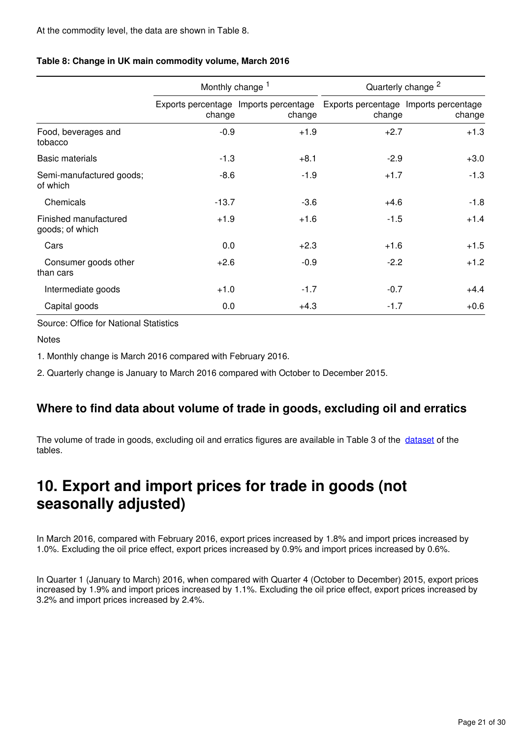|                                          | Monthly change 1 |                                                 | Quarterly change <sup>2</sup>                   |        |  |  |
|------------------------------------------|------------------|-------------------------------------------------|-------------------------------------------------|--------|--|--|
|                                          | change           | Exports percentage Imports percentage<br>change | Exports percentage Imports percentage<br>change | change |  |  |
| Food, beverages and<br>tobacco           | $-0.9$           | $+1.9$                                          | $+2.7$                                          | $+1.3$ |  |  |
| <b>Basic materials</b>                   | $-1.3$           | $+8.1$                                          | $-2.9$                                          | $+3.0$ |  |  |
| Semi-manufactured goods;<br>of which     | $-8.6$           | $-1.9$                                          | $+1.7$                                          | $-1.3$ |  |  |
| Chemicals                                | $-13.7$          | $-3.6$                                          | $+4.6$                                          | $-1.8$ |  |  |
| Finished manufactured<br>goods; of which | $+1.9$           | $+1.6$                                          | $-1.5$                                          | $+1.4$ |  |  |
| Cars                                     | 0.0              | $+2.3$                                          | $+1.6$                                          | $+1.5$ |  |  |
| Consumer goods other<br>than cars        | $+2.6$           | $-0.9$                                          | $-2.2$                                          | $+1.2$ |  |  |
| Intermediate goods                       | $+1.0$           | $-1.7$                                          | $-0.7$                                          | $+4.4$ |  |  |
| Capital goods                            | 0.0              | $+4.3$                                          | $-1.7$                                          | $+0.6$ |  |  |

### **Table 8: Change in UK main commodity volume, March 2016**

Source: Office for National Statistics

Notes

1. Monthly change is March 2016 compared with February 2016.

2. Quarterly change is January to March 2016 compared with October to December 2015.

## **Where to find data about volume of trade in goods, excluding oil and erratics**

The volume of trade in goods, excluding oil and erratics figures are available in Table 3 of the [dataset](https://www.ons.gov.uk/economy/nationalaccounts/balanceofpayments/datasets/publicationtablesuktradecpa08) of the tables.

# <span id="page-20-0"></span>**10. Export and import prices for trade in goods (not seasonally adjusted)**

In March 2016, compared with February 2016, export prices increased by 1.8% and import prices increased by 1.0%. Excluding the oil price effect, export prices increased by 0.9% and import prices increased by 0.6%.

In Quarter 1 (January to March) 2016, when compared with Quarter 4 (October to December) 2015, export prices increased by 1.9% and import prices increased by 1.1%. Excluding the oil price effect, export prices increased by 3.2% and import prices increased by 2.4%.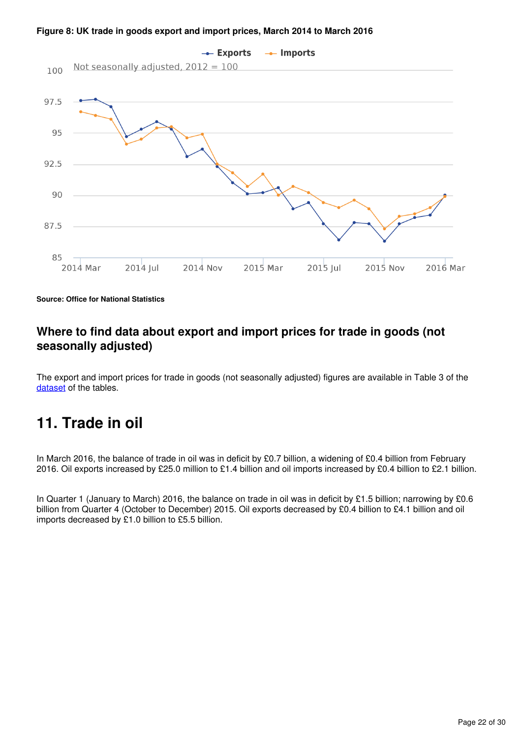



**Source: Office for National Statistics**

## **Where to find data about export and import prices for trade in goods (not seasonally adjusted)**

The export and import prices for trade in goods (not seasonally adjusted) figures are available in Table 3 of the [dataset](https://www.ons.gov.uk/economy/nationalaccounts/balanceofpayments/datasets/publicationtablesuktradecpa08) of the tables.

# <span id="page-21-0"></span>**11. Trade in oil**

In March 2016, the balance of trade in oil was in deficit by £0.7 billion, a widening of £0.4 billion from February 2016. Oil exports increased by £25.0 million to £1.4 billion and oil imports increased by £0.4 billion to £2.1 billion.

In Quarter 1 (January to March) 2016, the balance on trade in oil was in deficit by £1.5 billion; narrowing by £0.6 billion from Quarter 4 (October to December) 2015. Oil exports decreased by £0.4 billion to £4.1 billion and oil imports decreased by £1.0 billion to £5.5 billion.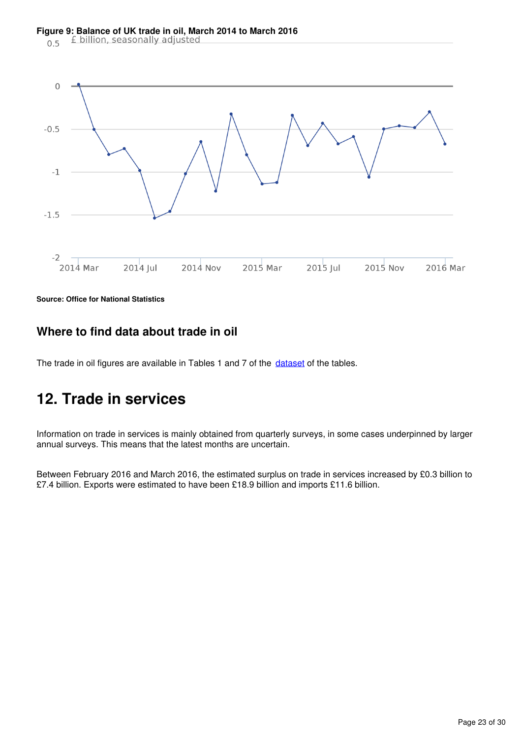#### **Figure 9: Balance of UK trade in oil, March 2014 to March 2016**<br> **C** 5 **f** billion, seasonally adjusted  $0.5$



**Source: Office for National Statistics**

## **Where to find data about trade in oil**

The trade in oil figures are available in Tables 1 and 7 of the dataset of the tables.

# <span id="page-22-0"></span>**12. Trade in services**

Information on trade in services is mainly obtained from quarterly surveys, in some cases underpinned by larger annual surveys. This means that the latest months are uncertain.

Between February 2016 and March 2016, the estimated surplus on trade in services increased by £0.3 billion to £7.4 billion. Exports were estimated to have been £18.9 billion and imports £11.6 billion.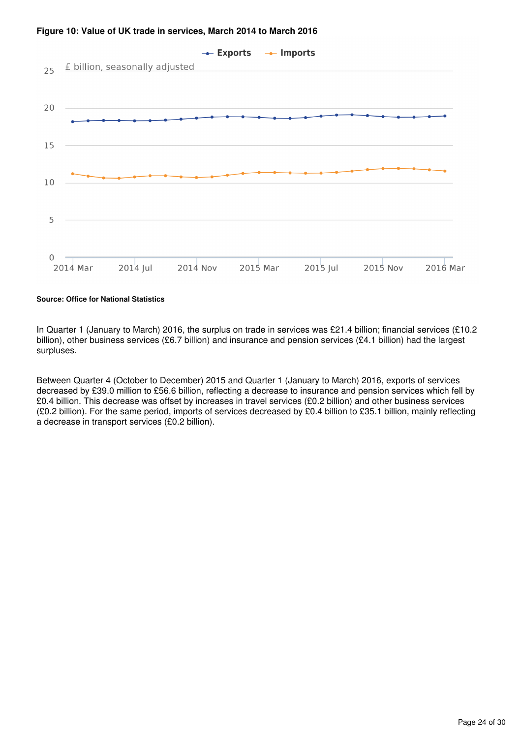

#### **Figure 10: Value of UK trade in services, March 2014 to March 2016**

#### **Source: Office for National Statistics**

In Quarter 1 (January to March) 2016, the surplus on trade in services was £21.4 billion; financial services (£10.2 billion), other business services (£6.7 billion) and insurance and pension services (£4.1 billion) had the largest surpluses.

Between Quarter 4 (October to December) 2015 and Quarter 1 (January to March) 2016, exports of services decreased by £39.0 million to £56.6 billion, reflecting a decrease to insurance and pension services which fell by £0.4 billion. This decrease was offset by increases in travel services (£0.2 billion) and other business services (£0.2 billion). For the same period, imports of services decreased by £0.4 billion to £35.1 billion, mainly reflecting a decrease in transport services (£0.2 billion).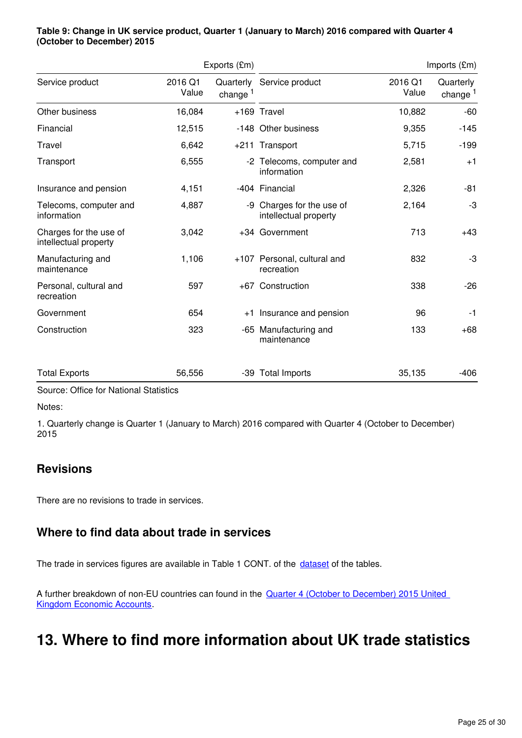|                                                 |                  | Exports (£m)        |                                                    |                  | Imports $(\text{Em})$   |  |
|-------------------------------------------------|------------------|---------------------|----------------------------------------------------|------------------|-------------------------|--|
| Service product                                 | 2016 Q1<br>Value | change <sup>1</sup> | Quarterly Service product                          | 2016 Q1<br>Value | Quarterly<br>change $1$ |  |
| Other business                                  | 16,084           |                     | +169 Travel                                        | 10,882           | -60                     |  |
| Financial                                       | 12,515           |                     | -148 Other business                                | 9,355            | $-145$                  |  |
| Travel                                          | 6,642            |                     | +211 Transport                                     | 5,715            | $-199$                  |  |
| Transport                                       | 6,555            |                     | -2 Telecoms, computer and<br>information           | 2,581            | $+1$                    |  |
| Insurance and pension                           | 4,151            |                     | -404 Financial                                     | 2,326            | -81                     |  |
| Telecoms, computer and<br>information           | 4,887            |                     | -9 Charges for the use of<br>intellectual property | 2,164            | -3                      |  |
| Charges for the use of<br>intellectual property | 3,042            |                     | +34 Government                                     | 713              | $+43$                   |  |
| Manufacturing and<br>maintenance                | 1,106            |                     | +107 Personal, cultural and<br>recreation          | 832              | -3                      |  |
| Personal, cultural and<br>recreation            | 597              |                     | +67 Construction                                   | 338              | $-26$                   |  |
| Government                                      | 654              | $+1$                | Insurance and pension                              | 96               | $-1$                    |  |
| Construction                                    | 323              |                     | -65 Manufacturing and<br>maintenance               | 133              | $+68$                   |  |
| <b>Total Exports</b>                            | 56,556           |                     | -39 Total Imports                                  | 35,135           | $-406$                  |  |

#### **Table 9: Change in UK service product, Quarter 1 (January to March) 2016 compared with Quarter 4 (October to December) 2015**

Source: Office for National Statistics

Notes:

1. Quarterly change is Quarter 1 (January to March) 2016 compared with Quarter 4 (October to December) 2015

# **Revisions**

There are no revisions to trade in services.

# **Where to find data about trade in services**

The trade in services figures are available in Table 1 CONT. of the dataset of the tables.

A further breakdown of non-EU countries can found in the Quarter 4 (October to December) 2015 United [Kingdom Economic Accounts](https://www.ons.gov.uk/economy/nationalaccounts/uksectoraccounts/datasets/unitedkingdomeconomicaccountsbalanceofpaymentscurrentaccount).

# <span id="page-24-0"></span>**13. Where to find more information about UK trade statistics**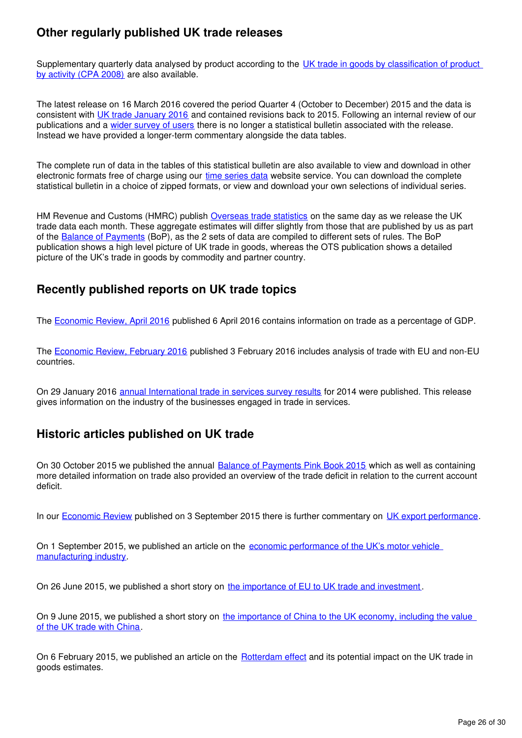# **Other regularly published UK trade releases**

Supplementary quarterly data analysed by product according to the UK trade in goods by classification of product [by activity \(CPA 2008\)](https://www.ons.gov.uk/economy/nationalaccounts/balanceofpayments/datasets/publicationtablesuktradecpa08) are also available.

The latest release on 16 March 2016 covered the period Quarter 4 (October to December) 2015 and the data is consistent with [UK trade January 2016](https://www.ons.gov.uk/economy/nationalaccounts/balanceofpayments/bulletins/uktrade/january2016) and contained revisions back to 2015. Following an internal review of our publications and a [wider survey of users](http://www.ons.gov.uk/ons/about-ons/get-involved/consultations-and-user-surveys/consultations/uk-trade-survey/feedback-from-consultations-on-ons-uk-trade-outputs.doc) there is no longer a statistical bulletin associated with the release. Instead we have provided a longer-term commentary alongside the data tables.

The complete run of data in the tables of this statistical bulletin are also available to view and download in other electronic formats free of charge using our [time series data](https://www.ons.gov.uk/economy/nationalaccounts/balanceofpayments/datasets/tradeingoodsmretsallbopeu2013timeseriesspreadsheet) website service. You can download the complete statistical bulletin in a choice of zipped formats, or view and download your own selections of individual series.

HMRevenue and Customs (HMRC) publish [Overseas trade statistics](https://www.uktradeinfo.com/Statistics/Pages/MonthlyTimetableofReleases.aspx) on the same day as we release the UK trade data each month. These aggregate estimates will differ slightly from those that are published by us as part of the [Balance of Payments](https://www.ons.gov.uk/economy/nationalaccounts/balanceofpayments/bulletins/balanceofpayments/previousReleases) (BoP), as the 2 sets of data are compiled to different sets of rules. The BoP publication shows a high level picture of UK trade in goods, whereas the OTS publication shows a detailed picture of the UK's trade in goods by commodity and partner country.

## **Recently published reports on UK trade topics**

The Economic Review, April 2016 published 6 April 2016 contains information on trade as a percentage of GDP.

The [Economic Review, February 2016](https://www.ons.gov.uk/economy/nationalaccounts/uksectoraccounts/articles/economicreview/february2016) published 3 February 2016 includes analysis of trade with EU and non-EU countries.

On 29 January 2016 [annual International trade in services survey results](https://www.ons.gov.uk/businessindustryandtrade/internationaltrade/bulletins/internationaltradeinservices/2014) for 2014 were published. This release gives information on the industry of the businesses engaged in trade in services.

## **Historic articles published on UK trade**

On 30 October 2015 we published the annual [Balance of Payments Pink Book 2015](http://www.ons.gov.uk/economy/nationalaccounts/balanceofpayments/compendium/unitedkingdombalanceofpaymentsthepinkbook/2015-10-30) which as well as containing more detailed information on trade also provided an overview of the trade deficit in relation to the current account deficit.

In our Economic Review published on 3 September 2015 there is further commentary on UK export performance[.](http://www.ons.gov.uk/economy/nationalaccounts/uksectoraccounts/articles/economicreview/2015-09-03#exports)

On 1 September 2015, we published an article on the [economic performance of the UK's motor vehicle](http://webarchive.nationalarchives.gov.uk/20160105160709/http:/www.ons.gov.uk/ons/rel/abs/annual-business-survey/car-production/sty-car.html)  [manufacturing industry](http://webarchive.nationalarchives.gov.uk/20160105160709/http:/www.ons.gov.uk/ons/rel/abs/annual-business-survey/car-production/sty-car.html).

On 26 June 2015, we published a short story on [the importance of EU to UK trade and investment](http://webarchive.nationalarchives.gov.uk/20160105160709/http:/www.ons.gov.uk/ons/rel/international-transactions/outward-foreign-affiliates-statistics/how-important-is-the-european-union-to-uk-trade-and-investment-/index.html).

On 9 June 2015, we published a short story on the importance of China to the UK economy, including the value [of the UK trade with China](http://webarchive.nationalarchives.gov.uk/20160105160709/http://www.ons.gov.uk/ons/rel/international-transactions/outward-foreign-affiliates-statistics/how-important-is-china-to-the-uk-economy-/index.html).

On 6 February 2015, we published an article on the **[Rotterdam effect](http://webarchive.nationalarchives.gov.uk/20160105160709/http:/www.ons.gov.uk/ons/rel/uktrade/uk-trade/december-2014/sty-trade-rotterdam-effect-.html)** and its potential impact on the UK trade in goods estimates.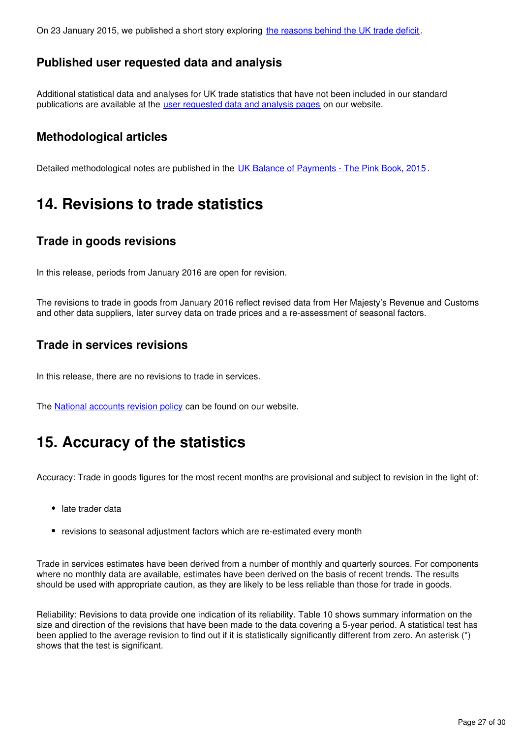On 23 January 2015, we published a short story exploring [the reasons behind the UK trade deficit](http://www.ons.gov.uk/ons/rel/uktrade/uk-trade/november-2014/sty-record-trade-surplus-in-services-partly-offsets-record-trade-deficit-on-goods.html).

# **Published user requested data and analysis**

Additional statistical data and analyses for UK trade statistics that have not been included in our standard publications are available at the [user requested data and analysis pages](https://www.ons.gov.uk/search?q=uk%20trade&sortBy=relevance&filter=user_requested_data&q=uk%20trade) on our website.

# **Methodological articles**

Detailed methodological notes are published in the [UK Balance of Payments - The Pink Book, 2015](https://www.ons.gov.uk/economy/nationalaccounts/balanceofpayments/compendium/unitedkingdombalanceofpaymentsthepinkbook/2015-10-30).

# <span id="page-26-0"></span>**14. Revisions to trade statistics**

## **Trade in goods revisions**

In this release, periods from January 2016 are open for revision.

The revisions to trade in goods from January 2016 reflect revised data from Her Majesty's Revenue and Customs and other data suppliers, later survey data on trade prices and a re-assessment of seasonal factors.

### **Trade in services revisions**

In this release, there are no revisions to trade in services.

The National accounts revision policy can be found on our website.

# <span id="page-26-1"></span>**15. Accuracy of the statistics**

Accuracy: Trade in goods figures for the most recent months are provisional and subject to revision in the light of:

- late trader data
- revisions to seasonal adjustment factors which are re-estimated every month

Trade in services estimates have been derived from a number of monthly and quarterly sources. For components where no monthly data are available, estimates have been derived on the basis of recent trends. The results should be used with appropriate caution, as they are likely to be less reliable than those for trade in goods.

Reliability: Revisions to data provide one indication of its reliability. Table 10 shows summary information on the size and direction of the revisions that have been made to the data covering a 5-year period. A statistical test has been applied to the average revision to find out if it is statistically significantly different from zero. An asterisk (\*) shows that the test is significant.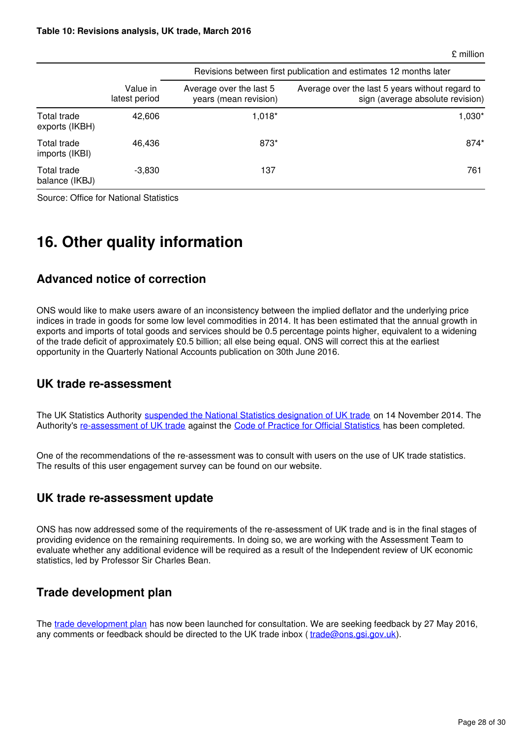£ million

|                               |                           | Revisions between first publication and estimates 12 months later |                                                                                     |  |  |  |  |  |  |
|-------------------------------|---------------------------|-------------------------------------------------------------------|-------------------------------------------------------------------------------------|--|--|--|--|--|--|
|                               | Value in<br>latest period | Average over the last 5<br>years (mean revision)                  | Average over the last 5 years without regard to<br>sign (average absolute revision) |  |  |  |  |  |  |
| Total trade<br>exports (IKBH) | 42,606                    | $1,018*$                                                          | $1,030*$                                                                            |  |  |  |  |  |  |
| Total trade<br>imports (IKBI) | 46,436                    | 873*                                                              | 874*                                                                                |  |  |  |  |  |  |
| Total trade<br>balance (IKBJ) | $-3,830$                  | 137                                                               | 761                                                                                 |  |  |  |  |  |  |

Source: Office for National Statistics

# <span id="page-27-0"></span>**16. Other quality information**

## **Advanced notice of correction**

ONS would like to make users aware of an inconsistency between the implied deflator and the underlying price indices in trade in goods for some low level commodities in 2014. It has been estimated that the annual growth in exports and imports of total goods and services should be 0.5 percentage points higher, equivalent to a widening of the trade deficit of approximately £0.5 billion; all else being equal. ONS will correct this at the earliest opportunity in the Quarterly National Accounts publication on 30th June 2016.

### **UK trade re-assessment**

The UK Statistics Authority [suspended the National Statistics designation of UK trade](http://www.statisticsauthority.gov.uk/reports---correspondence/correspondence/letter-from-sir-andrew-dilnot-to-john-pullinger-141114.pdf) on 14 November 2014. The Authority's[re-assessment of UK trade](https://www.statisticsauthority.gov.uk/publication/statistics-on-uk-trade/) against the [Code of Practice for Official Statistics](https://www.statisticsauthority.gov.uk/monitoring-and-assessment/code-of-practice/) has been completed.

One of the recommendations of the re-assessment was to consult with users on the use of UK trade statistics. The results of this user engagement survey can be found on our website.

### **UK trade re-assessment update**

ONS has now addressed some of the requirements of the re-assessment of UK trade and is in the final stages of providing evidence on the remaining requirements. In doing so, we are working with the Assessment Team to evaluate whether any additional evidence will be required as a result of the Independent review of UK economic statistics, led by Professor Sir Charles Bean.

## **Trade development plan**

The [trade development plan](https://www.ons.gov.uk/economy/nationalaccounts/balanceofpayments/articles/uktradedevelopmentplan/2016) has now been launched for consultation. We are seeking feedback by 27 May 2016, any comments or feedback should be directed to the UK trade inbox (trade@ons.gsi.gov.uk).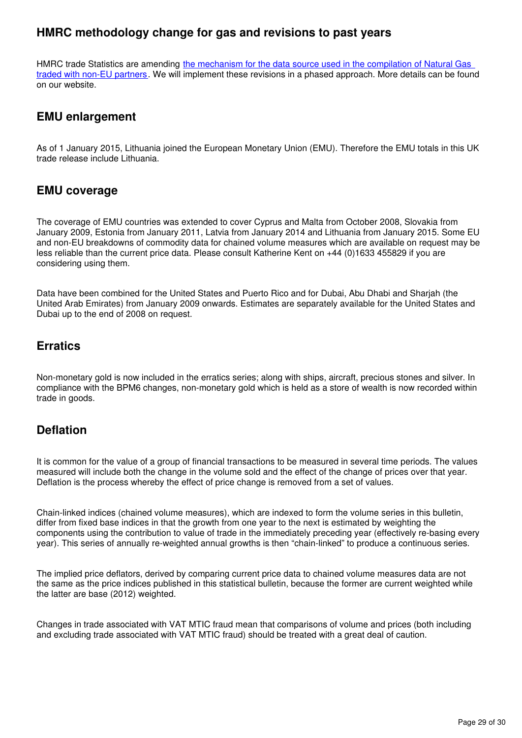# **HMRC methodology change for gas and revisions to past years**

HMRC trade Statistics are amending [the mechanism for the data source used in the compilation of Natural Gas](http://webarchive.nationalarchives.gov.uk/20160105160709/http:/www.ons.gov.uk/ons/rel/uktrade/uk-trade/may-2015/information-note--hmrc-methodology-changes-and-revisions-to-gas.html)  [traded with non-EU partners.](http://webarchive.nationalarchives.gov.uk/20160105160709/http:/www.ons.gov.uk/ons/rel/uktrade/uk-trade/may-2015/information-note--hmrc-methodology-changes-and-revisions-to-gas.html) We will implement these revisions in a phased approach. More details can be found on our website.

### **EMU enlargement**

As of 1 January 2015, Lithuania joined the European Monetary Union (EMU). Therefore the EMU totals in this UK trade release include Lithuania.

### **EMU coverage**

The coverage of EMU countries was extended to cover Cyprus and Malta from October 2008, Slovakia from January 2009, Estonia from January 2011, Latvia from January 2014 and Lithuania from January 2015. Some EU and non-EU breakdowns of commodity data for chained volume measures which are available on request may be less reliable than the current price data. Please consult Katherine Kent on +44 (0)1633 455829 if you are considering using them.

Data have been combined for the United States and Puerto Rico and for Dubai, Abu Dhabi and Sharjah (the United Arab Emirates) from January 2009 onwards. Estimates are separately available for the United States and Dubai up to the end of 2008 on request.

### **Erratics**

Non-monetary gold is now included in the erratics series; along with ships, aircraft, precious stones and silver. In compliance with the BPM6 changes, non-monetary gold which is held as a store of wealth is now recorded within trade in goods.

## **Deflation**

It is common for the value of a group of financial transactions to be measured in several time periods. The values measured will include both the change in the volume sold and the effect of the change of prices over that year. Deflation is the process whereby the effect of price change is removed from a set of values.

Chain-linked indices (chained volume measures), which are indexed to form the volume series in this bulletin, differ from fixed base indices in that the growth from one year to the next is estimated by weighting the components using the contribution to value of trade in the immediately preceding year (effectively re-basing every year). This series of annually re-weighted annual growths is then "chain-linked" to produce a continuous series.

The implied price deflators, derived by comparing current price data to chained volume measures data are not the same as the price indices published in this statistical bulletin, because the former are current weighted while the latter are base (2012) weighted.

Changes in trade associated with VAT MTIC fraud mean that comparisons of volume and prices (both including and excluding trade associated with VAT MTIC fraud) should be treated with a great deal of caution.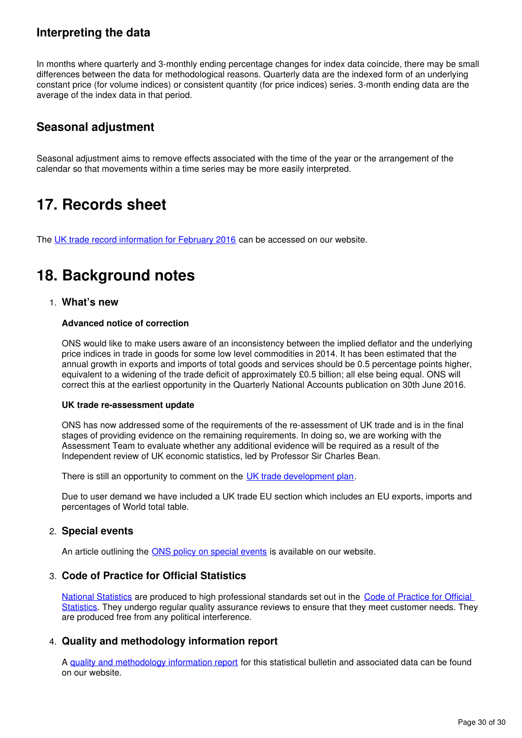# **Interpreting the data**

In months where quarterly and 3-monthly ending percentage changes for index data coincide, there may be small differences between the data for methodological reasons. Quarterly data are the indexed form of an underlying constant price (for volume indices) or consistent quantity (for price indices) series. 3-month ending data are the average of the index data in that period.

# **Seasonal adjustment**

Seasonal adjustment aims to remove effects associated with the time of the year or the arrangement of the calendar so that movements within a time series may be more easily interpreted.

# <span id="page-29-0"></span>**17. Records sheet**

The [UK trade record information for February 2016](https://www.ons.gov.uk/economy/nationalaccounts/balanceofpayments/datasets/uktraderecordssheet) can be accessed on our website.

# <span id="page-29-1"></span>**18. Background notes**

### 1. **What's new**

#### **Advanced notice of correction**

ONS would like to make users aware of an inconsistency between the implied deflator and the underlying price indices in trade in goods for some low level commodities in 2014. It has been estimated that the annual growth in exports and imports of total goods and services should be 0.5 percentage points higher, equivalent to a widening of the trade deficit of approximately £0.5 billion; all else being equal. ONS will correct this at the earliest opportunity in the Quarterly National Accounts publication on 30th June 2016.

#### **UK trade re-assessment update**

ONS has now addressed some of the requirements of the re-assessment of UK trade and is in the final stages of providing evidence on the remaining requirements. In doing so, we are working with the Assessment Team to evaluate whether any additional evidence will be required as a result of the Independent review of UK economic statistics, led by Professor Sir Charles Bean.

There is still an opportunity to comment on the UK trade development plan.

Due to user demand we have included a UK trade EU section which includes an EU exports, imports and percentages of World total table.

### 2. **Special events**

An article outlining the **ONS policy on special events** is available on our website.

### 3. **Code of Practice for Official Statistics**

[National Statistics](https://www.statisticsauthority.gov.uk/national-statistician/types-of-official-statistics/) are produced to high professional standards set out in the Code of Practice for Official [Statistics](https://www.statisticsauthority.gov.uk/monitoring-and-assessment/code-of-practice/). They undergo regular quality assurance reviews to ensure that they meet customer needs. They are produced free from any political interference.

### 4. **Quality and methodology information report**

A [quality and methodology information report](https://www.ons.gov.uk/economy/nationalaccounts/balanceofpayments/qmis/uktradeqmi) for this statistical bulletin and associated data can be found on our website.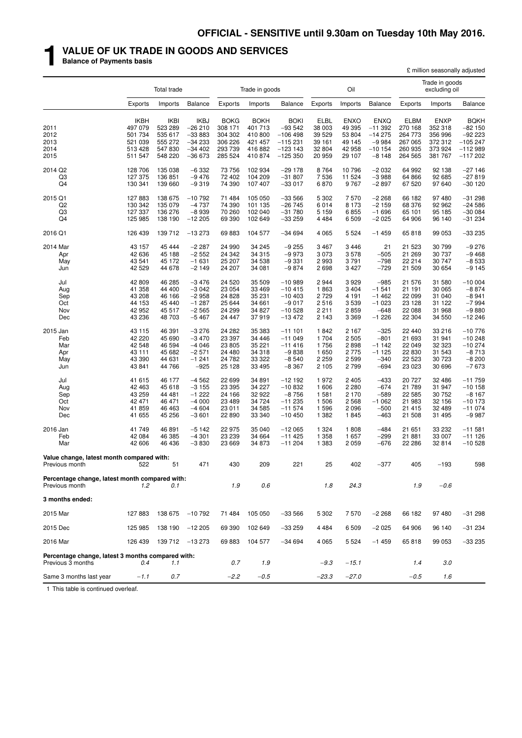# **1 VALUE OF UK TRADE IN GOODS AND SERVICES**

**Balance of Payments basis**

|                                                                        |                                                                    |                                                                    |                                                                         |                                                                    |                                                                    |                                                                             |                                                         |                                                               |                                                                       |                                                                    | £ million seasonally adjusted                               |                                                                            |
|------------------------------------------------------------------------|--------------------------------------------------------------------|--------------------------------------------------------------------|-------------------------------------------------------------------------|--------------------------------------------------------------------|--------------------------------------------------------------------|-----------------------------------------------------------------------------|---------------------------------------------------------|---------------------------------------------------------------|-----------------------------------------------------------------------|--------------------------------------------------------------------|-------------------------------------------------------------|----------------------------------------------------------------------------|
|                                                                        |                                                                    | Total trade                                                        |                                                                         |                                                                    | Trade in goods                                                     |                                                                             |                                                         | Oil                                                           |                                                                       |                                                                    | Trade in goods<br>excluding oil                             |                                                                            |
|                                                                        | Exports                                                            | Imports                                                            | <b>Balance</b>                                                          | Exports                                                            | Imports                                                            | <b>Balance</b>                                                              | Exports                                                 | Imports                                                       | <b>Balance</b>                                                        | Exports                                                            | Imports                                                     | <b>Balance</b>                                                             |
| 2011<br>2012<br>2013<br>2014<br>2015                                   | <b>IKBH</b><br>497 079<br>501 734<br>521 039<br>513 428<br>511 547 | <b>IKBI</b><br>523 289<br>535 617<br>555 272<br>547 830<br>548 220 | <b>IKBJ</b><br>$-26210$<br>$-33883$<br>$-34233$<br>$-34402$<br>$-36673$ | <b>BOKG</b><br>308 171<br>304 302<br>306 226<br>293 739<br>285 524 | <b>BOKH</b><br>401 713<br>410 800<br>421 457<br>416 882<br>410 874 | <b>BOKI</b><br>$-93542$<br>$-106498$<br>$-115231$<br>$-123143$<br>$-125350$ | ELBL<br>38 003<br>39 529<br>39 161<br>32 804<br>20 959  | <b>ENXO</b><br>49 395<br>53 804<br>49 145<br>42 958<br>29 107 | <b>ENXQ</b><br>$-11392$<br>$-14275$<br>$-9984$<br>$-10154$<br>$-8148$ | <b>ELBM</b><br>270 168<br>264 773<br>267 065<br>260 935<br>264 565 | ENXP<br>352 318<br>356 996<br>372 312<br>373 924<br>381 767 | <b>BQKH</b><br>$-82150$<br>$-92223$<br>$-105247$<br>$-112989$<br>$-117202$ |
| 2014 Q2<br>Q3<br>Q4                                                    | 128 706<br>127 375<br>130 341                                      | 135 038<br>136 851<br>139 660                                      | $-6332$<br>$-9476$<br>$-9319$                                           | 73 756<br>72 402<br>74 390                                         | 102 934<br>104 209<br>107 407                                      | $-29178$<br>$-31807$<br>$-33017$                                            | 8764<br>7536<br>6870                                    | 10 796<br>11 524<br>9767                                      | $-2032$<br>$-3988$<br>$-2897$                                         | 64 992<br>64 866<br>67 520                                         | 92 138<br>92 685<br>97 640                                  | $-27146$<br>$-27819$<br>$-30120$                                           |
| 2015 Q1<br>Q2<br>Q3<br>Q4                                              | 127883<br>130 342<br>127 337<br>125 985                            | 138 675<br>135 079<br>136 276<br>138 190                           | $-10792$<br>$-4737$<br>$-8939$<br>$-12205$                              | 71 484<br>74 390<br>70 260<br>69 390                               | 105 050<br>101 135<br>102 040<br>102 649                           | $-33566$<br>$-26745$<br>$-31780$<br>$-33259$                                | 5 3 0 2<br>6014<br>5 1 5 9<br>4 4 8 4                   | 7570<br>8 1 7 3<br>6855<br>6 5 0 9                            | $-2268$<br>$-2159$<br>$-1696$<br>$-2025$                              | 66 182<br>68 376<br>65 101<br>64 906                               | 97 480<br>92 962<br>95 185<br>96 140                        | $-31298$<br>$-24586$<br>$-300084$<br>$-31234$                              |
| 2016 Q1                                                                | 126 439                                                            | 139 712                                                            | $-13273$                                                                | 69883                                                              | 104 577                                                            | $-34694$                                                                    | 4 0 6 5                                                 | 5 5 2 4                                                       | $-1459$                                                               | 65818                                                              | 99 053                                                      | $-33235$                                                                   |
| 2014 Mar<br>Apr<br>May<br>Jun                                          | 43 157<br>42 636<br>43 541<br>42 529                               | 45 444<br>45 188<br>45 172<br>44 678                               | $-2287$<br>$-2552$<br>$-1631$<br>$-2149$                                | 24 990<br>24 342<br>25 207<br>24 207                               | 34 245<br>34 315<br>34 538<br>34 081                               | $-9255$<br>$-9973$<br>$-9331$<br>$-9874$                                    | 3 4 6 7<br>3 0 7 3<br>2993<br>2698                      | 3 4 4 6<br>3578<br>3791<br>3 4 2 7                            | 21<br>$-505$<br>$-798$<br>$-729$                                      | 21 523<br>21 269<br>22 214<br>21 509                               | 30 799<br>30 737<br>30 747<br>30 654                        | $-9276$<br>$-9468$<br>$-8533$<br>$-9145$                                   |
| Jul<br>Aug<br>Sep<br>Oct<br>Nov<br>Dec                                 | 42 809<br>41 358<br>43 208<br>44 153<br>42 952<br>43 236           | 46 285<br>44 400<br>46 166<br>45 440<br>45 517<br>48 703           | $-3476$<br>$-3042$<br>$-2958$<br>$-1287$<br>$-2565$<br>$-5467$          | 24 5 20<br>23 054<br>24 8 28<br>25 644<br>24 299<br>24 447         | 35 509<br>33 469<br>35 231<br>34 661<br>34 827<br>37919            | $-10989$<br>$-10415$<br>$-10403$<br>$-9017$<br>$-10528$<br>$-13472$         | 2944<br>1863<br>2729<br>2516<br>2 2 1 1<br>2 1 4 3      | 3929<br>3 4 0 4<br>4 1 9 1<br>3 5 3 9<br>2859<br>3 3 6 9      | $-985$<br>$-1541$<br>$-1462$<br>$-1023$<br>$-648$<br>$-1226$          | 21 576<br>21 191<br>22 099<br>23 128<br>22 088<br>22 304           | 31 580<br>30 065<br>31 040<br>31 122<br>31 968<br>34 550    | $-10004$<br>$-8874$<br>$-8941$<br>$-7994$<br>$-9880$<br>$-12246$           |
| 2015 Jan<br>Feb<br>Mar<br>Apr<br>May<br>Jun                            | 43 115<br>42 220<br>42 548<br>43 111<br>43 390<br>43 841           | 46 391<br>45 690<br>46 594<br>45 682<br>44 631<br>44 766           | $-3276$<br>$-3470$<br>$-4046$<br>$-2571$<br>$-1241$<br>$-925$           | 24 282<br>23 397<br>23 805<br>24 480<br>24 782<br>25 1 28          | 35 383<br>34 446<br>35 221<br>34 318<br>33 322<br>33 495           | $-111101$<br>$-11049$<br>$-11416$<br>$-9838$<br>$-8540$<br>$-8367$          | 1842<br>1 704<br>1756<br>1 650<br>2 2 5 9<br>2 1 0 5    | 2 1 6 7<br>2 5 0 5<br>2898<br>2 7 7 5<br>2 5 9 9<br>2799      | $-325$<br>$-801$<br>$-1142$<br>$-1125$<br>$-340$<br>$-694$            | 22 440<br>21 693<br>22 049<br>22 830<br>22 5 23<br>23 023          | 33 216<br>31 941<br>32 323<br>31 543<br>30 723<br>30 696    | $-10776$<br>$-10248$<br>$-10274$<br>$-8713$<br>$-8200$<br>$-7673$          |
| Jul<br>Aug<br>Sep<br>Oct<br>Nov<br>Dec                                 | 41 615<br>42 463<br>43 259<br>42 471<br>41 859<br>41 655           | 46 177<br>45 618<br>44 481<br>46 471<br>46 4 63<br>45 256          | $-4562$<br>$-3155$<br>$-1222$<br>$-4000$<br>$-4604$<br>$-3601$          | 22 699<br>23 395<br>24 166<br>23 489<br>23 011<br>22 890           | 34 891<br>34 227<br>32 922<br>34 724<br>34 585<br>33 340           | $-12192$<br>$-10832$<br>$-8756$<br>$-11235$<br>$-11574$<br>$-10450$         | 1972<br>1 606<br>1 5 8 1<br>1 506<br>1 5 9 6<br>1 3 8 2 | 2 4 0 5<br>2 2 8 0<br>2 1 7 0<br>2 5 6 8<br>2 0 9 6<br>1845   | $-433$<br>$-674$<br>$-589$<br>$-1062$<br>$-500$<br>$-463$             | 20 727<br>21 789<br>22 585<br>21 983<br>21 415<br>21 508           | 32 486<br>31 947<br>30 752<br>32 156<br>32 489<br>31 495    | $-11759$<br>$-10158$<br>$-8167$<br>$-10173$<br>$-11074$<br>$-9987$         |
| 2016 Jan<br>Feb<br>Mar                                                 | 41749<br>42 084<br>42 606                                          | 46 891<br>46 385<br>46 436                                         | $-5142$<br>$-4301$<br>$-3830$                                           | 22 975<br>23 239<br>23 669                                         | 35 040<br>34 664<br>34 873                                         | $-12065$<br>$-11425$<br>$-11204$                                            | 1 3 2 4<br>1 3 5 8<br>1 3 8 3                           | 1808<br>1657<br>2 0 5 9                                       | $-484$<br>$-299$<br>$-676$                                            | 21 651<br>21 881<br>22 286                                         | 33 232<br>33 007<br>32 814                                  | $-11581$<br>$-111126$<br>$-10528$                                          |
| Value change, latest month compared with:<br>Previous month            | 522                                                                | 51                                                                 | 471                                                                     | 430                                                                | 209                                                                | 221                                                                         | 25                                                      | 402                                                           | $-377$                                                                | 405                                                                | $-193$                                                      | 598                                                                        |
| Percentage change, latest month compared with:<br>Previous month       | 1.2                                                                | 0.1                                                                |                                                                         | 1.9                                                                | 0.6                                                                |                                                                             | 1.8                                                     | 24.3                                                          |                                                                       | 1.9                                                                | $-0.6$                                                      |                                                                            |
| 3 months ended:                                                        |                                                                    |                                                                    |                                                                         |                                                                    |                                                                    |                                                                             |                                                         |                                                               |                                                                       |                                                                    |                                                             |                                                                            |
| 2015 Mar                                                               | 127 883                                                            | 138 675                                                            | $-10792$                                                                | 71 484                                                             | 105 050                                                            | $-33566$                                                                    | 5 3 0 2                                                 | 7570                                                          | $-2268$                                                               | 66 182                                                             | 97 480                                                      | $-31298$                                                                   |
| 2015 Dec                                                               | 125 985                                                            | 138 190                                                            | $-12205$                                                                | 69 390                                                             | 102 649                                                            | $-33259$                                                                    | 4 4 8 4                                                 | 6 5 0 9                                                       | $-2025$                                                               | 64 906                                                             | 96 140                                                      | $-31234$                                                                   |
| 2016 Mar                                                               | 126 439                                                            |                                                                    | 139 712 -13 273                                                         | 69883                                                              | 104 577                                                            | $-34694$                                                                    | 4 0 6 5                                                 | 5 5 2 4                                                       | $-1459$                                                               | 65818                                                              | 99 053                                                      | $-33235$                                                                   |
| Percentage change, latest 3 months compared with:<br>Previous 3 months | 0.4                                                                | 1.1                                                                |                                                                         | 0.7                                                                | 1.9                                                                |                                                                             | $-9.3$                                                  | $-15.1$                                                       |                                                                       | 1.4                                                                | 3.0                                                         |                                                                            |
| Same 3 months last year                                                | $-1.1$                                                             | 0.7                                                                |                                                                         | $-2.2$                                                             | $-0.5$                                                             |                                                                             | $-23.3$                                                 | $-27.0$                                                       |                                                                       | $-0.5$                                                             | 1.6                                                         |                                                                            |

1 This table is continued overleaf.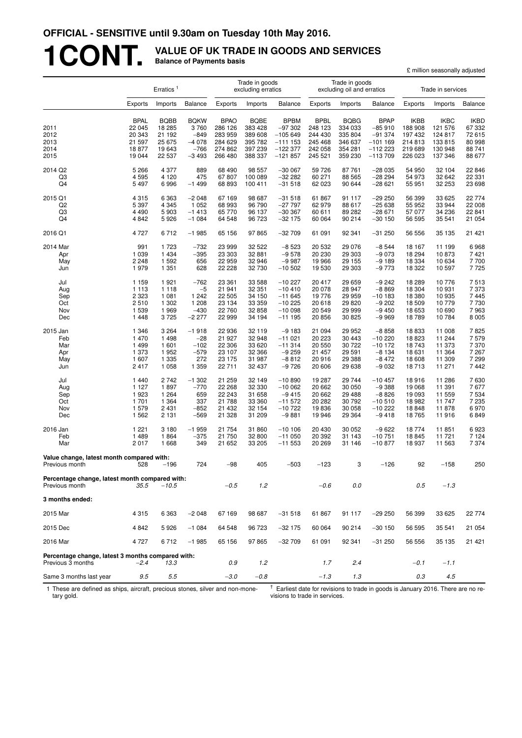# **1CONT. VALUE OF UK TRADE IN GOODS AND SERVICES Balance of Payments basis**

|                                                                        |                       |                       |                     |                        |                                      |                         |                        |                                              |                         | £ million seasonally adjusted |                        |                       |
|------------------------------------------------------------------------|-----------------------|-----------------------|---------------------|------------------------|--------------------------------------|-------------------------|------------------------|----------------------------------------------|-------------------------|-------------------------------|------------------------|-----------------------|
|                                                                        |                       | Erratics <sup>1</sup> |                     |                        | Trade in goods<br>excluding erratics |                         |                        | Trade in goods<br>excluding oil and erratics |                         |                               | Trade in services      |                       |
|                                                                        | Exports               | Imports               | <b>Balance</b>      | Exports                | Imports                              | <b>Balance</b>          | Exports                | Imports                                      | <b>Balance</b>          | Exports                       | Imports                | Balance               |
| 2011                                                                   | <b>BPAL</b><br>22 045 | <b>BQBB</b><br>18 285 | <b>BQKW</b><br>3760 | <b>BPAO</b><br>286 126 | <b>BQBE</b><br>383 428               | <b>BPBM</b><br>$-97302$ | <b>BPBL</b><br>248 123 | <b>BQBG</b><br>334 033                       | <b>BPAP</b><br>$-85910$ | <b>IKBB</b><br>188 908        | <b>IKBC</b><br>121 576 | <b>IKBD</b><br>67 332 |
| 2012                                                                   | 20 343                | 21 192                | $-849$              | 283 959                | 389 608                              | $-105649$               | 244 430                | 335 804                                      | $-91374$                | 197 432                       | 124 817                | 72 615                |
| 2013                                                                   | 21 597                | 25 675                | $-4078$             | 284 629                | 395 782                              | $-1111153$              | 245 468                | 346 637                                      | $-101169$               | 214813                        | 133 815                | 80 998                |
| 2014<br>2015                                                           | 18877<br>19 044       | 19 643<br>22 537      | $-766$<br>$-3493$   | 274 862<br>266 480     | 397 239<br>388 337                   | $-122377$<br>$-121857$  | 242 058<br>245 521     | 354 281<br>359 230                           | $-112223$<br>$-113709$  | 219 689<br>226 023            | 130 948<br>137 346     | 88 741<br>88 677      |
| 2014 Q2                                                                | 5 2 6 6               | 4 3 7 7               | 889                 | 68 490                 | 98 557                               | $-300067$               | 59 726                 | 87 761                                       | $-28035$                | 54 950                        | 32 104                 | 22 846                |
| Q3                                                                     | 4595                  | 4 1 2 0               | 475                 | 67807                  | 100 089                              | $-3222$                 | 60 271                 | 88 565                                       | $-28294$                | 54 973                        | 32 642                 | 22 331                |
| Q4                                                                     | 5 4 9 7               | 6996                  | $-1499$             | 68 893                 | 100 411                              | $-31518$                | 62 023                 | 90 644                                       | $-28621$                | 55 951                        | 32 253                 | 23 698                |
| 2015 Q1                                                                | 4 3 1 5               | 6 3 6 3               | $-2048$             | 67 169                 | 98 687                               | $-31518$                | 61 867                 | 91 117                                       | $-29250$                | 56 399                        | 33 625                 | 22 774                |
| Q2                                                                     | 5 3 9 7               | 4 3 4 5               | 1 0 5 2             | 68 993                 | 96 790                               | $-27797$                | 62 979                 | 88 617                                       | $-25638$                | 55 952                        | 33 944                 | 22 008                |
| Q3                                                                     | 4 4 9 0               | 5 9 0 3               | $-1413$             | 65 770                 | 96 137                               | $-30367$                | 60 611                 | 89 282                                       | $-28671$                | 57 077                        | 34 236                 | 22 841                |
| Q4                                                                     | 4 8 4 2               | 5926                  | $-1084$             | 64 548                 | 96 723                               | $-32$ 175               | 60 064                 | 90 214                                       | $-30150$                | 56 595                        | 35 541                 | 21 054                |
| 2016 Q1                                                                | 4 7 2 7               | 6712                  | $-1985$             | 65 156                 | 97 865                               | $-32709$                | 61 091                 | 92 341                                       | $-31250$                | 56 556                        | 35 135                 | 21 421                |
| 2014 Mar                                                               | 991                   | 1723                  | $-732$              | 23 999                 | 32 522                               | $-8523$                 | 20 532                 | 29 0 76                                      | $-8544$                 | 18 167                        | 11 199                 | 6968                  |
| Apr                                                                    | 1 0 3 9               | 1 4 3 4               | $-395$              | 23 303                 | 32 881                               | $-9578$                 | 20 230                 | 29 303                                       | $-9073$                 | 18 294                        | 10873                  | 7421                  |
| May<br>Jun                                                             | 2 2 4 8<br>1979       | 1 5 9 2<br>1 3 5 1    | 656<br>628          | 22 959<br>22 228       | 32 946<br>32 730                     | $-9987$<br>$-10502$     | 19 966<br>19 530       | 29 155<br>29 303                             | $-9189$<br>$-9773$      | 18 3 34<br>18 3 22            | 10 634<br>10 597       | 7700<br>7725          |
|                                                                        |                       |                       | $-762$              | 23 361                 |                                      |                         |                        |                                              |                         |                               |                        |                       |
| Jul<br>Aug                                                             | 1 1 5 9<br>1 1 1 3    | 1921<br>1 1 1 8       | $-5$                | 21 941                 | 33 588<br>32 351                     | $-10227$<br>$-10410$    | 20 417<br>20 078       | 29 659<br>28 947                             | $-9242$<br>$-8869$      | 18 289<br>18 304              | 10 776<br>10 931       | 7513<br>7 3 7 3       |
| Sep                                                                    | 2 3 2 3               | 1 0 8 1               | 1 2 4 2             | 22 505                 | 34 150                               | $-11645$                | 19 776                 | 29 959                                       | $-10183$                | 18 3 8 0                      | 10 935                 | 7 4 4 5               |
| Oct                                                                    | 2510                  | 1 3 0 2               | 1 208               | 23 134                 | 33 359                               | $-10225$                | 20 618                 | 29 8 20                                      | $-9202$                 | 18 509                        | 10 779                 | 7730                  |
| Nov                                                                    | 1539                  | 1969                  | $-430$              | 22 760                 | 32 858                               | $-10098$                | 20 549                 | 29 999                                       | $-9450$                 | 18 653                        | 10 690                 | 7963                  |
| Dec                                                                    | 1448                  | 3725                  | $-2277$             | 22 999                 | 34 194                               | $-111195$               | 20 856                 | 30 825                                       | $-9969$                 | 18789                         | 10 784                 | 8 0 0 5               |
| 2015 Jan                                                               | 1 3 4 6               | 3 2 6 4               | $-1918$             | 22 936                 | 32 119                               | $-9183$                 | 21 094                 | 29 952                                       | $-8858$                 | 18833                         | 11 008                 | 7825                  |
| Feb                                                                    | 1470                  | 1 4 9 8               | $-28$               | 21 927                 | 32 948                               | $-11021$                | 20 223                 | 30 443                                       | $-10220$                | 18823                         | 11 244                 | 7579                  |
| Mar                                                                    | 1499<br>1 373         | 1 601<br>1952         | $-102$<br>$-579$    | 22 306<br>23 107       | 33 620<br>32 366                     | $-11314$                | 20 550                 | 30 722<br>29 591                             | $-10172$<br>$-8134$     | 18743<br>18 631               | 11 373<br>11 364       | 7 370<br>7 267        |
| Apr<br>May                                                             | 1607                  | 1 3 3 5               | 272                 | 23 175                 | 31 987                               | $-9259$<br>$-8812$      | 21 457<br>20 916       | 29 388                                       | $-8472$                 | 18 608                        | 11 309                 | 7 2 9 9               |
| Jun                                                                    | 2417                  | 1 0 5 8               | 1 3 5 9             | 22 711                 | 32 437                               | $-9726$                 | 20 606                 | 29 638                                       | $-9032$                 | 18713                         | 11 271                 | 7 4 4 2               |
| Jul                                                                    | 1440                  | 2 7 4 2               | $-1302$             | 21 259                 | 32 149                               | $-10890$                | 19 287                 | 29 744                                       | $-10457$                | 18916                         | 11 286                 | 7630                  |
| Aug                                                                    | 1 1 2 7               | 1897                  | $-770$              | 22 268                 | 32 330                               | $-10062$                | 20 662                 | 30 050                                       | $-9388$                 | 19 068                        | 11 391                 | 7677                  |
| Sep                                                                    | 1923                  | 1 2 6 4               | 659                 | 22 243                 | 31 658                               | $-9415$                 | 20 662                 | 29 4 88                                      | $-8826$                 | 19 093                        | 11 559                 | 7 5 3 4               |
| Oct                                                                    | 1701                  | 1 3 6 4               | 337                 | 21 788                 | 33 360                               | $-11572$                | 20 282                 | 30 792                                       | $-10510$                | 18 982                        | 11 747                 | 7 2 3 5               |
| Nov<br>Dec                                                             | 1579                  | 2 4 3 1               | $-852$              | 21 432<br>21 328       | 32 154<br>31 209                     | $-10722$                | 19836                  | 30 058<br>29 3 64                            | $-10222$                | 18848                         | 11878                  | 6970<br>6849          |
|                                                                        | 1562                  | 2 1 3 1               | $-569$              |                        |                                      | $-9881$                 | 19 946                 |                                              | $-9418$                 | 18765                         | 11916                  |                       |
| 2016 Jan                                                               | 1 2 2 1               | 3 1 8 0               | $-1959$             | 21 754                 | 31860                                | $-10106$                | 20 430                 | 30 052                                       | $-9622$                 | 18774                         | 11 851                 | 6923                  |
| Feb<br>Mar                                                             | 1489<br>2017          | 1864<br>1668          | $-375$<br>349       | 21 750<br>21 652       | 32 800<br>33 205                     | $-11050$<br>$-11553$    | 20 392<br>20 269       | 31 143<br>31 146                             | $-10751$<br>$-10877$    | 18 845<br>18 937              | 11 721<br>11 563       | 7 1 2 4<br>7 3 7 4    |
| Value change, latest month compared with:                              |                       |                       |                     |                        |                                      |                         |                        |                                              |                         |                               |                        |                       |
| Previous month                                                         | 528                   | $-196$                | 724                 | $-98$                  | 405                                  | $-503$                  | $-123$                 | 3                                            | $-126$                  | 92                            | $-158$                 | 250                   |
| Percentage change, latest month compared with:<br>Previous month       | 35.5                  | $-10.5$               |                     | $-0.5$                 | 1.2                                  |                         | $-0.6$                 | 0.0                                          |                         | 0.5                           | $-1.3$                 |                       |
| 3 months ended:                                                        |                       |                       |                     |                        |                                      |                         |                        |                                              |                         |                               |                        |                       |
| 2015 Mar                                                               | 4 3 1 5               | 6 3 6 3               | $-2048$             | 67 169                 | 98 687                               | $-31518$                | 61 867                 | 91 117                                       | $-29250$                | 56 399                        | 33 625                 | 22 774                |
| 2015 Dec                                                               | 4842                  | 5926                  | $-1084$             | 64 548                 | 96 723                               | $-32175$                | 60 064                 | 90 214                                       | $-30150$                | 56 595                        | 35 541                 | 21 054                |
| 2016 Mar                                                               | 4727                  | 6712                  | $-1985$             | 65 156                 | 97865                                | $-32709$                | 61 091                 | 92 341                                       | $-31250$                | 56 556                        | 35 135                 | 21 421                |
|                                                                        |                       |                       |                     |                        |                                      |                         |                        |                                              |                         |                               |                        |                       |
| Percentage change, latest 3 months compared with:<br>Previous 3 months | $-2.4$                | 13.3                  |                     | 0.9                    | 1.2                                  |                         | 1.7                    | 2.4                                          |                         | $-0.1$                        | $-1.1$                 |                       |
| Same 3 months last year                                                | 9.5                   | 5.5                   |                     | $-3.0$                 | $-0.8$                               |                         | $-1.3$                 | 1.3                                          |                         | 0.3                           | 4.5                    |                       |

1 These are defined as ships, aircraft, precious stones, silver and non-monetary gold.

 $^{\dagger}$  Earliest date for revisions to trade in goods is January 2016. There are no revisions to trade in services.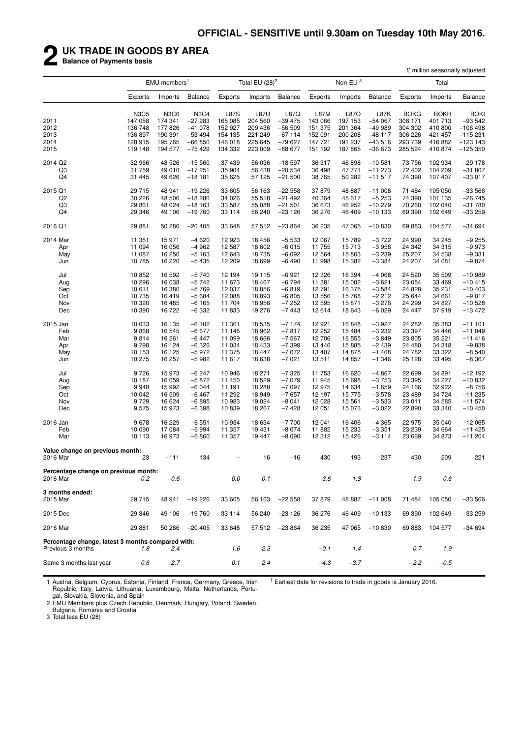# **2 UK TRADE IN GOODS BY AREA**

**Balance of Payments basis**

|                                                                        | £ million seasonally adjusted |                          |                |             |                   |                |         |                     |          |             |             |             |
|------------------------------------------------------------------------|-------------------------------|--------------------------|----------------|-------------|-------------------|----------------|---------|---------------------|----------|-------------|-------------|-------------|
|                                                                        |                               | EMU members <sup>1</sup> |                |             | Total EU $(28)^2$ |                |         | Non-EU <sup>3</sup> |          |             | Total       |             |
|                                                                        | Exports                       | Imports                  | <b>Balance</b> | Exports     | Imports           | <b>Balance</b> | Exports | Imports             | Balance  | Exports     | Imports     | Balance     |
|                                                                        | <b>N3C5</b>                   | <b>N3C6</b>              | <b>N3C4</b>    | <b>L87S</b> | <b>L87U</b>       | L87Q           | L87M    | L87O                | L87K     | <b>BOKG</b> | <b>BOKH</b> | <b>BOKI</b> |
| 2011                                                                   | 147 058                       | 174 341                  | $-27283$       | 165 085     | 204 560           | $-39475$       | 143 086 | 197 153             | $-54067$ | 308 171     | 401 713     | $-93542$    |
| 2012                                                                   | 136 748                       | 177826                   | $-41078$       | 152 927     | 209 436           | $-56509$       | 151 375 | 201 364             | $-49999$ | 304 302     | 410 800     | $-106498$   |
| 2013                                                                   | 136 897                       | 190 391                  | $-53494$       | 154 135     | 221 249           | $-67114$       | 152 091 | 200 208             | $-48117$ | 306 226     | 421 457     | $-115231$   |
| 2014                                                                   | 128 915                       | 195 765                  | $-66850$       | 146 018     | 225 645           | $-79627$       | 147 721 | 191 237             | $-43516$ | 293 739     | 416882      | $-123$ 143  |
| 2015                                                                   | 119 148                       | 194 577                  | $-75429$       | 134 332     | 223 009           | $-88677$       | 151 192 | 187865              | $-36673$ | 285 524     | 410874      | $-125350$   |
| 2014 Q2                                                                | 32 966                        | 48 526                   | $-15560$       | 37 439      | 56 036            | $-18597$       | 36 317  | 46 898              | $-10581$ | 73 756      | 102 934     | $-29178$    |
| Q3                                                                     | 31 759                        | 49 010                   | $-17251$       | 35 904      | 56 438            | $-20534$       | 36 498  | 47 771              | $-11273$ | 72 402      | 104 209     | $-31807$    |
| Q <sub>4</sub>                                                         | 31 445                        | 49 626                   | $-181$         | 35 625      | 57 125            | $-21500$       | 38 765  | 50 282              | $-11517$ | 74 390      | 107 407     | $-33017$    |
| 2015 Q1                                                                | 29 715                        | 48 941                   | $-19226$       | 33 605      | 56 163            | $-22558$       | 37879   | 48 887              | $-11008$ | 71 484      | 105 050     | $-33566$    |
| Q <sub>2</sub>                                                         | 30 226                        | 48 506                   | $-18280$       | 34 0 26     | 55 518            | $-21492$       | 40 364  | 45 617              | $-5253$  | 74 390      | 101 135     | $-26745$    |
| Q3                                                                     | 29 861                        | 48 0 24                  | $-18163$       | 33 587      | 55 088            | $-21501$       | 36 673  | 46 952              | $-10279$ | 70 260      | 102 040     | $-31780$    |
| Q4                                                                     | 29 346                        | 49 106                   | $-19760$       | 33 114      | 56 240            | $-23126$       | 36 276  | 46 409              | $-10133$ | 69 390      | 102 649     | $-33259$    |
| 2016 Q1                                                                | 29 881                        | 50 286                   | $-20405$       | 33 648      | 57 512            | $-23864$       | 36 235  | 47 065              | $-10830$ | 69 883      | 104 577     | $-34694$    |
| 2014 Mar                                                               | 11 351                        | 15 971                   | $-4620$        | 12923       | 18 456            | $-5533$        | 12 067  | 15 789              | $-3722$  | 24 990      | 34 245      | $-9255$     |
| Apr                                                                    | 11 094                        | 16 056                   | $-4962$        | 12 587      | 18 602            | $-6015$        | 11 755  | 15713               | $-3958$  | 24 342      | 34 315      | $-9973$     |
| May                                                                    | 11 087                        | 16 250                   | $-5163$        | 12 643      | 18 735            | $-6092$        | 12 5 64 | 15 803              | $-3239$  | 25 207      | 34 538      | $-9331$     |
| Jun                                                                    | 10 785                        | 16 220                   | $-5435$        | 12 209      | 18 699            | $-6490$        | 11 998  | 15 382              | $-3384$  | 24 207      | 34 081      | $-9874$     |
| Jul                                                                    | 10 852                        | 16 592                   | $-5740$        | 12 194      | 19 115            | $-6921$        | 12 3 26 | 16 394              | $-4068$  | 24 5 20     | 35 509      | $-10989$    |
| Aug                                                                    | 10 296                        | 16 038                   | $-5742$        | 11 673      | 18 467            | $-6794$        | 11 381  | 15 002              | $-3621$  | 23 054      | 33 469      | $-10415$    |
| Sep                                                                    | 10 611                        | 16 380                   | $-5769$        | 12 037      | 18856             | $-6819$        | 12 791  | 16 375              | $-3584$  | 24 8 28     | 35 231      | $-10403$    |
| Oct                                                                    | 10 735                        | 16419                    | $-5684$        | 12 088      | 18893             | $-6805$        | 13 556  | 15 768              | $-2212$  | 25 644      | 34 661      | $-9017$     |
| Nov                                                                    | 10 320                        | 16 485                   | $-6165$        | 11704       | 18 956            | $-7252$        | 12 5 95 | 15871               | $-3276$  | 24 299      | 34 827      | $-10528$    |
| Dec                                                                    | 10 390                        | 16722                    | $-6332$        | 11833       | 19 276            | $-7443$        | 12 614  | 18 643              | $-6029$  | 24 447      | 37919       | -13 472     |
| 2015 Jan                                                               | 10 033                        | 16 135                   | $-6102$        | 11 361      | 18 5 35           | $-7174$        | 12 9 21 | 16848               | $-3927$  | 24 282      | 35 383      | $-111101$   |
| Feb                                                                    | 9868                          | 16 545                   | $-6677$        | 11 145      | 18 962            | $-7817$        | 12 252  | 15 4 84             | $-3232$  | 23 397      | 34 446      | $-11049$    |
| Mar                                                                    | 9814                          | 16 261                   | $-6447$        | 11 099      | 18 666            | $-7567$        | 12 706  | 16 555              | $-3849$  | 23 805      | 35 221      | $-11416$    |
| Apr                                                                    | 9798                          | 16 124                   | $-6326$        | 11 034      | 18 4 33           | $-7399$        | 13 4 46 | 15 885              | $-2439$  | 24 480      | 34 318      | $-9838$     |
| May                                                                    | 10 153                        | 16 125                   | $-5972$        | 11 375      | 18 447            | $-7072$        | 13 407  | 14 875              | $-1468$  | 24 782      | 33 322      | $-8540$     |
| Jun                                                                    | 10 275                        | 16 257                   | $-5982$        | 11 617      | 18 638            | $-7021$        | 13511   | 14 857              | $-1.346$ | 25 1 28     | 33 495      | $-8367$     |
| Jul                                                                    | 9726                          | 15973                    | $-6247$        | 10 946      | 18 271            | $-7325$        | 11 753  | 16 620              | $-4867$  | 22 699      | 34 891      | $-12192$    |
| Aug                                                                    | 10 187                        | 16 059                   | $-5872$        | 11 450      | 18 5 29           | $-7079$        | 11 945  | 15 698              | $-3753$  | 23 395      | 34 227      | $-10832$    |
| Sep                                                                    | 9948                          | 15 992                   | $-6044$        | 11 191      | 18 288            | $-7097$        | 12 975  | 14 634              | $-1659$  | 24 166      | 32 922      | $-8756$     |
| Oct                                                                    | 10 042                        | 16 509                   | $-6467$        | 11 292      | 18 949            | $-7657$        | 12 197  | 15 775              | $-3578$  | 23 4 89     | 34 724      | $-11235$    |
| Nov                                                                    | 9729                          | 16 624                   | $-6895$        | 10983       | 19 024            | $-8041$        | 12 0 28 | 15 5 61             | $-3533$  | 23 011      | 34 585      | $-11574$    |
| Dec                                                                    | 9575                          | 15973                    | $-6398$        | 10839       | 18 267            | $-7428$        | 12 051  | 15 073              | $-3022$  | 22 890      | 33 340      | $-10450$    |
| 2016 Jan                                                               | 9678                          | 16 229                   | $-6551$        | 10934       | 18 634            | $-7700$        | 12 041  | 16 406              | $-4365$  | 22 975      | 35 040      | $-12065$    |
| Feb                                                                    | 10 090                        | 17 084                   | $-6994$        | 11 357      | 19431             | $-8074$        | 11 882  | 15 233              | $-3351$  | 23 239      | 34 664      | $-11425$    |
| Mar                                                                    | 10 113                        | 16973                    | $-6860$        | 11 357      | 19447             | $-8090$        | 12 3 12 | 15 4 26             | $-3114$  | 23 669      | 34 873      | $-11204$    |
| Value change on previous month:<br>2016 Mar                            | 23                            | $-111$                   | 134            |             | 16                | $-16$          | 430     | 193                 | 237      | 430         | 209         | 221         |
|                                                                        |                               |                          |                |             |                   |                |         |                     |          |             |             |             |
| Percentage change on previous month:<br>2016 Mar                       | 0.2                           | $-0.6$                   |                | 0.0         | 0.1               |                | 3.6     | 1.3                 |          | 1.9         | 0.6         |             |
| 3 months ended:                                                        |                               |                          |                |             |                   |                |         |                     |          |             |             |             |
| 2015 Mar                                                               | 29 715                        | 48 941                   | $-19226$       | 33 605      | 56 163            | $-22558$       | 37879   | 48 887              | $-11008$ | 71 484      | 105 050     | $-33566$    |
| 2015 Dec                                                               | 29 346                        | 49 106                   | $-19760$       | 33 114      | 56 240            | $-23126$       | 36 276  | 46 409              | $-10133$ | 69 390      | 102 649     | $-33259$    |
| 2016 Mar                                                               | 29 881                        | 50 286                   | $-20405$       | 33 648      |                   | 57 512 -23 864 | 36 235  | 47 065              | $-10830$ | 69 883      | 104 577     | $-34694$    |
| Percentage change, latest 3 months compared with:<br>Previous 3 months | 1.8                           | 2.4                      |                | 1.6         | 2.3               |                | $-0.1$  | 1.4                 |          | 0.7         | 1.9         |             |
| Same 3 months last year                                                | 0.6                           | 2.7                      |                | 0.1         | 2.4               |                | $-4.3$  | $-3.7$              |          | $-2.2$      | $-0.5$      |             |
|                                                                        |                               |                          |                |             |                   |                |         |                     |          |             |             |             |

1 Austria, Belgium, Cyprus, Estonia, Finland, France, Germany, Greece, Irish Republic, Italy, Latvia, Lithuania, Luxembourg, Malta, Netherlands, Portugal, Slovakia, Slovenia, and Spain

 $<sup>†</sup>$  Earliest date for revisions to trade in goods is January 2016.</sup>

2 EMU Members plus Czech Republic, Denmark, Hungary, Poland, Sweden, Bulgaria, Romania and Croatia

3 Total less EU (28)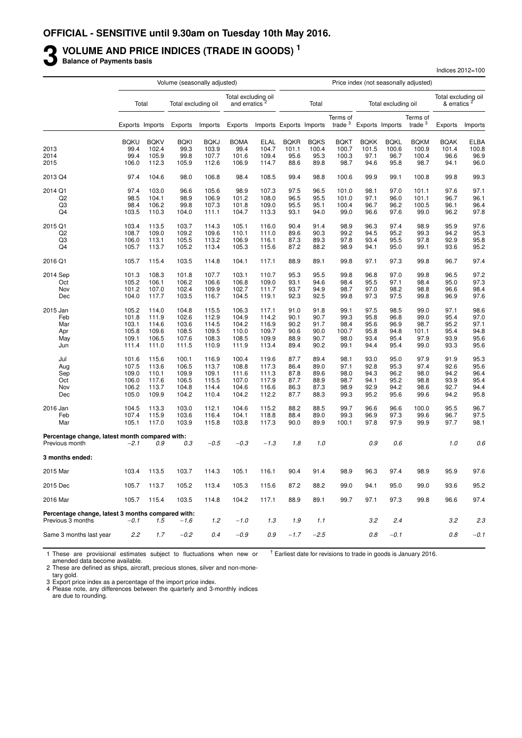# **3** VOLUME AND PRICE INDICES (TRADE IN GOODS)<sup>1</sup><br>Balance of Payments basis

**Balance of Payments basis**

|                                                                  |                |                 | Volume (seasonally adjusted) |                |                                                  |                |                         |              |                       |              |                     | Price index (not seasonally adjusted) |                                                |              |
|------------------------------------------------------------------|----------------|-----------------|------------------------------|----------------|--------------------------------------------------|----------------|-------------------------|--------------|-----------------------|--------------|---------------------|---------------------------------------|------------------------------------------------|--------------|
|                                                                  |                | Total           | Total excluding oil          |                | Total excluding oil<br>and erratics <sup>2</sup> |                |                         | Total        |                       |              | Total excluding oil |                                       | Total excluding oil<br>& erratics <sup>2</sup> |              |
|                                                                  |                | Exports Imports | Exports                      | Imports        | Exports                                          |                | Imports Exports Imports |              | Terms of<br>trade $3$ |              | Exports Imports     | Terms of<br>trade $3$                 | Exports                                        | Imports      |
|                                                                  | <b>BQKU</b>    | <b>BQKV</b>     | <b>BQKI</b>                  | <b>BOKJ</b>    | <b>BOMA</b>                                      | ELAL           | <b>BQKR</b>             | <b>BQKS</b>  | <b>BQKT</b>           | <b>BOKK</b>  | <b>BQKL</b>         | <b>BQKM</b>                           | <b>BQAK</b>                                    | <b>ELBA</b>  |
| 2013                                                             | 99.4           | 102.4           | 99.3                         | 103.9          | 99.4                                             | 104.7          | 101.1                   | 100.4        | 100.7                 | 101.5        | 100.6               | 100.9                                 | 101.4                                          | 100.8        |
| 2014                                                             | 99.4           | 105.9           | 99.8                         | 107.7          | 101.6                                            | 109.4          | 95.6                    | 95.3         | 100.3                 | 97.1         | 96.7                | 100.4                                 | 96.6                                           | 96.9         |
| 2015                                                             | 106.0          | 112.3           | 105.9                        | 112.6          | 106.9                                            | 114.7          | 88.6                    | 89.8         | 98.7                  | 94.6         | 95.8                | 98.7                                  | 94.1                                           | 96.0         |
| 2013 Q4                                                          | 97.4           | 104.6           | 98.0                         | 106.8          | 98.4                                             | 108.5          | 99.4                    | 98.8         | 100.6                 | 99.9         | 99.1                | 100.8                                 | 99.8                                           | 99.3         |
| 2014 Q1                                                          | 97.4           | 103.0           | 96.6                         | 105.6          | 98.9                                             | 107.3          | 97.5                    | 96.5         | 101.0                 | 98.1         | 97.0                | 101.1                                 | 97.6                                           | 97.1         |
| Q <sub>2</sub>                                                   | 98.5           | 104.1           | 98.9                         | 106.9          | 101.2                                            | 108.0          | 96.5                    | 95.5         | 101.0                 | 97.1         | 96.0                | 101.1                                 | 96.7                                           | 96.1         |
| Q3                                                               | 98.4           | 106.2           | 99.8                         | 107.3          | 101.8                                            | 109.0          | 95.5                    | 95.1         | 100.4                 | 96.7         | 96.2                | 100.5                                 | 96.1                                           | 96.4         |
| Q4                                                               | 103.5          | 110.3           | 104.0                        | 111.1          | 104.7                                            | 113.3          | 93.1                    | 94.0         | 99.0                  | 96.6         | 97.6                | 99.0                                  | 96.2                                           | 97.8         |
| 2015 Q1                                                          | 103.4          | 113.5           | 103.7                        | 114.3          | 105.1                                            | 116.0          | 90.4                    | 91.4         | 98.9                  | 96.3         | 97.4                | 98.9                                  | 95.9                                           | 97.6         |
| Q <sub>2</sub>                                                   | 108.7          | 109.0           | 109.2                        | 109.6          | 110.1                                            | 111.0          | 89.6                    | 90.3         | 99.2                  | 94.5         | 95.2                | 99.3                                  | 94.2                                           | 95.3         |
| Q3                                                               | 106.0          | 113.1           | 105.5                        | 113.2          | 106.9                                            | 116.1          | 87.3                    | 89.3         | 97.8                  | 93.4         | 95.5                | 97.8                                  | 92.9                                           | 95.8         |
| Q4                                                               | 105.7          | 113.7           | 105.2                        | 113.4          | 105.3                                            | 115.6          | 87.2                    | 88.2         | 98.9                  | 94.1         | 95.0                | 99.1                                  | 93.6                                           | 95.2         |
| 2016 Q1                                                          | 105.7          | 115.4           | 103.5                        | 114.8          | 104.1                                            | 117.1          | 88.9                    | 89.1         | 99.8                  | 97.1         | 97.3                | 99.8                                  | 96.7                                           | 97.4         |
| 2014 Sep                                                         | 101.3          | 108.3           | 101.8                        | 107.7          | 103.1                                            | 110.7          | 95.3                    | 95.5         | 99.8                  | 96.8         | 97.0                | 99.8                                  | 96.5                                           | 97.2         |
| Oct                                                              | 105.2          | 106.1           | 106.2                        | 106.6          | 106.8                                            | 109.0          | 93.1                    | 94.6         | 98.4                  | 95.5         | 97.1                | 98.4                                  | 95.0                                           | 97.3         |
| Nov                                                              | 101.2          | 107.0           | 102.4                        | 109.9          | 102.7                                            | 111.7          | 93.7                    | 94.9         | 98.7                  | 97.0         | 98.2                | 98.8                                  | 96.6                                           | 98.4         |
| Dec                                                              | 104.0          | 117.7           | 103.5                        | 116.7          | 104.5                                            | 119.1          | 92.3                    | 92.5         | 99.8                  | 97.3         | 97.5                | 99.8                                  | 96.9                                           | 97.6         |
| 2015 Jan                                                         | 105.2          | 114.0           | 104.8                        | 115.5          | 106.3                                            | 117.1          | 91.0                    | 91.8         | 99.1                  | 97.5         | 98.5                | 99.0                                  | 97.1                                           | 98.6         |
| Feb                                                              | 101.8          | 111.9           | 102.6                        | 112.9          | 104.9                                            | 114.2          | 90.1                    | 90.7         | 99.3                  | 95.8         | 96.8                | 99.0                                  | 95.4                                           | 97.0         |
| Mar                                                              | 103.1          | 114.6           | 103.6                        | 114.5          | 104.2                                            | 116.9          | 90.2                    | 91.7         | 98.4                  | 95.6         | 96.9                | 98.7                                  | 95.2                                           | 97.1         |
| Apr                                                              | 105.8          | 109.6           | 108.5                        | 109.5          | 110.0                                            | 109.7          | 90.6                    | 90.0         | 100.7                 | 95.8         | 94.8                | 101.1                                 | 95.4                                           | 94.8         |
| May                                                              | 109.1          | 106.5           | 107.6                        | 108.3          | 108.5                                            | 109.9          | 88.9                    | 90.7         | 98.0                  | 93.4         | 95.4                | 97.9                                  | 93.9                                           | 95.6         |
| Jun                                                              | 111.4          | 111.0           | 111.5                        | 110.9          | 111.9                                            | 113.4          | 89.4                    | 90.2         | 99.1                  | 94.4         | 95.4                | 99.0                                  | 93.3                                           | 95.6         |
| Jul                                                              | 101.6          | 115.6           | 100.1                        | 116.9          | 100.4                                            | 119.6          | 87.7                    | 89.4         | 98.1                  | 93.0         | 95.0                | 97.9                                  | 91.9                                           | 95.3         |
| Aug                                                              | 107.5          | 113.6           | 106.5                        | 113.7          | 108.8                                            | 117.3          | 86.4                    | 89.0         | 97.1                  | 92.8         | 95.3                | 97.4                                  | 92.6                                           | 95.6         |
| Sep                                                              | 109.0          | 110.1           | 109.9                        | 109.1          | 111.6                                            | 111.3          | 87.8                    | 89.6         | 98.0                  | 94.3         | 96.2                | 98.0                                  | 94.2                                           | 96.4         |
| Oct                                                              | 106.0          | 117.6           | 106.5                        | 115.5          | 107.0                                            | 117.9          | 87.7                    | 88.9         | 98.7                  | 94.1         | 95.2                | 98.8                                  | 93.9                                           | 95.4         |
| Nov<br>Dec                                                       | 106.2<br>105.0 | 113.7<br>109.9  | 104.8<br>104.2               | 114.4<br>110.4 | 104.6<br>104.2                                   | 116.6<br>112.2 | 86.3<br>87.7            | 87.3<br>88.3 | 98.9<br>99.3          | 92.9<br>95.2 | 94.2<br>95.6        | 98.6<br>99.6                          | 92.7<br>94.2                                   | 94.4<br>95.8 |
|                                                                  |                |                 |                              |                |                                                  |                |                         |              |                       |              |                     |                                       |                                                |              |
| 2016 Jan                                                         | 104.5          | 113.3           | 103.0                        | 112.1          | 104.6                                            | 115.2          | 88.2                    | 88.5         | 99.7                  | 96.6         | 96.6                | 100.0                                 | 95.5                                           | 96.7         |
| Feb                                                              | 107.4          | 115.9           | 103.6                        | 116.4          | 104.1                                            | 118.8          | 88.4                    | 89.0         | 99.3                  | 96.9         | 97.3                | 99.6                                  | 96.7                                           | 97.5         |
| Mar                                                              | 105.1          | 117.0           | 103.9                        | 115.8          | 103.8                                            | 117.3          | 90.0                    | 89.9         | 100.1                 | 97.8         | 97.9                | 99.9                                  | 97.7                                           | 98.1         |
| Percentage change, latest month compared with:<br>Previous month | $-2.1$         | 0.9             | 0.3                          | $-0.5$         | $-0.3$                                           | $-1.3$         | 1.8                     | 1.0          |                       | 0.9          | 0.6                 |                                       | 1.0                                            | 0.6          |
|                                                                  |                |                 |                              |                |                                                  |                |                         |              |                       |              |                     |                                       |                                                |              |
| 3 months ended:                                                  |                |                 |                              |                |                                                  |                |                         |              |                       |              |                     |                                       |                                                |              |
| 2015 Mar                                                         | 103.4          | 113.5           | 103.7                        | 114.3          | 105.1                                            | 116.1          | 90.4                    | 91.4         | 98.9                  | 96.3         | 97.4                | 98.9                                  | 95.9                                           | 97.6         |
| 2015 Dec                                                         | 105.7          | 113.7           | 105.2                        | 113.4          | 105.3                                            | 115.6          | 87.2                    | 88.2         | 99.0                  | 94.1         | 95.0                | 99.0                                  | 93.6                                           | 95.2         |
| 2016 Mar                                                         | 105.7          | 115.4           | 103.5                        | 114.8          | 104.2                                            | 117.1          | 88.9                    | 89.1         | 99.7                  | 97.1         | 97.3                | 99.8                                  | 96.6                                           | 97.4         |
| Percentage change, latest 3 months compared with:                |                |                 |                              |                |                                                  |                |                         |              |                       |              |                     |                                       |                                                |              |
| Previous 3 months                                                | $-0.1$         | 1.5             | $-1.6$                       | 1.2            | $-1.0$                                           | 1.3            | 1.9                     | 1.1          |                       | 3.2          | 2.4                 |                                       | 3.2                                            | 2.3          |
| Same 3 months last year                                          | 2.2            | 1.7             | $-0.2$                       | 0.4            | $-0.9$                                           | 0.9            | $-1.7$                  | $-2.5$       |                       | 0.8          | $-0.1$              |                                       | 0.8                                            | $-0.1$       |

Indices 2012=100

1 These are provisional estimates subject to fluctuations when new or amended data become available.  $<sup>†</sup>$  Earliest date for revisions to trade in goods is January 2016.</sup>

2 These are defined as ships, aircraft, precious stones, silver and non-mone-

tary gold.

3 Export price index as a percentage of the import price index. 4 Please note, any differences between the quarterly and 3-monthly indices

are due to rounding.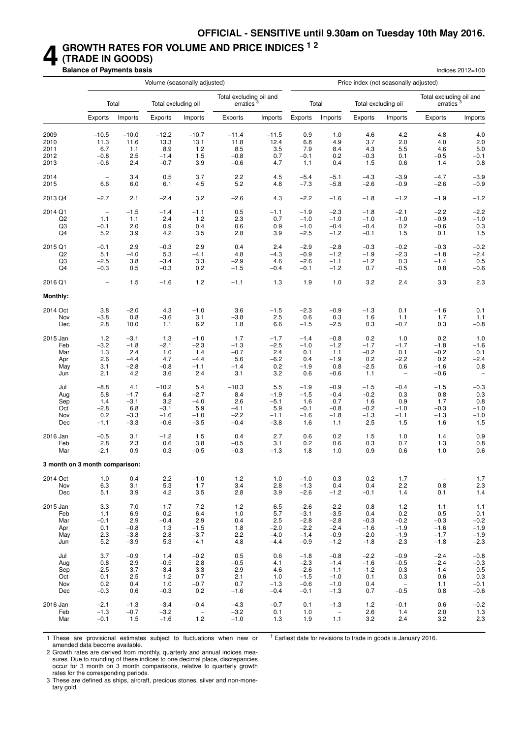### **4 GROWTH RATES FOR VOLUME AND PRICE INDICES 1 2 (TRADE IN GOODS)**

**Balance of Payments basis** Indices 2012=100

|                                |                          |                   |                     | Volume (seasonally adjusted) |                                                  |                   |                            |                          | Price index (not seasonally adjusted) |                          |                                                  |                          |
|--------------------------------|--------------------------|-------------------|---------------------|------------------------------|--------------------------------------------------|-------------------|----------------------------|--------------------------|---------------------------------------|--------------------------|--------------------------------------------------|--------------------------|
|                                |                          | Total             | Total excluding oil |                              | Total excluding oil and<br>erratics <sup>3</sup> |                   |                            | Total                    | Total excluding oil                   |                          | Total excluding oil and<br>erratics <sup>3</sup> |                          |
|                                | Exports                  | Imports           | Exports             | Imports                      | Exports                                          | Imports           | Exports                    | Imports                  | <b>Exports</b>                        | Imports                  | Exports                                          | Imports                  |
| 2009                           | $-10.5$                  | $-10.0$           | $-12.2$             | $-10.7$                      | $-11.4$                                          | $-11.5$           | 0.9                        | 1.0                      | 4.6                                   | 4.2                      | 4.8                                              | 4.0                      |
| 2010                           | 11.3                     | 11.6              | 13.3                | 13.1                         | 11.8                                             | 12.4              | 6.8                        | 4.9                      | 3.7                                   | 2.0                      | 4.0                                              | 2.0                      |
| 2011                           | 6.7                      | 1.1               | 8.9                 | 1.2                          | 8.5                                              | 3.5               | 7.9                        | 8.4                      | 4.3                                   | 5.5                      | 4.6                                              | 5.0                      |
| 2012                           | $-0.8$                   | 2.5               | $-1.4$              | 1.5                          | $-0.8$                                           | 0.7               | $-0.1$                     | 0.2                      | $-0.3$                                | 0.1                      | $-0.5$                                           | $-0.1$                   |
| 2013                           | $-0.6$                   | 2.4               | $-0.7$              | 3.9                          | $-0.6$                                           | 4.7               | 1.1                        | 0.4                      | 1.5                                   | 0.6                      | 1.4                                              | 0.8                      |
| 2014                           | $\overline{\phantom{m}}$ | 3.4               | 0.5                 | 3.7                          | 2.2                                              | 4.5               | $-5.4$                     | $-5.1$                   | $-4.3$                                | $-3.9$                   | $-4.7$                                           | $-3.9$                   |
| 2015                           | 6.6                      | 6.0               | 6.1                 | 4.5                          | 5.2                                              | 4.8               | $-7.3$                     | $-5.8$                   | $-2.6$                                | $-0.9$                   | $-2.6$                                           | $-0.9$                   |
| 2013 Q4                        | $-2.7$                   | 2.1               | $-2.4$              | 3.2                          | $-2.6$                                           | 4.3               | $-2.2$                     | $-1.6$                   | $-1.8$                                | $-1.2$                   | $-1.9$                                           | $-1.2$                   |
| 2014 Q1                        | $\overline{\phantom{m}}$ | $-1.5$            | $-1.4$              | $-1.1$                       | 0.5                                              | $-1.1$            | $-1.9$                     | $-2.3$                   | $-1.8$                                | $-2.1$                   | $-2.2$                                           | $-2.2$                   |
| Q <sub>2</sub>                 | 1.1                      | 1.1               | 2.4                 | 1.2                          | 2.3                                              | 0.7               | $-1.0$                     | $-1.0$                   | $-1.0$                                | $-1.0$                   | $-0.9$                                           | $-1.0$                   |
| Q3                             | $-0.1$                   | 2.0               | 0.9                 | 0.4                          | 0.6                                              | 0.9               | $-1.0$                     | $-0.4$                   | $-0.4$                                | 0.2                      | $-0.6$                                           | 0.3                      |
| Q4                             | 5.2                      | 3.9               | 4.2                 | 3.5                          | 2.8                                              | 3.9               | $-2.5$                     | $-1.2$                   | $-0.1$                                | 1.5                      | 0.1                                              | $1.5$                    |
| 2015 Q1                        | $-0.1$                   | 2.9               | $-0.3$              | 2.9                          | 0.4                                              | 2.4               | $-2.9$                     | $-2.8$                   | $-0.3$                                | $-0.2$                   | $-0.3$                                           | $-0.2$                   |
| Q <sub>2</sub>                 | 5.1                      | $-4.0$            | 5.3                 | $-4.1$                       | 4.8                                              | $-4.3$            | $-0.9$                     | $-1.2$                   | $-1.9$                                | $-2.3$                   | $-1.8$                                           | $-2.4$                   |
| Q3                             | $-2.5$                   | 3.8               | $-3.4$              | 3.3                          | $-2.9$                                           | 4.6               | $-2.6$                     | $-1.1$                   | $-1.2$                                | 0.3                      | $-1.4$                                           | 0.5                      |
| Q4                             | $-0.3$                   | 0.5               | $-0.3$              | 0.2                          | $-1.5$                                           | $-0.4$            | $-0.1$                     | $-1.2$                   | 0.7                                   | $-0.5$                   | 0.8                                              | $-0.6$                   |
| 2016 Q1                        | $\overline{\phantom{0}}$ | 1.5               | $-1.6$              | 1.2                          | $-1.1$                                           | 1.3               | 1.9                        | 1.0                      | 3.2                                   | 2.4                      | 3.3                                              | 2.3                      |
| <b>Monthly:</b>                |                          |                   |                     |                              |                                                  |                   |                            |                          |                                       |                          |                                                  |                          |
| 2014 Oct                       | 3.8                      | $-2.0$            | 4.3                 | $-1.0$                       | 3.6                                              | $-1.5$            | $-2.3$                     | $-0.9$                   | $-1.3$                                | 0.1                      | $-1.6$                                           | 0.1                      |
| Nov                            | $-3.8$                   | 0.8               | $-3.6$              | 3.1                          | $-3.8$                                           | 2.5               | 0.6                        | 0.3                      | 1.6                                   | 1.1                      | 1.7                                              | 1.1                      |
| Dec                            | 2.8                      | 10.0              | 1.1                 | 6.2                          | 1.8                                              | 6.6               | $-1.5$                     | $-2.5$                   | 0.3                                   | $-0.7$                   | 0.3                                              | $-0.8$                   |
| 2015 Jan                       | 1.2                      | $-3.1$            | 1.3                 | $-1.0$                       | 1.7                                              | $-1.7$            | $-1.4$                     | $-0.8$                   | 0.2                                   | 1.0                      | 0.2                                              | 1.0                      |
| Feb                            | $-3.2$                   | $-1.8$            | $-2.1$              | $-2.3$                       | $-1.3$                                           | $-2.5$            | $-1.0$                     | $-1.2$                   | $-1.7$                                | $-1.7$                   | $-1.8$                                           | $-1.6$                   |
| Mar                            | 1.3                      | 2.4               | 1.0                 | 1.4                          | $-0.7$                                           | 2.4               | 0.1                        | 1.1                      | $-0.2$                                | 0.1                      | $-0.2$                                           | 0.1                      |
| Apr                            | 2.6                      | $-4.4$            | 4.7                 | $-4.4$                       | 5.6                                              | $-6.2$            | 0.4                        | $-1.9$                   | 0.2                                   | $-2.2$                   | 0.2                                              | $-2.4$                   |
| May                            | 3.1                      | $-2.8$            | $-0.8$              | $-1.1$                       | $-1.4$                                           | 0.2               | $-1.9$                     | 0.8                      | $-2.5$                                | 0.6                      | $-1.6$                                           | 0.8                      |
| Jun                            | 2.1                      | 4.2               | 3.6                 | 2.4                          | 3.1                                              | 3.2               | 0.6                        | $-0.6$                   | 1.1                                   | $\qquad \qquad -$        | $-0.6$                                           | $\overline{\phantom{0}}$ |
| Jul                            | $-8.8$                   | 4.1               | $-10.2$             | 5.4                          | $-10.3$                                          | 5.5               | $-1.9$                     | $-0.9$                   | $-1.5$                                | $-0.4$                   | $-1.5$                                           | $-0.3$                   |
| Aug                            | 5.8                      | $-1.7$            | 6.4                 | $-2.7$                       | 8.4                                              | $-1.9$            | $-1.5$                     | $-0.4$                   | $-0.2$                                | 0.3                      | 0.8                                              | 0.3                      |
| Sep                            | 1.4                      | $-3.1$            | 3.2                 | $-4.0$                       | 2.6                                              | $-5.1$            | 1.6                        | 0.7                      | 1.6                                   | 0.9                      | 1.7                                              | 0.8                      |
| Oct                            | $-2.8$                   | 6.8               | $-3.1$              | 5.9                          | $-4.1$                                           | 5.9               | $-0.1$                     | $-0.8$                   | $-0.2$                                | $-1.0$                   | $-0.3$                                           | $-1.0$                   |
| Nov                            | 0.2                      | $-3.3$            | $-1.6$              | $-1.0$                       | $-2.2$                                           | $-1.1$            | $-1.6$                     | $-1.8$                   | $-1.3$                                | $-1.1$                   | $-1.3$                                           | $-1.0$                   |
| Dec                            | $-1.1$                   | $-3.3$            | $-0.6$              | $-3.5$                       | $-0.4$                                           | $-3.8$            | 1.6                        | 1.1                      | 2.5                                   | 1.5                      | 1.6                                              | 1.5                      |
| 2016 Jan                       | $-0.5$                   | 3.1               | $-1.2$              | 1.5                          | 0.4                                              | 2.7               | 0.6                        | 0.2                      | 1.5                                   | 1.0                      | 1.4                                              | 0.9                      |
| Feb                            | 2.8                      | 2.3               | 0.6                 | 3.8                          | $-0.5$                                           | 3.1               | 0.2                        | 0.6                      | 0.3                                   | 0.7                      | 1.3                                              | 0.8                      |
| Mar                            | $-2.1$                   | 0.9               | 0.3                 | $-0.5$                       | $-0.3$                                           | $-1.3$            | 1.8                        | 1.0                      | 0.9                                   | 0.6                      | 1.0                                              | 0.6                      |
| 3 month on 3 month comparison: |                          |                   |                     |                              |                                                  |                   |                            |                          |                                       |                          |                                                  |                          |
| 2014 Oct<br>Nov<br>Dec         | 1.0<br>6.3<br>5.1        | 0.4<br>3.1<br>3.9 | 2.2<br>5.3<br>4.2   | $-1.0$<br>1.7<br>3.5         | $1.2$<br>3.4<br>2.8                              | 1.0<br>2.8<br>3.9 | $-1.0$<br>$-1.3$<br>$-2.6$ | 0.3<br>0.4<br>$-1.2$     | 0.2<br>0.4<br>$-0.1$                  | 1.7<br>2.2<br>1.4        | $\overline{\phantom{a}}$<br>0.8<br>0.1           | 1.7<br>$\frac{2.3}{1.4}$ |
| 2015 Jan                       | 3.3                      | 7.0               | 1.7                 | 7.2                          | 1.2                                              | 6.5               | $-2.6$                     | $-2.2$                   | 0.8                                   | $1.2$                    | 1.1                                              | 1.1                      |
| Feb                            | 1.1                      | 6.9               | 0.2                 | 6.4                          | 1.0                                              | 5.7               | $-3.1$                     | $-3.5$                   | 0.4                                   | 0.2                      | 0.5                                              | 0.1                      |
| Mar                            | $-0.1$                   | 2.9               | $-0.4$              | 2.9                          | 0.4                                              | 2.5               | $-2.8$                     | $-2.8$                   | $-0.3$                                | $-0.2$                   | $-0.3$                                           | $-0.2$                   |
| Apr                            | 0.1                      | $-0.8$            | 1.3                 | $-1.5$                       | 1.8                                              | $-2.0$            | $-2.2$                     | $-2.4$                   | $-1.6$                                | $-1.9$                   | $-1.6$                                           | $-1.9$                   |
| May                            | 2.3                      | $-3.8$            | 2.8                 | $-3.7$                       | 2.2                                              | $-4.0$            | $-1.4$                     | $-0.9$                   | $-2.0$                                | $-1.9$                   | $-1.7$                                           | $-1.9$                   |
| Jun                            | 5.2                      | $-3.9$            | 5.3                 | $-4.1$                       | 4.8                                              | $-4.4$            | $-0.9$                     | $-1.2$                   | $-1.8$                                | $-2.3$                   | $-1.8$                                           | $-2.3$                   |
| Jul                            | 3.7                      | $-0.9$            | 1.4                 | $-0.2$                       | 0.5                                              | 0.6               | $-1.8$                     | $-0.8$                   | $-2.2$                                | $-0.9$                   | $-2.4$                                           | $-0.8$                   |
| Aug                            | 0.8                      | 2.9               | $-0.5$              | 2.8                          | $-0.5$                                           | 4.1               | $-2.3$                     | $-1.4$                   | $-1.6$                                | $-0.5$                   | $-2.4$                                           | $-0.3$                   |
| Sep                            | $-2.5$                   | 3.7               | $-3.4$              | 3.3                          | $-2.9$                                           | 4.6               | $-2.6$                     | $-1.1$                   | $-1.2$                                | 0.3                      | $-1.4$                                           | $0.5\,$                  |
| Oct                            | 0.1                      | 2.5               | 1.2                 | 0.7                          | 2.1                                              | 1.0               | $-1.5$                     | $-1.0$                   | 0.1                                   | 0.3                      | 0.6                                              | 0.3                      |
| Nov                            | 0.2                      | 0.4               | 1.0                 | $-0.7$                       | 0.7                                              | $-1.3$            | $-0.6$                     | $-1.0$                   | 0.4                                   | $\overline{\phantom{a}}$ | 1.1                                              | $-0.1$                   |
| Dec                            | $-0.3$                   | 0.6               | $-0.3$              | 0.2                          | $-1.6$                                           | $-0.4$            | $-0.1$                     | $-1.3$                   | 0.7                                   | $-0.5$                   | 0.8                                              | $-0.6$                   |
| 2016 Jan                       | $-2.1$                   | $-1.3$            | $-3.4$              | $-0.4$                       | $-4.3$                                           | $-0.7$            | 0.1                        | $-1.3$                   | 1.2                                   | $-0.1$                   | 0.6                                              | $-0.2$                   |
| Feb                            | $-1.3$                   | $-0.7$            | $-3.2$              | $\overline{\phantom{a}}$     | $-3.2$                                           | 0.1               | 1.0                        | $\overline{\phantom{a}}$ | 2.6                                   | 1.4                      | 2.0                                              | 1.3                      |
| Mar                            | $-0.1$                   | 1.5               | $-1.6$              | 1.2                          | $-1.0$                                           | 1.3               | 1.9                        | 1.1                      | 3.2                                   | 2.4                      | 3.2                                              | 2.3                      |

1 These are provisional estimates subject to fluctuations when new or amended data become available.

 $<sup>†</sup>$  Earliest date for revisions to trade in goods is January 2016.</sup>

2 Growth rates are derived from monthly, quarterly and annual indices measures. Due to rounding of these indices to one decimal place, discrepancies occur for 3 month on 3 month comparisons, relative to quarterly growth rates for the corresponding periods.

3 These are defined as ships, aircraft, precious stones, silver and non-monetary gold.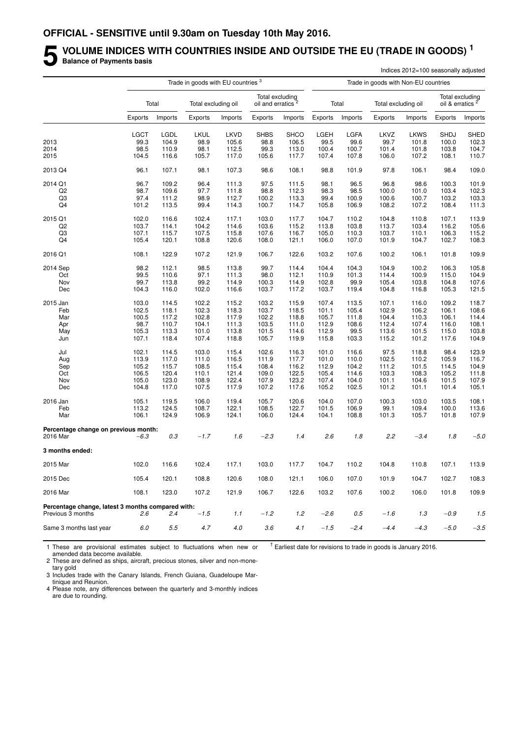# **5** VOLUME INDICES WITH COUNTRIES INSIDE AND OUTSIDE THE EU (TRADE IN GOODS)<sup>1</sup><br>Balance of Payments basis **Balance of Payments basis**

|                                                   |             |         |                                               |                |                                                  |                |         |               |                                      | Indices 2012=100 seasonally adjusted |                             |                 |
|---------------------------------------------------|-------------|---------|-----------------------------------------------|----------------|--------------------------------------------------|----------------|---------|---------------|--------------------------------------|--------------------------------------|-----------------------------|-----------------|
|                                                   |             |         | Trade in goods with EU countries <sup>3</sup> |                |                                                  |                |         |               | Trade in goods with Non-EU countries |                                      |                             |                 |
|                                                   |             | Total   | Total excluding oil                           |                | Total excluding<br>oil and erratics <sup>2</sup> |                |         | Total         | Total excluding oil                  |                                      | oil & erratics <sup>2</sup> | Total excluding |
|                                                   | Exports     | Imports | Exports                                       | Imports        | Exports                                          | Imports        | Exports | Imports       | Exports                              | Imports                              | Exports                     | Imports         |
|                                                   | <b>LGCT</b> | LGDL    | LKUL                                          | LKVD           | <b>SHBS</b>                                      | <b>SHCO</b>    | LGEH    | LGFA          | LKVZ                                 | <b>LKWS</b>                          | <b>SHDJ</b>                 | <b>SHED</b>     |
| 2013                                              | 99.3        | 104.9   | 98.9                                          | 105.6          | 98.8                                             | 106.5          | 99.5    | 99.6          | 99.7                                 | 101.8                                | 100.0                       | 102.3           |
| 2014                                              | 98.5        | 110.9   | 98.1                                          | 112.5          | 99.3                                             | 113.0          | 100.4   | 100.7         | 101.4                                | 101.8                                | 103.8                       | 104.7           |
| 2015                                              | 104.5       | 116.6   | 105.7                                         | 117.0          | 105.6                                            | 117.7          | 107.4   | 107.8         | 106.0                                | 107.2                                | 108.1                       | 110.7           |
| 2013 Q4                                           | 96.1        | 107.1   | 98.1                                          | 107.3          | 98.6                                             | 108.1          | 98.8    | 101.9         | 97.8                                 | 106.1                                | 98.4                        | 109.0           |
| 2014 Q1                                           | 96.7        | 109.2   | 96.4                                          | 111.3          | 97.5                                             | 111.5          | 98.1    | 96.5          | 96.8                                 | 98.6                                 | 100.3                       | 101.9           |
| Q2                                                | 98.7        | 109.6   | 97.7                                          | 111.8          | 98.8                                             | 112.3          | 98.3    | 98.5          | 100.0                                | 101.0                                | 103.4                       | 102.3           |
| Q3                                                | 97.4        | 111.2   | 98.9                                          | 112.7          | 100.2                                            | 113.3          | 99.4    | 100.9         | 100.6                                | 100.7                                | 103.2                       | 103.3           |
| Q4                                                | 101.2       | 113.5   | 99.4                                          | 114.3          | 100.7                                            | 114.7          | 105.8   | 106.9         | 108.2                                | 107.2                                | 108.4                       | 111.3           |
| 2015 Q1                                           | 102.0       | 116.6   | 102.4                                         | 117.1          | 103.0                                            | 117.7          | 104.7   | 110.2         | 104.8                                | 110.8                                | 107.1                       | 113.9           |
|                                                   |             |         |                                               |                | 103.6                                            | 115.2          | 113.8   |               |                                      | 103.4                                | 116.2                       | 105.6           |
| Q2                                                | 103.7       | 114.1   | 104.2                                         | 114.6          |                                                  |                |         | 103.8         | 113.7                                |                                      |                             |                 |
| Q3                                                | 107.1       | 115.7   | 107.5                                         | 115.8          | 107.6                                            | 116.7          | 105.0   | 110.3         | 103.7                                | 110.1                                | 106.3                       | 115.2           |
| Q4                                                | 105.4       | 120.1   | 108.8                                         | 120.6          | 108.0                                            | 121.1          | 106.0   | 107.0         | 101.9                                | 104.7                                | 102.7                       | 108.3           |
| 2016 Q1                                           | 108.1       | 122.9   | 107.2                                         | 121.9          | 106.7                                            | 122.6          | 103.2   | 107.6         | 100.2                                | 106.1                                | 101.8                       | 109.9           |
| 2014 Sep                                          | 98.2        | 112.1   | 98.5                                          | 113.8          | 99.7                                             | 114.4          | 104.4   | 104.3         | 104.9                                | 100.2                                | 106.3                       | 105.8           |
| Oct                                               | 99.5        | 110.6   | 97.1                                          | 111.3          | 98.0                                             | 112.1          | 110.9   | 101.3         | 114.4                                | 100.9                                | 115.0                       | 104.9           |
| Nov                                               | 99.7        | 113.8   | 99.2                                          | 114.9          | 100.3                                            | 114.9          | 102.8   | 99.9          | 105.4                                | 103.8                                | 104.8                       | 107.6           |
| Dec                                               | 104.3       | 116.0   | 102.0                                         | 116.6          | 103.7                                            | 117.2          | 103.7   | 119.4         | 104.8                                | 116.8                                | 105.3                       | 121.5           |
| 2015 Jan                                          | 103.0       | 114.5   | 102.2                                         | 115.2          | 103.2                                            | 115.9          | 107.4   | 113.5         | 107.1                                | 116.0                                | 109.2                       | 118.7           |
| Feb                                               | 102.5       | 118.1   | 102.3                                         | 118.3          | 103.7                                            | 118.5          | 101.1   | 105.4         | 102.9                                | 106.2                                | 106.1                       | 108.6           |
| Mar                                               | 100.5       | 117.2   | 102.8                                         | 117.9          | 102.2                                            | 118.8          | 105.7   | 111.8         | 104.4                                | 110.3                                | 106.1                       | 114.4           |
| Apr                                               | 98.7        | 110.7   | 104.1                                         | 111.3          | 103.5                                            | 111.0          | 112.9   | 108.6         | 112.4                                | 107.4                                | 116.0                       | 108.1           |
|                                                   | 105.3       | 113.3   |                                               |                | 101.5                                            |                | 112.9   |               |                                      |                                      |                             |                 |
| May<br>Jun                                        | 107.1       | 118.4   | 101.0<br>107.4                                | 113.8<br>118.8 | 105.7                                            | 114.6<br>119.9 | 115.8   | 99.5<br>103.3 | 113.6<br>115.2                       | 101.5<br>101.2                       | 115.0<br>117.6              | 103.8<br>104.9  |
|                                                   |             |         |                                               |                |                                                  |                |         |               |                                      |                                      |                             |                 |
| Jul                                               | 102.1       | 114.5   | 103.0                                         | 115.4          | 102.6                                            | 116.3          | 101.0   | 116.6         | 97.5                                 | 118.8                                | 98.4                        | 123.9           |
| Aug                                               | 113.9       | 117.0   | 111.0                                         | 116.5          | 111.9                                            | 117.7          | 101.0   | 110.0         | 102.5                                | 110.2                                | 105.9                       | 116.7           |
| Sep                                               | 105.2       | 115.7   | 108.5                                         | 115.4          | 108.4                                            | 116.2          | 112.9   | 104.2         | 111.2                                | 101.5                                | 114.5                       | 104.9           |
| Oct                                               | 106.5       | 120.4   | 110.1                                         | 121.4          | 109.0                                            | 122.5          | 105.4   | 114.6         | 103.3                                | 108.3                                | 105.2                       | 111.8           |
| Nov                                               | 105.0       | 123.0   | 108.9                                         | 122.4          | 107.9                                            | 123.2          | 107.4   | 104.0         | 101.1                                | 104.6                                | 101.5                       | 107.9           |
| Dec                                               | 104.8       | 117.0   | 107.5                                         | 117.9          | 107.2                                            | 117.6          | 105.2   | 102.5         | 101.2                                | 101.1                                | 101.4                       | 105.1           |
| 2016 Jan                                          | 105.1       | 119.5   | 106.0                                         | 119.4          | 105.7                                            | 120.6          | 104.0   | 107.0         | 100.3                                | 103.0                                | 103.5                       | 108.1           |
| Feb                                               | 113.2       | 124.5   | 108.7                                         | 122.1          | 108.5                                            | 122.7          | 101.5   | 106.9         | 99.1                                 | 109.4                                | 100.0                       | 113.6           |
| Mar                                               | 106.1       | 124.9   | 106.9                                         | 124.1          | 106.0                                            | 124.4          | 104.1   | 108.8         | 101.3                                | 105.7                                | 101.8                       | 107.9           |
| Percentage change on previous month:<br>2016 Mar  | $-6.3$      | 0.3     | $-1.7$                                        | 1.6            | $-2.3$                                           | 1.4            | 2.6     | 1.8           | 2.2                                  | $-3.4$                               | 1.8                         | $-5.0$          |
| 3 months ended:                                   |             |         |                                               |                |                                                  |                |         |               |                                      |                                      |                             |                 |
| 2015 Mar                                          | 102.0       | 116.6   | 102.4                                         | 117.1          | 103.0                                            | 117.7          | 104.7   | 110.2         | 104.8                                | 110.8                                | 107.1                       | 113.9           |
|                                                   |             |         |                                               |                |                                                  |                |         |               |                                      |                                      |                             |                 |
| 2015 Dec                                          | 105.4       | 120.1   | 108.8                                         | 120.6          | 108.0                                            | 121.1          | 106.0   | 107.0         | 101.9                                | 104.7                                | 102.7                       | 108.3           |
| 2016 Mar                                          | 108.1       | 123.0   | 107.2                                         | 121.9          | 106.7                                            | 122.6          | 103.2   | 107.6         | 100.2                                | 106.0                                | 101.8                       | 109.9           |
| Percentage change, latest 3 months compared with: |             |         |                                               |                |                                                  |                |         |               |                                      |                                      |                             |                 |
| Previous 3 months                                 | 2.6         | 2.4     | $-1.5$                                        | 1.1            | $-1.2$                                           | 1.2            | $-2.6$  | 0.5           | $-1.6$                               | 1.3                                  | $-0.9$                      | 1.5             |
|                                                   |             |         |                                               |                |                                                  |                |         |               |                                      |                                      |                             |                 |
| Same 3 months last year                           | 6.0         | $5.5\,$ | 4.7                                           | 4.0            | 3.6                                              | 4.1            | $-1.5$  | $-2.4$        | $-4.4$                               | $-4.3$                               | $-5.0$                      | $-3.5$          |

1 These are provisional estimates subject to fluctuations when new or amended data become available.

 $<sup>†</sup>$  Earliest date for revisions to trade in goods is January 2016.</sup>

2 These are defined as ships, aircraft, precious stones, silver and non-monetary gold

3 Includes trade with the Canary Islands, French Guiana, Guadeloupe Martinique and Reunion.

4 Please note, any differences between the quarterly and 3-monthly indices are due to rounding.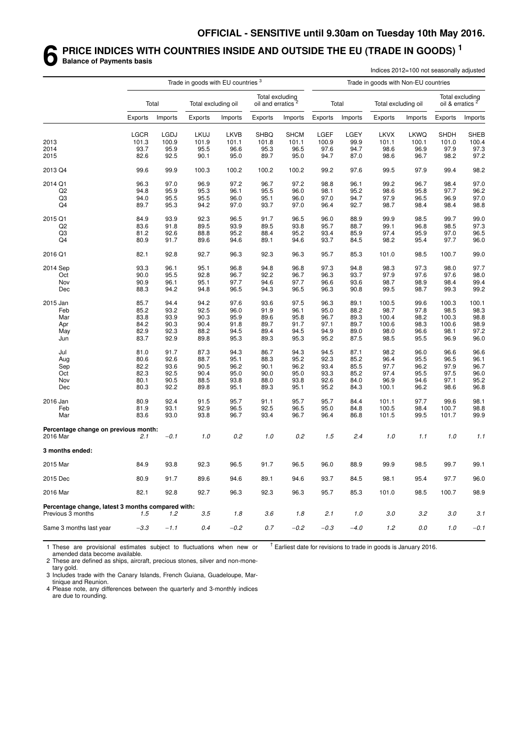#### **6 PRICE INDICES WITH COUNTRIES INSIDE AND OUTSIDE THE EU (TRADE IN GOODS) <sup>1</sup> Balance of Payments basis**

|                                                   |         |         |                                               |             |                                                  |             |         |         |                                      | Indices 2012=100 not seasonally adjusted |                             |                 |
|---------------------------------------------------|---------|---------|-----------------------------------------------|-------------|--------------------------------------------------|-------------|---------|---------|--------------------------------------|------------------------------------------|-----------------------------|-----------------|
|                                                   |         |         | Trade in goods with EU countries <sup>3</sup> |             |                                                  |             |         |         | Trade in goods with Non-EU countries |                                          |                             |                 |
|                                                   |         | Total   | Total excluding oil                           |             | Total excluding<br>oil and erratics <sup>2</sup> |             |         | Total   | Total excluding oil                  |                                          | oil & erratics <sup>2</sup> | Total excluding |
|                                                   | Exports | Imports | Exports                                       | Imports     | Exports                                          | Imports     | Exports | Imports | Exports                              | Imports                                  | Exports                     | Imports         |
|                                                   | LGCR    | LGDJ    | <b>LKUJ</b>                                   | <b>LKVB</b> | <b>SHBQ</b>                                      | <b>SHCM</b> | LGEF    | LGEY    | <b>LKVX</b>                          | <b>LKWQ</b>                              | <b>SHDH</b>                 | SHEB            |
| 2013                                              | 101.3   | 100.9   | 101.9                                         | 101.1       | 101.8                                            | 101.1       | 100.9   | 99.9    | 101.1                                | 100.1                                    | 101.0                       | 100.4           |
| 2014                                              | 93.7    | 95.9    | 95.5                                          | 96.6        | 95.3                                             | 96.5        | 97.6    | 94.7    | 98.6                                 | 96.9                                     | 97.9                        | 97.3            |
| 2015                                              | 82.6    | 92.5    | 90.1                                          | 95.0        | 89.7                                             | 95.0        | 94.7    | 87.0    | 98.6                                 | 96.7                                     | 98.2                        | 97.2            |
| 2013 Q4                                           | 99.6    | 99.9    | 100.3                                         | 100.2       | 100.2                                            | 100.2       | 99.2    | 97.6    | 99.5                                 | 97.9                                     | 99.4                        | 98.2            |
| 2014 Q1                                           | 96.3    | 97.0    | 96.9                                          | 97.2        | 96.7                                             | 97.2        | 98.8    | 96.1    | 99.2                                 | 96.7                                     | 98.4                        | 97.0            |
| Q2                                                | 94.8    | 95.9    | 95.3                                          | 96.1        | 95.5                                             | 96.0        | 98.1    | 95.2    | 98.6                                 | 95.8                                     | 97.7                        | 96.2            |
| Q3                                                | 94.0    | 95.5    | 95.5                                          | 96.0        | 95.1                                             | 96.0        | 97.0    | 94.7    | 97.9                                 | 96.5                                     | 96.9                        | 97.0            |
| Q4                                                | 89.7    | 95.3    | 94.2                                          | 97.0        | 93.7                                             | 97.0        | 96.4    | 92.7    | 98.7                                 | 98.4                                     | 98.4                        | 98.8            |
| 2015 Q1                                           | 84.9    | 93.9    | 92.3                                          | 96.5        | 91.7                                             | 96.5        | 96.0    | 88.9    | 99.9                                 | 98.5                                     | 99.7                        | 99.0            |
| Q2                                                | 83.6    | 91.8    | 89.5                                          | 93.9        | 89.5                                             | 93.8        | 95.7    | 88.7    | 99.1                                 | 96.8                                     | 98.5                        | 97.3            |
| Q3                                                | 81.2    | 92.6    | 88.8                                          | 95.2        | 88.4                                             | 95.2        | 93.4    | 85.9    | 97.4                                 | 95.9                                     | 97.0                        | 96.5            |
| Q4                                                | 80.9    | 91.7    | 89.6                                          | 94.6        | 89.1                                             | 94.6        | 93.7    | 84.5    | 98.2                                 | 95.4                                     | 97.7                        | 96.0            |
| 2016 Q1                                           | 82.1    | 92.8    | 92.7                                          | 96.3        | 92.3                                             | 96.3        | 95.7    | 85.3    | 101.0                                | 98.5                                     | 100.7                       | 99.0            |
| 2014 Sep                                          | 93.3    | 96.1    | 95.1                                          | 96.8        | 94.8                                             | 96.8        | 97.3    | 94.8    | 98.3                                 | 97.3                                     | 98.0                        | 97.7            |
| Oct                                               | 90.0    | 95.5    | 92.8                                          | 96.7        | 92.2                                             | 96.7        | 96.3    | 93.7    | 97.9                                 | 97.6                                     | 97.6                        | 98.0            |
| Nov                                               | 90.9    | 96.1    | 95.1                                          | 97.7        | 94.6                                             | 97.7        | 96.6    | 93.6    | 98.7                                 | 98.9                                     | 98.4                        | 99.4            |
| Dec                                               | 88.3    | 94.2    | 94.8                                          | 96.5        | 94.3                                             | 96.5        | 96.3    | 90.8    | 99.5                                 | 98.7                                     | 99.3                        | 99.2            |
| 2015 Jan                                          | 85.7    | 94.4    | 94.2                                          | 97.6        | 93.6                                             | 97.5        | 96.3    | 89.1    | 100.5                                | 99.6                                     | 100.3                       | 100.1           |
| Feb                                               | 85.2    | 93.2    | 92.5                                          | 96.0        | 91.9                                             | 96.1        | 95.0    | 88.2    | 98.7                                 | 97.8                                     | 98.5                        | 98.3            |
| Mar                                               | 83.8    | 93.9    | 90.3                                          | 95.9        | 89.6                                             | 95.8        | 96.7    | 89.3    | 100.4                                | 98.2                                     | 100.3                       | 98.8            |
| Apr                                               | 84.2    | 90.3    | 90.4                                          | 91.8        | 89.7                                             | 91.7        | 97.1    | 89.7    | 100.6                                | 98.3                                     | 100.6                       | 98.9            |
| May                                               | 82.9    | 92.3    | 88.2                                          | 94.5        | 89.4                                             | 94.5        | 94.9    | 89.0    | 98.0                                 | 96.6                                     | 98.1                        | 97.2            |
| Jun                                               | 83.7    | 92.9    | 89.8                                          | 95.3        | 89.3                                             | 95.3        | 95.2    | 87.5    | 98.5                                 | 95.5                                     | 96.9                        | 96.0            |
| Jul                                               | 81.0    | 91.7    | 87.3                                          | 94.3        | 86.7                                             | 94.3        | 94.5    | 87.1    | 98.2                                 | 96.0                                     | 96.6                        | 96.6            |
| Aug                                               | 80.6    | 92.6    | 88.7                                          | 95.1        | 88.3                                             | 95.2        | 92.3    | 85.2    | 96.4                                 | 95.5                                     | 96.5                        | 96.1            |
| Sep                                               | 82.2    | 93.6    | 90.5                                          | 96.2        | 90.1                                             | 96.2        | 93.4    | 85.5    | 97.7                                 | 96.2                                     | 97.9                        | 96.7            |
| Oct                                               | 82.3    | 92.5    | 90.4                                          | 95.0        | 90.0                                             | 95.0        | 93.3    | 85.2    | 97.4                                 | 95.5                                     | 97.5                        | 96.0            |
| Nov                                               | 80.1    | 90.5    | 88.5                                          | 93.8        | 88.0                                             | 93.8        | 92.6    | 84.0    | 96.9                                 | 94.6                                     | 97.1                        | 95.2            |
| Dec                                               | 80.3    | 92.2    | 89.8                                          | 95.1        | 89.3                                             | 95.1        | 95.2    | 84.3    | 100.1                                | 96.2                                     | 98.6                        | 96.8            |
| 2016 Jan                                          | 80.9    | 92.4    | 91.5                                          | 95.7        | 91.1                                             | 95.7        | 95.7    | 84.4    | 101.1                                | 97.7                                     | 99.6                        | 98.1            |
| Feb                                               | 81.9    | 93.1    | 92.9                                          | 96.5        | 92.5                                             | 96.5        | 95.0    | 84.8    | 100.5                                | 98.4                                     | 100.7                       | 98.8            |
| Mar                                               | 83.6    | 93.0    | 93.8                                          | 96.7        | 93.4                                             | 96.7        | 96.4    | 86.8    | 101.5                                | 99.5                                     | 101.7                       | 99.9            |
| Percentage change on previous month:              |         |         |                                               |             |                                                  |             |         |         |                                      |                                          |                             |                 |
| 2016 Mar                                          | 2.1     | $-0.1$  | 1.0                                           | 0.2         | 1.0                                              | 0.2         | 1.5     | 2.4     | 1.0                                  | 1.1                                      | 1.0                         | 1.1             |
| 3 months ended:                                   |         |         |                                               |             |                                                  |             |         |         |                                      |                                          |                             |                 |
| 2015 Mar                                          | 84.9    | 93.8    | 92.3                                          | 96.5        | 91.7                                             | 96.5        | 96.0    | 88.9    | 99.9                                 | 98.5                                     | 99.7                        | 99.1            |
| 2015 Dec                                          | 80.9    | 91.7    | 89.6                                          | 94.6        | 89.1                                             | 94.6        | 93.7    | 84.5    | 98.1                                 | 95.4                                     | 97.7                        | 96.0            |
| 2016 Mar                                          | 82.1    | 92.8    | 92.7                                          | 96.3        | 92.3                                             | 96.3        | 95.7    | 85.3    | 101.0                                | 98.5                                     | 100.7                       | 98.9            |
| Percentage change, latest 3 months compared with: |         |         |                                               |             |                                                  |             |         |         |                                      |                                          |                             |                 |
| Previous 3 months                                 | 1.5     | 1.2     | 3.5                                           | 1.8         | 3.6                                              | 1.8         | 2.1     | 1.0     | $3.0\,$                              | 3.2                                      | 3.0                         | 3.1             |
| Same 3 months last year                           | $-3.3$  | $-1.1$  | 0.4                                           | $-0.2$      | $0.7\,$                                          | $-0.2$      | $-0.3$  | $-4.0$  | 1.2                                  | $0.0\,$                                  | 1.0                         | $-0.1$          |

1 These are provisional estimates subject to fluctuations when new or amended data become available.

 $<sup>†</sup>$  Earliest date for revisions to trade in goods is January 2016.</sup>

2 These are defined as ships, aircraft, precious stones, silver and non-monetary gold.

3 Includes trade with the Canary Islands, French Guiana, Guadeloupe, Martinique and Reunion.

4 Please note, any differences between the quarterly and 3-monthly indices are due to rounding.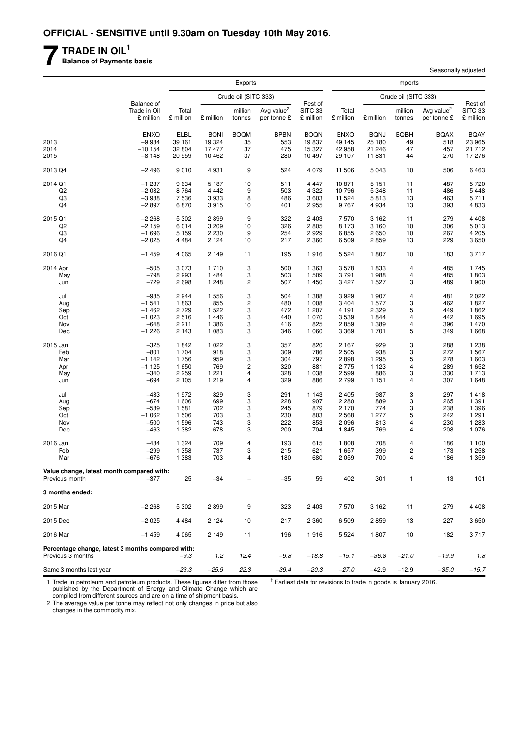# **7 TRADE IN OIL<sup>1</sup>**

**Balance of Payments basis**

|                                                                        |                                         |                    |                    | <b>Exports</b>          |                                       |                                 |                    |                    | Imports              |                                       |                                 |
|------------------------------------------------------------------------|-----------------------------------------|--------------------|--------------------|-------------------------|---------------------------------------|---------------------------------|--------------------|--------------------|----------------------|---------------------------------------|---------------------------------|
|                                                                        |                                         |                    |                    | Crude oil (SITC 333)    |                                       |                                 |                    |                    | Crude oil (SITC 333) |                                       |                                 |
|                                                                        | Balance of<br>Trade in Oil<br>£ million | Total<br>£ million | £ million          | million<br>tonnes       | Avg value <sup>2</sup><br>per tonne £ | Rest of<br>SITC 33<br>£ million | Total<br>£ million | £ million          | million<br>tonnes    | Avg value <sup>2</sup><br>per tonne £ | Rest of<br>SITC 33<br>£ million |
|                                                                        | <b>ENXQ</b>                             | ELBL               | <b>BQNI</b>        | <b>BOQM</b>             | <b>BPBN</b>                           | <b>BOQN</b>                     | <b>ENXO</b>        | <b>BQNJ</b>        | <b>BQBH</b>          | <b>BQAX</b>                           | <b>BQAY</b>                     |
| 2013                                                                   | $-9984$                                 | 39 161             | 19 3 24            | 35                      | 553                                   | 19837                           | 49 145             | 25 180             | 49                   | 518                                   | 23 965                          |
| 2014                                                                   | $-10154$                                | 32 804             | 17 477             | 37                      | 475                                   | 15 327                          | 42 958             | 21 246             | 47                   | 457                                   | 21 712                          |
| 2015                                                                   | $-8148$                                 | 20 959             | 10 462             | 37                      | 280                                   | 10 497                          | 29 107             | 11 831             | 44                   | 270                                   | 17 276                          |
| 2013 Q4                                                                | $-2496$                                 | 9010               | 4 9 3 1            | 9                       | 524                                   | 4 0 7 9                         | 11 506             | 5 0 4 3            | 10                   | 506                                   | 6463                            |
| 2014 Q1                                                                | $-1237$                                 | 9634               | 5 1 8 7            | 10                      | 511                                   | 4 4 4 7                         | 10871              | 5 1 5 1            | 11                   | 487                                   | 5720                            |
| Q <sub>2</sub>                                                         | $-2032$                                 | 8764<br>7536       | 4 4 4 2            | 9<br>8                  | 503                                   | 4 3 2 2                         | 10796              | 5 3 4 8<br>5813    | 11                   | 486                                   | 5 4 4 8                         |
| Q3<br>Q4                                                               | $-3988$<br>$-2897$                      | 6870               | 3933<br>3915       | 10                      | 486<br>401                            | 3 603<br>2955                   | 11 524<br>9767     | 4 9 3 4            | 13<br>13             | 463<br>393                            | 5711<br>4833                    |
|                                                                        |                                         |                    |                    |                         |                                       |                                 |                    |                    |                      |                                       |                                 |
| 2015 Q1<br>Q <sub>2</sub>                                              | $-2268$<br>$-2159$                      | 5 3 0 2<br>6014    | 2899<br>3 2 0 9    | 9<br>10                 | 322<br>326                            | 2 4 0 3<br>2805                 | 7570<br>8 1 7 3    | 3 1 6 2<br>3 1 6 0 | 11<br>10             | 279<br>306                            | 4 4 0 8<br>5013                 |
| Q3                                                                     | $-1696$                                 | 5 1 5 9            | 2 2 3 0            | 9                       | 254                                   | 2929                            | 6855               | 2650               | 10                   | 267                                   | 4 2 0 5                         |
| Q4                                                                     | $-2025$                                 | 4 4 8 4            | 2 1 2 4            | 10                      | 217                                   | 2 3 6 0                         | 6509               | 2859               | 13                   | 229                                   | 3650                            |
| 2016 Q1                                                                | $-1459$                                 | 4 0 6 5            | 2 1 4 9            | 11                      | 195                                   | 1916                            | 5 5 2 4            | 1807               | 10                   | 183                                   | 3717                            |
| 2014 Apr                                                               | $-505$                                  | 3073               | 1710               | 3                       | 500                                   | 1 3 6 3                         | 3578               | 1833               | 4                    | 485                                   | 1745                            |
| May                                                                    | $-798$                                  | 2993               | 1 4 8 4            | 3                       | 503                                   | 1509                            | 3791               | 1988               | 4                    | 485                                   | 1803                            |
| Jun                                                                    | $-729$                                  | 2698               | 1 2 4 8            | $\overline{c}$          | 507                                   | 1 450                           | 3 4 2 7            | 1 5 2 7            | 3                    | 489                                   | 1 900                           |
| Jul                                                                    | $-985$                                  | 2944               | 1 5 5 6            | 3                       | 504                                   | 1 3 8 8                         | 3929               | 1 907              | 4                    | 481                                   | 2 0 2 2                         |
| Aug                                                                    | $-1541$                                 | 1863               | 855                | $\overline{\mathbf{c}}$ | 480                                   | 1 0 0 8                         | 3 4 0 4            | 1 577              | 3                    | 462                                   | 1827                            |
| Sep                                                                    | $-1462$                                 | 2729               | 1 5 2 2            | 3                       | 472                                   | 1 207                           | 4 1 9 1            | 2 3 2 9            | 5                    | 449                                   | 1862                            |
| Oct                                                                    | $-1023$                                 | 2516               | 1 4 4 6            | 3                       | 440                                   | 1 0 7 0                         | 3539               | 1844               | 4                    | 442                                   | 1 6 9 5                         |
| Nov<br>Dec                                                             | $-648$<br>$-1226$                       | 2 2 1 1<br>2 1 4 3 | 1 3 8 6<br>1 0 8 3 | 3<br>3                  | 416<br>346                            | 825<br>1 0 6 0                  | 2859<br>3 3 6 9    | 1 3 8 9<br>1 701   | 4<br>5               | 396<br>349                            | 1 470<br>1 6 6 8                |
|                                                                        |                                         |                    |                    |                         |                                       |                                 |                    |                    |                      |                                       |                                 |
| 2015 Jan<br>Feb                                                        | $-325$<br>$-801$                        | 1842<br>1 704      | 1 0 2 2<br>918     | 3<br>3                  | 357<br>309                            | 820<br>786                      | 2 1 6 7<br>2505    | 929<br>938         | 3<br>3               | 288<br>272                            | 1 2 3 8<br>1 567                |
| Mar                                                                    | $-1142$                                 | 1756               | 959                | 3                       | 304                                   | 797                             | 2898               | 1 2 9 5            | 5                    | 278                                   | 1 603                           |
| Apr                                                                    | $-1125$                                 | 1650               | 769                | $\overline{\mathbf{c}}$ | 320                                   | 881                             | 2775               | 1 1 2 3            | 4                    | 289                                   | 1 652                           |
| May                                                                    | $-340$                                  | 2 2 5 9            | 1 2 2 1            | 4                       | 328                                   | 1 0 38                          | 2599               | 886                | 3                    | 330                                   | 1713                            |
| Jun                                                                    | $-694$                                  | 2 1 0 5            | 1 2 1 9            | $\overline{4}$          | 329                                   | 886                             | 2799               | 1 1 5 1            | 4                    | 307                                   | 1 648                           |
| Jul                                                                    | $-433$                                  | 1972               | 829                | 3                       | 291                                   | 1 1 4 3                         | 2 4 0 5            | 987                | 3                    | 297                                   | 1418                            |
| Aug                                                                    | $-674$                                  | 1 606              | 699                | 3                       | 228                                   | 907                             | 2 2 8 0            | 889                | 3                    | 265                                   | 1 3 9 1                         |
| Sep                                                                    | $-589$                                  | 1581               | 702                | 3                       | 245                                   | 879                             | 2 1 7 0            | 774                | 3                    | 238                                   | 1 3 9 6                         |
| Oct                                                                    | $-1062$                                 | 1506               | 703                | 3                       | 230                                   | 803                             | 2568               | 1 277              | 5                    | 242                                   | 1 2 9 1                         |
| Nov<br>Dec                                                             | $-500$<br>$-463$                        | 1596<br>1 3 8 2    | 743<br>678         | 3<br>3                  | 222<br>200                            | 853<br>704                      | 2096<br>1845       | 813<br>769         | 4<br>4               | 230<br>208                            | 1 2 8 3<br>1 0 7 6              |
|                                                                        |                                         |                    |                    |                         |                                       |                                 |                    |                    |                      |                                       |                                 |
| 2016 Jan<br>Feb                                                        | $-484$<br>$-299$                        | 1 3 2 4<br>1 3 5 8 | 709<br>737         | $\overline{4}$<br>3     | 193<br>215                            | 615<br>621                      | 1808<br>1657       | 708<br>399         | 4<br>2               | 186<br>173                            | 1 100<br>1 258                  |
| Mar                                                                    | $-676$                                  | 1 3 8 3            | 703                | $\overline{4}$          | 180                                   | 680                             | 2059               | 700                | 4                    | 186                                   | 1 3 5 9                         |
|                                                                        |                                         |                    |                    |                         |                                       |                                 |                    |                    |                      |                                       |                                 |
| Value change, latest month compared with:<br>Previous month            | $-377$                                  | 25                 | $-34$              |                         | $-35$                                 | 59                              | 402                | 301                | 1                    | 13                                    | 101                             |
| 3 months ended:                                                        |                                         |                    |                    |                         |                                       |                                 |                    |                    |                      |                                       |                                 |
| 2015 Mar                                                               | $-2268$                                 | 5 3 0 2            | 2899               | 9                       | 323                                   | 2 4 0 3                         | 7570               | 3 1 6 2            | 11                   | 279                                   | 4 4 0 8                         |
| 2015 Dec                                                               | $-2025$                                 | 4484               | 2 1 2 4            | 10                      | 217                                   | 2 3 6 0                         | 6509               | 2859               | 13                   | 227                                   | 3650                            |
| 2016 Mar                                                               | $-1459$                                 | 4065               | 2 1 4 9            | 11                      | 196                                   | 1916                            | 5 5 2 4            | 1807               | 10                   | 182                                   | 3717                            |
| Percentage change, latest 3 months compared with:<br>Previous 3 months |                                         | $-9.3$             | 1.2                | 12.4                    | -9.8                                  | $-18.8$                         | $-15.1$            | $-36.8$            | $-21.0$              | $-19.9$                               | 1.8                             |
| Same 3 months last year                                                |                                         | $-23.3$            | $-25.9$            | 22.3                    | -39.4                                 | $-20.3$                         | $-27.0$            | $-42.9$            | $-12.9$              | $-35.0$                               | $-15.7$                         |

1 Trade in petroleum and petroleum products. These figures differ from those published by the Department of Energy and Climate Change which are compiled from different sources and are on a time of shipment basis.

 $<sup>†</sup>$  Earliest date for revisions to trade in goods is January 2016.</sup>

Seasonally adjusted

2 The average value per tonne may reflect not only changes in price but also changes in the commodity mix.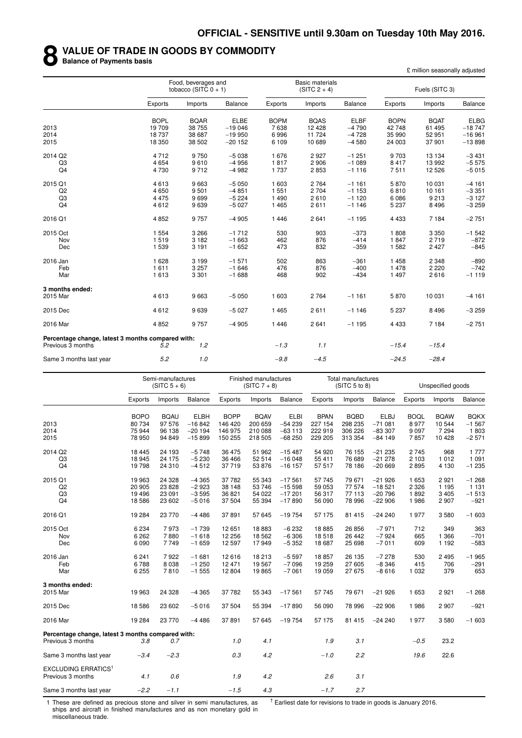#### **8 VALUE OF TRADE IN GOODS BY COMMODITY**

**Balance of Payments basis**

£ million seasonally adjusted

|                                                   |             | Food, beverages and<br>tobacco (SITC $0 + 1$ ) |             |             | <b>Basic materials</b><br>$(SITC 2 + 4)$ |             |             | Fuels (SITC 3) |                |
|---------------------------------------------------|-------------|------------------------------------------------|-------------|-------------|------------------------------------------|-------------|-------------|----------------|----------------|
|                                                   | Exports     | Imports                                        | Balance     | Exports     | Imports                                  | Balance     | Exports     | Imports        | <b>Balance</b> |
|                                                   | <b>BOPL</b> | <b>BQAR</b>                                    | <b>ELBE</b> | <b>BOPM</b> | <b>BQAS</b>                              | <b>ELBF</b> | <b>BOPN</b> | <b>BQAT</b>    | <b>ELBG</b>    |
| 2013                                              | 19709       | 38 755                                         | $-19046$    | 7638        | 12 4 28                                  | $-4790$     | 42748       | 61 495         | $-18747$       |
| 2014                                              | 18737       | 38 687                                         | $-19950$    | 6996        | 11 724                                   | $-4728$     | 35 990      | 52 951         | $-16961$       |
| 2015                                              | 18 350      | 38 502                                         | $-20152$    | 6 109       | 10 689                                   | $-4580$     | 24 003      | 37 901         | $-13898$       |
| 2014 Q2                                           | 4712        | 9750                                           | $-5038$     | 1676        | 2927                                     | $-1251$     | 9703        | 13 134         | $-3431$        |
| Q <sub>3</sub>                                    | 4 6 5 4     | 9610                                           | $-4956$     | 1817        | 2 9 0 6                                  | $-1089$     | 8 4 1 7     | 13 992         | $-5575$        |
| Q4                                                | 4730        | 9712                                           | $-4982$     | 1 7 3 7     | 2853                                     | $-1116$     | 7511        | 12 5 26        | $-5015$        |
| 2015 Q1                                           | 4613        | 9663                                           | $-5050$     | 1 603       | 2 7 6 4                                  | $-1161$     | 5870        | 10 031         | $-4161$        |
| Q2                                                | 4650        | 9501                                           | $-4851$     | 1 5 5 1     | 2 7 0 4                                  | $-1153$     | 6810        | 10 161         | $-3351$        |
| Q3                                                | 4 4 7 5     | 9699                                           | $-5224$     | 1 4 9 0     | 2610                                     | $-1120$     | 6 0 8 6     | 9213           | $-3127$        |
| Q <sub>4</sub>                                    | 4612        | 9639                                           | $-5027$     | 1 4 6 5     | 2611                                     | $-1146$     | 5 2 3 7     | 8496           | $-3259$        |
| 2016 Q1                                           | 4852        | 9757                                           | $-4905$     | 1 4 4 6     | 2 6 4 1                                  | $-1195$     | 4 4 3 3     | 7 1 8 4        | $-2751$        |
| 2015 Oct                                          | 1 5 5 4     | 3 2 6 6                                        | $-1712$     | 530         | 903                                      | $-373$      | 1808        | 3 3 5 0        | $-1542$        |
| Nov                                               | 1519        | 3 1 8 2                                        | $-1663$     | 462         | 876                                      | $-414$      | 1847        | 2719           | $-872$         |
| Dec                                               | 1539        | 3 1 9 1                                        | $-1652$     | 473         | 832                                      | $-359$      | 1 5 8 2     | 2427           | $-845$         |
| 2016 Jan                                          | 1628        | 3 1 9 9                                        | $-1571$     | 502         | 863                                      | $-361$      | 1 4 5 8     | 2 3 4 8        | $-890$         |
| Feb                                               | 1611        | 3 2 5 7                                        | $-1646$     | 476         | 876                                      | $-400$      | 1 478       | 2 2 2 0        | $-742$         |
| Mar                                               | 1613        | 3 3 0 1                                        | $-1688$     | 468         | 902                                      | $-434$      | 1 4 9 7     | 2616           | $-1119$        |
| 3 months ended:                                   |             |                                                |             |             |                                          |             |             |                |                |
| 2015 Mar                                          | 4613        | 9663                                           | $-5050$     | 1 603       | 2 7 6 4                                  | $-1161$     | 5870        | 10 031         | $-4161$        |
| 2015 Dec                                          | 4612        | 9639                                           | $-5027$     | 1 4 6 5     | 2611                                     | $-1146$     | 5 2 3 7     | 8496           | $-3259$        |
| 2016 Mar                                          | 4852        | 9757                                           | $-4905$     | 1446        | 2641                                     | $-1195$     | 4 4 3 3     | 7 1 8 4        | $-2751$        |
| Percentage change, latest 3 months compared with: |             |                                                |             |             |                                          |             |             |                |                |
| Previous 3 months                                 | 5.2         | 1.2                                            |             | $-1.3$      | 1.1                                      |             | $-15.4$     | $-15.4$        |                |
| Same 3 months last year                           | 5.2         | 1.0                                            |             | $-9.8$      | $-4.5$                                   |             | $-24.5$     | $-28.4$        |                |

|                                                            |             | Semi-manufactures<br>$(SITC 5 + 6)$ |             |             | Finished manufactures<br>$(SITC 7 + 8)$ |             |             | <b>Total manufactures</b><br>(SITC 5 to 8) |             |             | Unspecified goods |                |
|------------------------------------------------------------|-------------|-------------------------------------|-------------|-------------|-----------------------------------------|-------------|-------------|--------------------------------------------|-------------|-------------|-------------------|----------------|
|                                                            | Exports     | Imports                             | Balance     | Exports     | Imports                                 | Balance     | Exports     | Imports                                    | Balance     | Exports     | Imports           | <b>Balance</b> |
|                                                            | <b>BOPO</b> | <b>BQAU</b>                         | <b>ELBH</b> | <b>BOPP</b> | <b>BQAV</b>                             | <b>ELBI</b> | <b>BPAN</b> | <b>BQBD</b>                                | <b>ELBJ</b> | <b>BOQL</b> | <b>BQAW</b>       | <b>BQKX</b>    |
| 2013                                                       | 80 734      | 97 576                              | $-16842$    | 146 420     | 200 659                                 | $-54239$    | 227 154     | 298 235                                    | $-71081$    | 8977        | 10 544            | $-1567$        |
| 2014                                                       | 75 944      | 96 138                              | $-20194$    | 146 975     | 210 088                                 | $-63113$    | 222 919     | 306 226                                    | $-83307$    | 9 0 9 7     | 7 2 9 4           | 1803           |
| 2015                                                       | 78 950      | 94 849                              | $-15899$    | 150 255     | 218 505                                 | $-68250$    | 229 205     | 313 354                                    | $-84149$    | 7857        | 10 4 28           | $-2571$        |
| 2014 Q2                                                    | 18 4 45     | 24 193                              | $-5748$     | 36 475      | 51 962                                  | $-15487$    | 54 920      | 76 155                                     | $-21235$    | 2745        | 968               | 1 7 7 7        |
| Q <sub>3</sub>                                             | 18 945      | 24 175                              | $-5230$     | 36 466      | 52 514                                  | $-16048$    | 55 411      | 76 689                                     | $-21278$    | 2 103       | 1012              | 1 0 9 1        |
| Q <sub>4</sub>                                             | 19798       | 24 310                              | $-4512$     | 37 719      | 53 876                                  | $-16157$    | 57 517      | 78 186                                     | $-20669$    | 2895        | 4 1 3 0           | $-1235$        |
| 2015 Q1                                                    | 19 963      | 24 3 28                             | $-4365$     | 37 782      | 55 343                                  | $-17561$    | 57745       | 79 671                                     | $-21926$    | 1 653       | 2921              | $-1268$        |
| Q2                                                         | 20 905      | 23 8 28                             | $-2923$     | 38 148      | 53 746                                  | $-15598$    | 59 053      | 77 574                                     | $-18521$    | 2 3 2 6     | 1 1 9 5           | 1 1 3 1        |
| Q <sub>3</sub>                                             | 19 4 96     | 23 091                              | $-3595$     | 36 821      | 54 022                                  | $-17201$    | 56 317      | 77 113                                     | $-20796$    | 1892        | 3 4 0 5           | $-1513$        |
| Q <sub>4</sub>                                             | 18586       | 23 602                              | $-5016$     | 37 504      | 55 394                                  | $-17890$    | 56 090      | 78 996                                     | $-22906$    | 1986        | 2907              | $-921$         |
| 2016 Q1                                                    | 19 284      | 23 770                              | $-4486$     | 37891       | 57 645                                  | $-19754$    | 57 175      | 81 415                                     | $-24240$    | 1977        | 3580              | $-1603$        |
| 2015 Oct                                                   | 6 2 3 4     | 7973                                | $-1739$     | 12 651      | 18883                                   | $-6232$     | 18885       | 26 856                                     | $-7971$     | 712         | 349               | 363            |
| Nov                                                        | 6 2 6 2     | 7880                                | $-1618$     | 12 256      | 18 5 62                                 | $-6306$     | 18518       | 26 442                                     | $-7924$     | 665         | 1 3 6 6           | $-701$         |
| Dec                                                        | 6090        | 7749                                | $-1659$     | 12 597      | 17949                                   | $-5352$     | 18 687      | 25 698                                     | $-7011$     | 609         | 1 1 9 2           | $-583$         |
| 2016 Jan                                                   | 6 2 4 1     | 7922                                | $-1681$     | 12 616      | 18 213                                  | $-5597$     | 18857       | 26 135                                     | $-7278$     | 530         | 2495              | $-1965$        |
| Feb                                                        | 6788        | 8 0 38                              | $-1250$     | 12 471      | 19 5 67                                 | $-7096$     | 19 259      | 27 605                                     | $-8346$     | 415         | 706               | $-291$         |
| Mar                                                        | 6 2 5 5     | 7810                                | $-1555$     | 12 804      | 19865                                   | $-7061$     | 19 059      | 27 675                                     | $-8616$     | 1 0 3 2     | 379               | 653            |
| 3 months ended:                                            |             |                                     |             |             |                                         |             |             |                                            |             |             |                   |                |
| 2015 Mar                                                   | 19 963      | 24 3 28                             | $-4365$     | 37 782      | 55 343                                  | $-17561$    | 57 745      | 79 671                                     | $-21926$    | 1 653       | 2921              | $-1268$        |
| 2015 Dec                                                   | 18586       | 23 602                              | $-5016$     | 37 504      | 55 394                                  | $-17890$    | 56 090      | 78 996                                     | $-22906$    | 1986        | 2907              | $-921$         |
| 2016 Mar                                                   | 19 284      | 23 770                              | $-4486$     | 37891       | 57 645                                  | $-19754$    | 57 175      | 81 415                                     | $-24240$    | 1977        | 3580              | $-1603$        |
| Percentage change, latest 3 months compared with:          |             |                                     |             |             |                                         |             |             |                                            |             |             |                   |                |
| Previous 3 months                                          | 3.8         | 0.7                                 |             | 1.0         | 4.1                                     |             | 1.9         | 3.1                                        |             | $-0.5$      | 23.2              |                |
| Same 3 months last year                                    | $-3.4$      | $-2.3$                              |             | 0.3         | 4.2                                     |             | $-1.0$      | 2.2                                        |             | 19.6        | 22.6              |                |
| <b>EXCLUDING ERRATICS<sup>1</sup></b><br>Previous 3 months | 4.1         | 0.6                                 |             | 1.9         | 4.2                                     |             | 2.6         | 3.1                                        |             |             |                   |                |
| Same 3 months last year                                    | $-2.2$      | $-1.1$                              |             | $-1.5$      | 4.3                                     |             | $-1.7$      | 2.7                                        |             |             |                   |                |

1 These are defined as precious stone and silver in semi manufactures, as ships and aircraft in finished manufactures and as non monetary gold in miscellaneous trade.

 $<sup>†</sup>$  Earliest date for revisions to trade in goods is January 2016.</sup>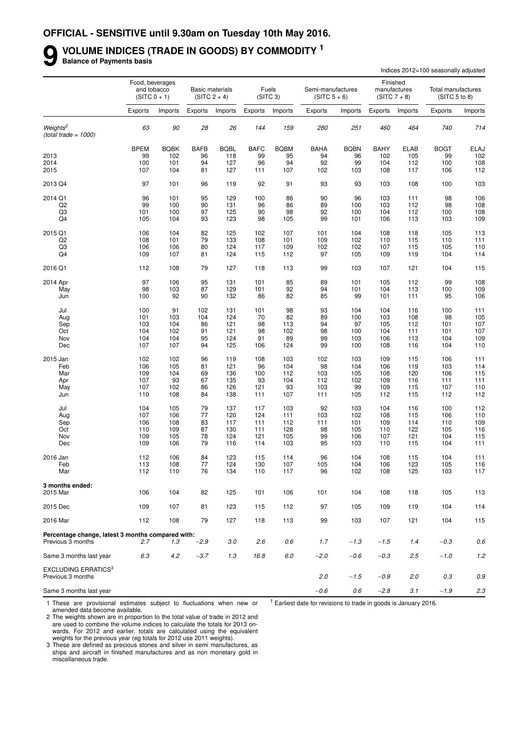#### **9 VOLUME INDICES (TRADE IN GOODS) BY COMMODITY <sup>1</sup> Balance of Payments basis**

|                                                                        | Indices 2012=100 seasonally adjusted |                                                  |             |                                          |             |                               |                                     |             |             |                                            |                                                |            |
|------------------------------------------------------------------------|--------------------------------------|--------------------------------------------------|-------------|------------------------------------------|-------------|-------------------------------|-------------------------------------|-------------|-------------|--------------------------------------------|------------------------------------------------|------------|
|                                                                        |                                      | Food, beverages<br>and tobacco<br>$(SITC 0 + 1)$ |             | <b>Basic materials</b><br>$(SITC 2 + 4)$ |             | Fuels<br>(SITC <sub>3</sub> ) | Semi-manufactures<br>$(SITC 5 + 6)$ |             |             | Finished<br>manufactures<br>$(SITC 7 + 8)$ | Total manufactures<br>(SITC <sub>5</sub> to 8) |            |
|                                                                        | Exports                              | Imports                                          | Exports     | Imports                                  | Exports     | Imports                       | Exports                             | Imports     | Exports     | Imports                                    | Exports                                        | Imports    |
| Weights <sup>2</sup><br>$(total trade = 1000)$                         | 63                                   | 90                                               | 28          | 26                                       | 144         | 159                           | 280                                 | 251         | 460         | 464                                        | 740                                            | 714        |
|                                                                        | <b>BPEM</b>                          | <b>BQBK</b>                                      | <b>BAFB</b> | <b>BQBL</b>                              | <b>BAFC</b> | <b>BQBM</b>                   | <b>BAHA</b>                         | <b>BQBN</b> | <b>BAHY</b> | <b>ELAB</b>                                | <b>BOGT</b>                                    | ELAJ       |
| 2013                                                                   | 99                                   | 102                                              | 96          | 118                                      | 99          | 95                            | 94                                  | 96          | 102         | 105                                        | 99                                             | 102        |
| 2014                                                                   | 100                                  | 101                                              | 94          | 127                                      | 96          | 94                            | 92                                  | 99          | 104         | 112                                        | 100                                            | 108        |
| 2015                                                                   | 107                                  | 104                                              | 81          | 127                                      | 111         | 107                           | 102                                 | 103         | 108         | 117                                        | 106                                            | 112        |
| 2013 Q4                                                                | 97                                   | 101                                              | 96          | 119                                      | 92          | 91                            | 93                                  | 93          | 103         | 108                                        | 100                                            | 103        |
| 2014 Q1                                                                | 96                                   | 101                                              | 95          | 129                                      | 100         | 86                            | 90                                  | 96          | 103         | 111                                        | 98                                             | 106        |
| Q <sub>2</sub>                                                         | 99                                   | 100                                              | 90          | 131                                      | 96          | 86                            | 89                                  | 100         | 103         | 112                                        | 98                                             | 108        |
| Q3                                                                     | 101                                  | 100                                              | 97          | 125                                      | 90          | 98                            | 92                                  | 100         | 104         | 112                                        | 100                                            | 108        |
| Q4                                                                     | 105                                  | 104                                              | 93          | 123                                      | 98          | 105                           | 99                                  | 101         | 106         | 113                                        | 103                                            | 109        |
| 2015 Q1                                                                | 106                                  | 104                                              | 82          | 125                                      | 102         | 107                           | 101                                 | 104         | 108         | 118                                        | 105                                            | 113        |
| Q <sub>2</sub>                                                         | 108                                  | 101                                              | 79          | 133                                      | 108         | 101                           | 109                                 | 102         | 110         | 115                                        | 110                                            | 111        |
| Q3                                                                     | 106                                  | 106                                              | 80          | 124                                      | 117         | 109                           | 102                                 | 102         | 107         | 115                                        | 105                                            | 110        |
| Q <sub>4</sub>                                                         | 109                                  | 107                                              | 81          | 124                                      | 115         | 112                           | 97                                  | 105         | 109         | 119                                        | 104                                            | 114        |
| 2016 Q1                                                                | 112                                  | 108                                              | 79          | 127                                      | 118         | 113                           | 99                                  | 103         | 107         | 121                                        | 104                                            | 115        |
| 2014 Apr                                                               | 97                                   | 106                                              | 95          | 131                                      | 101         | 85                            | 89                                  | 101         | 105         | 112                                        | 99                                             | 108        |
| May                                                                    | 98                                   | 103                                              | 87          | 129                                      | 101         | 92                            | 94                                  | 101         | 104         | 113                                        | 100                                            | 109        |
| Jun                                                                    | 100                                  | 92                                               | 90          | 132                                      | 86          | 82                            | 85                                  | 99          | 101         | 111                                        | 95                                             | 106        |
| Jul                                                                    | 100                                  | 91                                               | 102         | 131                                      | 101         | 98                            | 93                                  | 104         | 104         | 116                                        | 100                                            | 111        |
| Aug                                                                    | 101                                  | 103                                              | 104         | 124                                      | 70          | 82                            | 89                                  | 100         | 103         | 108                                        | 98                                             | 105        |
| Sep                                                                    | 103                                  | 104                                              | 86          | 121                                      | 98          | 113                           | 94                                  | 97          | 105         | 112                                        | 101                                            | 107        |
| Oct                                                                    | 104                                  | 102                                              | 91          | 121                                      | 98          | 102                           | 98                                  | 100         | 104         | 111                                        | 101                                            | 107        |
| Nov                                                                    | 104                                  | 104                                              | 95          | 124                                      | 91          | 89                            | 99                                  | 103         | 106         | 113                                        | 104                                            | 109        |
| Dec                                                                    | 107                                  | 107                                              | 94          | 125                                      | 106         | 124                           | 99                                  | 100         | 108         | 116                                        | 104                                            | 110        |
| 2015 Jan                                                               | 102                                  | 102                                              | 96          | 119                                      | 108         | 103                           | 102                                 | 103         | 109         | 115                                        | 106                                            | 111        |
| Feb                                                                    | 106                                  | 105                                              | 81          | 121                                      | 96          | 104                           | 98                                  | 104         | 106         | 119                                        | 103                                            | 114        |
| Mar                                                                    | 109                                  | 104                                              | 69          | 136                                      | 100         | 112                           | 103                                 | 105         | 108         | 120                                        | 106                                            | 115        |
| Apr                                                                    | 107                                  | 93                                               | 67          | 135                                      | 93          | 104                           | 112                                 | 102         | 109         | 116                                        | 111                                            | 111        |
| May                                                                    | 107                                  | 102                                              | 86          | 126                                      | 121         | 93                            | 103                                 | 99          | 109         | 115                                        | 107                                            | 110        |
| Jun                                                                    | 110                                  | 108                                              | 84          | 138                                      | 111         | 107                           | 111                                 | 105         | 112         | 115                                        | 112                                            | 112        |
| Jul                                                                    | 104                                  | 105                                              | 79          | 137                                      | 117         | 103                           | 92                                  | 103         | 104         | 116                                        | 100                                            | 112        |
| Aug                                                                    | 107                                  | 106                                              | 77          | 120                                      | 124         | 111                           | 103                                 | 102         | 108         | 115                                        | 106                                            | 110        |
| Sep                                                                    | 106                                  | 108                                              | 83          | 117                                      | 111         | 112                           | 111                                 | 101         | 109         | 114                                        | 110                                            | 109        |
| Oct                                                                    | 110                                  | 109                                              | 87          | 130                                      | 111         | 128                           | 98                                  | 105         | 110         | 122                                        | 105                                            | 116        |
| Nov<br>Dec                                                             | 109<br>109                           | 105<br>106                                       | 78<br>79    | 124<br>116                               | 121<br>114  | 105<br>103                    | 99<br>95                            | 106<br>103  | 107<br>110  | 121<br>115                                 | 104<br>104                                     | 115<br>111 |
|                                                                        |                                      |                                                  |             |                                          |             |                               |                                     |             |             |                                            |                                                |            |
| 2016 Jan                                                               | 112                                  | 106                                              | 84          | 123                                      | 115         | 114                           | 96                                  | 104         | 108         | 115                                        | 104                                            | 111        |
| Feb<br>Mar                                                             | 113<br>112                           | 108<br>110                                       | 77<br>76    | 124<br>134                               | 130<br>110  | 107<br>117                    | 105<br>96                           | 104<br>102  | 106<br>108  | 123<br>125                                 | 105<br>103                                     | 116<br>117 |
|                                                                        |                                      |                                                  |             |                                          |             |                               |                                     |             |             |                                            |                                                |            |
| 3 months ended:<br>2015 Mar                                            | 106                                  | 104                                              | 82          | 125                                      | 101         | 106                           | 101                                 | 104         | 108         | 118                                        | 105                                            | 113        |
| 2015 Dec                                                               | 109                                  | 107                                              | 81          | 123                                      | 115         | 112                           | 97                                  | 105         | 109         | 119                                        | 104                                            | 114        |
|                                                                        |                                      |                                                  |             |                                          |             |                               |                                     |             |             |                                            |                                                |            |
| 2016 Mar                                                               | 112                                  | 108                                              | 79          | 127                                      | 118         | 113                           | 99                                  | 103         | 107         | 121                                        | 104                                            | 115        |
| Percentage change, latest 3 months compared with:<br>Previous 3 months | 2.7                                  | 1.3                                              | $-2.9$      | 3.0                                      | 2.6         | 0.6                           | 1.7                                 | $-1.3$      | $-1.5$      | 1.4                                        | $-0.3$                                         | 0.6        |
|                                                                        |                                      |                                                  |             |                                          |             |                               |                                     |             |             |                                            |                                                |            |
| Same 3 months last year                                                | 6.3                                  | 4.2                                              | $-3.7$      | 1.3                                      | 16.8        | 6.0                           | $-2.0$                              | -0.6        | $-0.3$      | 2.5                                        | $-1.0$                                         | 1.2        |
| <b>EXCLUDING ERRATICS3</b><br>Previous 3 months                        |                                      |                                                  |             |                                          |             |                               | 2.0                                 | $-1.5$      | $-0.9$      | 2.0                                        | 0.3                                            | 0.9        |
| Same 3 months last year                                                |                                      |                                                  |             |                                          |             |                               | $-0.6$                              | 0.6         | $-2.8$      | 3.1                                        | $-1.9$                                         | 2.3        |

1 These are provisional estimates subject to fluctuations when new or amended data become available.

 $<sup>†</sup>$  Earliest date for revisions to trade in goods is January 2016.</sup>

2 The weights shown are in proportion to the total value of trade in 2012 and are used to combine the volume indices to calculate the totals for 2013 onwards. For 2012 and earlier, totals are calculated using the equivalent weights for the previous year (eg totals for 2012 use 2011 weights).

3 These are defined as precious stones and silver in semi manufactures, as ships and aircraft in finished manufactures and as non monetary gold in miscellaneous trade.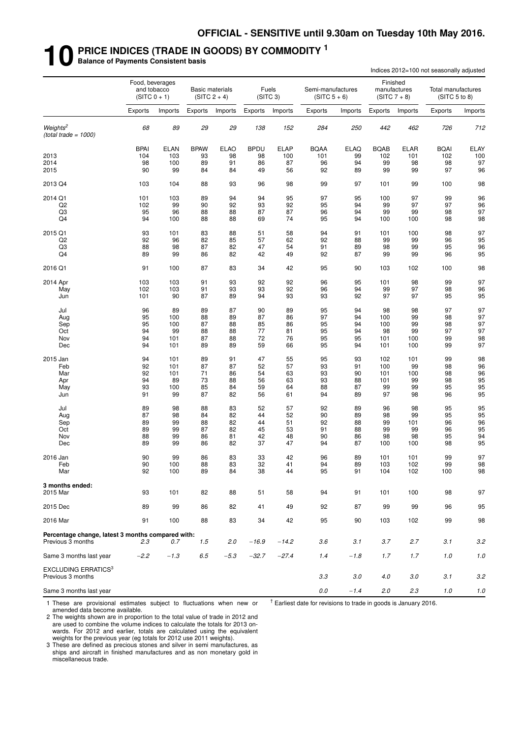# **10 PRICE INDICES (TRADE IN GOODS) BY COMMODITY <sup>1</sup> Balance of Payments Consistent basis**

|                                                   |             |                                                  |             |                                          |             |                               |                                     |             |             |                                            | Indices 2012=100 not seasonally adjusted |         |
|---------------------------------------------------|-------------|--------------------------------------------------|-------------|------------------------------------------|-------------|-------------------------------|-------------------------------------|-------------|-------------|--------------------------------------------|------------------------------------------|---------|
|                                                   |             | Food, beverages<br>and tobacco<br>$(SITC 0 + 1)$ |             | <b>Basic materials</b><br>$(SITC 2 + 4)$ |             | Fuels<br>(SITC <sub>3</sub> ) | Semi-manufactures<br>$(SITC 5 + 6)$ |             |             | Finished<br>manufactures<br>$(SITC 7 + 8)$ | Total manufactures<br>(SITC 5 to 8)      |         |
|                                                   | Exports     | Imports                                          | Exports     | Imports                                  | Exports     | Imports                       | Exports                             | Imports     | Exports     | Imports                                    | Exports                                  | Imports |
| Weights <sup>2</sup><br>$(total trade = 1000)$    | 68          | 89                                               | 29          | 29                                       | 138         | 152                           | 284                                 | 250         | 442         | 462                                        | 726                                      | 712     |
|                                                   | <b>BPAI</b> | <b>ELAN</b>                                      | <b>BPAW</b> | <b>ELAO</b>                              | <b>BPDU</b> | <b>ELAP</b>                   | <b>BQAA</b>                         | <b>ELAQ</b> | <b>BQAB</b> | ELAR                                       | <b>BQAI</b>                              | ELAY    |
| 2013                                              | 104         | 103                                              | 93          | 98                                       | 98          | 100                           | 101                                 | 99          | 102         | 101                                        | 102                                      | 100     |
| 2014                                              | 98          | 100                                              | 89          | 91                                       | 86          | 87                            | 96                                  | 94          | 99          | 98                                         | 98                                       | 97      |
| 2015                                              | 90          | 99                                               | 84          | 84                                       | 49          | 56                            | 92                                  | 89          | 99          | 99                                         | 97                                       | 96      |
| 2013 Q4                                           | 103         | 104                                              | 88          | 93                                       | 96          | 98                            | 99                                  | 97          | 101         | 99                                         | 100                                      | 98      |
| 2014 Q1                                           | 101         | 103                                              | 89          | 94                                       | 94          | 95                            | 97                                  | 95          | 100         | 97                                         | 99                                       | 96      |
| Q <sub>2</sub>                                    | 102         | 99                                               | 90          | 92                                       | 93          | 92                            | 95                                  | 94          | 99          | 97                                         | 97                                       | 96      |
| Q3                                                | 95          | 96                                               | 88          | 88                                       | 87          | 87                            | 96                                  | 94          | 99          | 99                                         | 98                                       | 97      |
| Q4                                                | 94          | 100                                              | 88          | 88                                       | 69          | 74                            | 95                                  | 94          | 100         | 100                                        | 98                                       | 98      |
| 2015 Q1                                           | 93          | 101                                              | 83          | 88                                       | 51          | 58                            | 94                                  | 91          | 101         | 100                                        | 98                                       | 97      |
| Q <sub>2</sub>                                    | 92          | 96                                               | 82          | 85                                       | 57          | 62                            | 92                                  | 88          | 99          | 99                                         | 96                                       | 95      |
| Q3                                                | 88          | 98                                               | 87          | 82                                       | 47          | 54                            | 91                                  | 89          | 98          | 99                                         | 95                                       | 96      |
| Q4                                                | 89          | 99                                               | 86          | 82                                       | 42          | 49                            | 92                                  | 87          | 99          | 99                                         | 96                                       | 95      |
| 2016 Q1                                           | 91          | 100                                              | 87          | 83                                       | 34          | 42                            | 95                                  | 90          | 103         | 102                                        | 100                                      | 98      |
| 2014 Apr                                          | 103         | 103                                              | 91          | 93                                       | 92          | 92                            | 96                                  | 95          | 101         | 98                                         | 99                                       | 97      |
| May                                               | 102         | 103                                              | 91          | 93                                       | 93          | 92                            | 96                                  | 94          | 99          | 97                                         | 98                                       | 96      |
| Jun                                               | 101         | 90                                               | 87          | 89                                       | 94          | 93                            | 93                                  | 92          | 97          | 97                                         | 95                                       | 95      |
| Jul                                               | 96          | 89                                               | 89          | 87                                       | 90          | 89                            | 95                                  | 94          | 98          | 98                                         | 97                                       | 97      |
| Aug                                               | 95          | 100                                              | 88          | 89                                       | 87          | 86                            | 97                                  | 94          | 100         | 99                                         | 98                                       | 97      |
| Sep                                               | 95          | 100                                              | 87          | 88                                       | 85          | 86                            | 95                                  | 94          | 100         | 99                                         | 98                                       | 97      |
| Oct                                               | 94          | 99                                               | 88          | 88                                       | 77          | 81                            | 95                                  | 94          | 98          | 99                                         | 97                                       | 97      |
| Nov                                               | 94          | 101                                              | 87          | 88                                       | 72          | 76                            | 95                                  | 95          | 101         | 100                                        | 99                                       | 98      |
| Dec                                               | 94          | 101                                              | 89          | 89                                       | 59          | 66                            | 95                                  | 94          | 101         | 100                                        | 99                                       | 97      |
| 2015 Jan                                          | 94          | 101                                              | 89          | 91                                       | 47          | 55                            | 95                                  | 93          | 102         | 101                                        | 99                                       | 98      |
| Feb                                               | 92          | 101                                              | 87          | 87                                       | 52          | 57                            | 93                                  | 91          | 100         | 99                                         | 98                                       | 96      |
| Mar                                               | 92          | 101                                              | 71          | 86                                       | 54          | 63                            | 93                                  | 90          | 101         | 100                                        | 98                                       | 96      |
| Apr                                               | 94          | 89                                               | 73          | 88                                       | 56          | 63                            | 93                                  | 88          | 101         | 99                                         | 98                                       | 95      |
| May                                               | 93          | 100                                              | 85          | 84                                       | 59          | 64                            | 88                                  | 87          | 99          | 99                                         | 95                                       | 95      |
| Jun                                               | 91          | 99                                               | 87          | 82                                       | 56          | 61                            | 94                                  | 89          | 97          | 98                                         | 96                                       | 95      |
| Jul                                               | 89          | 98                                               | 88          | 83                                       | 52          | 57                            | 92                                  | 89          | 96          | 98                                         | 95                                       | 95      |
| Aug                                               | 87          | 98                                               | 84          | 82                                       | 44          | 52                            | 90                                  | 89          | 98          | 99                                         | 95                                       | 95      |
| Sep                                               | 89          | 99                                               | 88          | 82                                       | 44          | 51                            | 92                                  | 88          | 99          | 101                                        | 96                                       | 96      |
| Oct                                               | 89          | 99                                               | 87          | 82                                       | 45          | 53                            | 91                                  | 88          | 99          | 99                                         | 96                                       | 95      |
| Nov                                               | 88          | 99                                               | 86          | 81                                       | 42          | 48                            | 90                                  | 86          | 98          | 98                                         | 95                                       | 94      |
| Dec                                               | 89          | 99                                               | 86          | 82                                       | 37          | 47                            | 94                                  | 87          | 100         | 100                                        | 98                                       | 95      |
| 2016 Jan                                          | 90          | 99                                               | 86          | 83                                       | 33          | 42                            | 96                                  | 89          | 101         | 101                                        | 99                                       | 97      |
| Feb                                               | 90          | 100                                              | 88          | 83                                       | 32          | 41                            | 94                                  | 89          | 103         | 102                                        | 99                                       | 98      |
| Mar                                               | 92          | 100                                              | 89          | 84                                       | 38          | 44                            | 95                                  | 91          | 104         | 102                                        | 100                                      | 98      |
| 3 months ended:<br>2015 Mar                       | 93          | 101                                              | 82          | 88                                       | 51          | 58                            | 94                                  | 91          | 101         | 100                                        | 98                                       | 97      |
| 2015 Dec                                          | 89          | 99                                               |             | 82                                       | 41          | 49                            | 92                                  | 87          | 99          | 99                                         | 96                                       | 95      |
|                                                   |             |                                                  | 86          |                                          |             |                               |                                     |             |             |                                            |                                          |         |
| 2016 Mar                                          | 91          | 100                                              | 88          | 83                                       | 34          | 42                            | 95                                  | 90          | 103         | 102                                        | 99                                       | 98      |
| Percentage change, latest 3 months compared with: |             |                                                  |             |                                          |             |                               |                                     |             |             |                                            |                                          |         |
| Previous 3 months                                 | 2.3         | 0.7                                              | 1.5         | 2.0                                      | $-16.9$     | $-14.2$                       | 3.6                                 | 3.1         | 3.7         | 2.7                                        | 3.1                                      | 3.2     |
| Same 3 months last year                           | $-2.2$      | $-1.3$                                           | 6.5         | $-5.3$                                   | $-32.7$     | $-27.4$                       | 1.4                                 | $-1.8$      | 1.7         | 1.7                                        | 1.0                                      | 1.0     |
| <b>EXCLUDING ERRATICS3</b><br>Previous 3 months   |             |                                                  |             |                                          |             |                               | 3.3                                 | 3.0         | 4.0         | 3.0                                        | 3.1                                      | 3.2     |
| Same 3 months last year                           |             |                                                  |             |                                          |             |                               | $0.0\,$                             | $-1.4$      | 2.0         | 2.3                                        | $1.0$                                    | $1.0$   |

1 These are provisional estimates subject to fluctuations when new or amended data become available.

 $<sup>†</sup>$  Earliest date for revisions to trade in goods is January 2016.</sup>

2 The weights shown are in proportion to the total value of trade in 2012 and are used to combine the volume indices to calculate the totals for 2013 onwards. For 2012 and earlier, totals are calculated using the equivalent weights for the previous year (eg totals for 2012 use 2011 weights).

3 These are defined as precious stones and silver in semi manufactures, as ships and aircraft in finished manufactures and as non monetary gold in miscellaneous trade.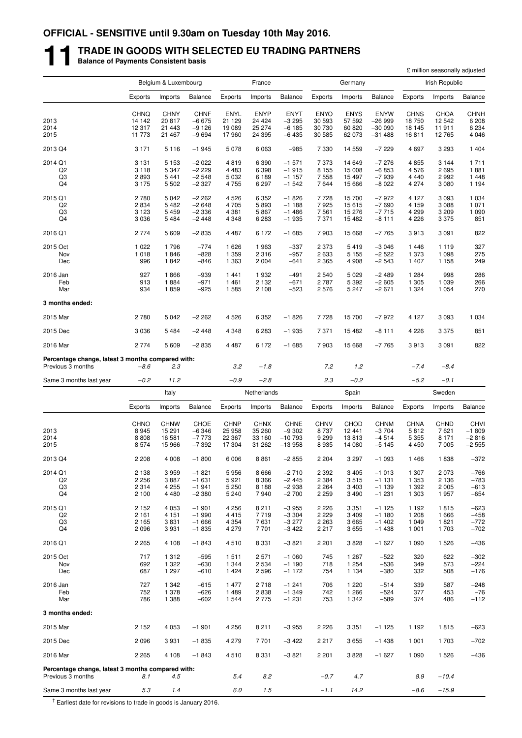# **11 TRADE IN GOODS WITH SELECTED EU TRADING PARTNERS Balance of Payments Consistent basis**

|                                                                        |                    |                      |                    |                    |                    |                     |                    |                    |                      |                    | £ million seasonally adjusted |                    |
|------------------------------------------------------------------------|--------------------|----------------------|--------------------|--------------------|--------------------|---------------------|--------------------|--------------------|----------------------|--------------------|-------------------------------|--------------------|
|                                                                        |                    | Belgium & Luxembourg |                    |                    | France             |                     |                    | Germany            |                      |                    | Irish Republic                |                    |
|                                                                        | Exports            | Imports              | Balance            | Exports            | Imports            | <b>Balance</b>      | Exports            | Imports            | <b>Balance</b>       | Exports            | Imports                       | <b>Balance</b>     |
|                                                                        | <b>CHNQ</b>        | <b>CHNY</b>          | <b>CHNF</b>        | <b>ENYL</b>        | <b>ENYP</b>        | <b>ENYT</b>         | <b>ENYO</b>        | <b>ENYS</b>        | <b>ENYW</b>          | <b>CHNS</b>        | <b>CHOA</b>                   | <b>CHNH</b>        |
| 2013                                                                   | 14 142             | 20817                | $-6675$            | 21 129             | 24 4 24            | $-3295$             | 30 593             | 57 592             | $-26999$             | 18750              | 12 542                        | 6 208              |
| 2014<br>2015                                                           | 12 317<br>11 773   | 21 4 4 3<br>21 467   | -9 126<br>$-9694$  | 19 089<br>17960    | 25 274<br>24 3 95  | $-6185$<br>$-6435$  | 30 730<br>30 585   | 60 820<br>62 073   | $-30000$<br>$-31488$ | 18 145<br>16811    | 11911<br>12765                | 6 234<br>4 0 4 6   |
|                                                                        |                    |                      |                    |                    |                    |                     |                    |                    |                      |                    |                               |                    |
| 2013 Q4                                                                | 3 1 7 1            | 5 1 1 6              | $-1945$            | 5 0 7 8            | 6 0 63             | $-985$              | 7 3 3 0            | 14 559             | $-7229$              | 4697               | 3 2 9 3                       | 1 4 0 4            |
| 2014 Q1<br>Q <sub>2</sub>                                              | 3 1 3 1<br>3 1 1 8 | 5 1 5 3<br>5 3 4 7   | $-2022$<br>$-2229$ | 4819<br>4 4 8 3    | 6 3 9 0<br>6 3 9 8 | $-1571$<br>$-1915$  | 7373<br>8 1 5 5    | 14 649<br>15 008   | $-7276$<br>$-6853$   | 4855<br>4576       | 3 1 4 4<br>2695               | 1711<br>1881       |
| Q3                                                                     | 2893               | 5 4 4 1              | $-2548$            | 5 0 3 2            | 6 189              | $-1157$             | 7558               | 15 497             | $-7939$              | 4 4 4 0            | 2 9 9 2                       | 1 4 4 8            |
| Q4                                                                     | 3 1 7 5            | 5 5 0 2              | $-2327$            | 4 7 5 5            | 6 2 9 7            | $-1542$             | 7644               | 15 6 66            | $-8022$              | 4 2 7 4            | 3 0 8 0                       | 1 1 9 4            |
| 2015 Q1                                                                | 2780               | 5 0 4 2              | $-2262$            | 4 5 2 6            | 6 3 5 2            | $-1826$             | 7728               | 15 700             | $-7972$              | 4 1 2 7            | 3 0 9 3                       | 1 0 3 4            |
| Q2                                                                     | 2834               | 5482                 | $-2648$            | 4 7 0 5            | 5893               | $-1188$             | 7925               | 15 615             | $-7690$              | 4 1 5 9            | 3 0 8 8                       | 1 0 7 1            |
| Q3<br>Q4                                                               | 3 1 2 3<br>3 0 3 6 | 5 4 5 9<br>5484      | $-2336$<br>$-2448$ | 4 3 8 1<br>4 3 4 8 | 5867<br>6 2 8 3    | $-1486$<br>$-1935$  | 7561<br>7371       | 15 276<br>15 482   | $-7715$<br>$-8111$   | 4 2 9 9<br>4 2 2 6 | 3 2 0 9<br>3 3 7 5            | 1 0 9 0<br>851     |
|                                                                        |                    |                      |                    |                    |                    |                     |                    |                    |                      |                    |                               |                    |
| 2016 Q1                                                                | 2 7 7 4            | 5 609                | $-2835$            | 4 4 8 7            | 6 172              | $-1685$             | 7903               | 15 668             | $-7765$              | 3913               | 3 0 9 1                       | 822                |
| 2015 Oct                                                               | 1 0 2 2            | 1796                 | $-774$             | 1626               | 1963               | $-337$              | 2 3 7 3            | 5419               | $-3046$              | 1446               | 1 1 1 9                       | 327                |
| Nov<br>Dec                                                             | 1 0 1 8<br>996     | 1846<br>1842         | $-828$<br>$-846$   | 1 3 5 9<br>1 3 6 3 | 2 3 1 6<br>2 0 0 4 | $-957$<br>$-641$    | 2 6 3 3<br>2 3 6 5 | 5 1 5 5<br>4 9 0 8 | $-2522$<br>$-2543$   | 1 373<br>1 4 0 7   | 1 0 9 8<br>1 1 5 8            | 275<br>249         |
| 2016 Jan                                                               | 927                | 1866                 | $-939$             | 1441               | 1932               | $-491$              | 2 5 4 0            | 5 0 2 9            | $-2489$              | 1 2 8 4            | 998                           | 286                |
| Feb                                                                    | 913                | 1884                 | $-971$             | 1461               | 2 1 3 2            | $-671$              | 2787               | 5 3 9 2            | $-2605$              | 1 3 0 5            | 1 0 3 9                       | 266                |
| Mar                                                                    | 934                | 1859                 | $-925$             | 1 5 8 5            | 2 1 0 8            | $-523$              | 2576               | 5 2 4 7            | $-2671$              | 1 3 2 4            | 1 0 5 4                       | 270                |
| 3 months ended:                                                        |                    |                      |                    |                    |                    |                     |                    |                    |                      |                    |                               |                    |
| 2015 Mar                                                               | 2780               | 5 0 4 2              | $-2262$            | 4526               | 6 3 5 2            | $-1826$             | 7728               | 15 700             | $-7972$              | 4 1 2 7            | 3 0 9 3                       | 1 0 3 4            |
| 2015 Dec                                                               | 3 0 3 6            | 5 4 8 4              | $-2448$            | 4 3 4 8            | 6 2 8 3            | $-1935$             | 7 3 7 1            | 15 482             | -8 111               | 4 2 2 6            | 3 3 7 5                       | 851                |
| 2016 Mar                                                               | 2 7 7 4            | 5 609                | $-2835$            | 4 4 8 7            | 6 172              | $-1685$             | 7903               | 15 6 68            | $-7765$              | 3913               | 3 0 9 1                       | 822                |
| Percentage change, latest 3 months compared with:<br>Previous 3 months | $-8.6$             | 2.3                  |                    | 3.2                | $-1.8$             |                     | 7.2                | 1.2                |                      | $-7.4$             | $-8.4$                        |                    |
| Same 3 months last year                                                | $-0.2$             | 11.2                 |                    | $-0.9$             | $-2.8$             |                     | 2.3                | $-0.2$             |                      | $-5.2$             | $-0.1$                        |                    |
|                                                                        |                    | Italy                |                    |                    | Netherlands        |                     |                    | Spain              |                      |                    | Sweden                        |                    |
|                                                                        |                    |                      |                    | Exports            |                    |                     |                    |                    | <b>Balance</b>       | Exports            |                               |                    |
|                                                                        | Exports            | Imports              | Balance            |                    | Imports            | <b>Balance</b>      | Exports            | Imports            |                      |                    | Imports                       | <b>Balance</b>     |
|                                                                        | <b>CHNO</b>        | <b>CHNW</b>          | CHOE               | <b>CHNP</b>        | <b>CHNX</b>        | <b>CHNE</b>         | <b>CHNV</b>        | <b>CHOD</b>        | <b>CHNM</b>          | <b>CHNA</b>        | <b>CHND</b>                   | <b>CHVI</b>        |
| 2013<br>2014                                                           | 8945<br>8808       | 15 291<br>16 581     | $-6346$<br>$-7773$ | 25 958<br>22 367   | 35 260<br>33 160   | $-9302$<br>$-10793$ | 8737<br>9 2 9 9    | 12 441<br>13813    | $-3704$<br>$-4514$   | 5812<br>5 3 5 5    | 7621<br>8 1 7 1               | $-1809$<br>$-2816$ |
| 2015                                                                   | 8574               | 15 966               | $-7392$            | 17 304             | 31 262             | $-13958$            | 8935               | 14 080             | $-5145$              | 4 4 5 0            | 7 0 0 5                       | $-2555$            |
| 2013 Q4                                                                | 2 2 0 8            | 4 0 0 8              | $-1800$            | 6 0 0 6            | 8861               | $-2855$             | 2 2 0 4            | 3 2 9 7            | $-1093$              | 1466               | 1838                          | $-372$             |
| 2014 Q1                                                                | 2 1 3 8            | 3959                 | -1 821             | 5956               | 8666               | $-2710$             | 2 3 9 2            | 3 4 0 5            | $-1013$              | 1 307              | 2073                          | $-766$             |
| Q2                                                                     | 2 2 5 6            | 3887                 | $-1631$            | 5921               | 8 3 6 6            | $-2445$             | 2 3 8 4            | 3515               | $-1131$              | 1 3 5 3            | 2 1 3 6                       | $-783$             |
| Q3                                                                     | 2 3 1 4            | 4 2 5 5              | $-1941$            | 5 2 5 0            | 8 1 8 8            | $-2938$             | 2 2 6 4            | 3 4 0 3            | $-1139$              | 1 3 9 2            | 2 0 0 5                       | $-613$             |
| Q4                                                                     | 2 100              | 4 4 8 0              | $-2380$            | 5 2 4 0            | 7940               | $-2700$             | 2 2 5 9            | 3 4 9 0            | $-1231$              | 1 3 0 3            | 1957                          | $-654$             |
| 2015 Q1                                                                | 2 152              | 4 0 5 3              | $-1901$            | 4 2 5 6            | 8 2 1 1            | $-3955$             | 2 2 2 6            | 3 3 5 1            | $-1125$              | 1 1 9 2            | 1815                          | $-623$             |
| Q2<br>Q3                                                               | 2 1 6 1<br>2 1 6 5 | 4 1 5 1<br>3831      | $-1990$<br>$-1666$ | 4415<br>4 3 5 4    | 7719<br>7631       | $-3304$<br>$-3277$  | 2 2 2 9<br>2 2 6 3 | 3 4 0 9<br>3665    | $-1180$<br>$-1402$   | 1 2 0 8<br>1 0 4 9 | 1666<br>1821                  | $-458$<br>$-772$   |
| Q4                                                                     | 2096               | 3931                 | $-1835$            | 4 2 7 9            | 7701               | $-3422$             | 2 2 1 7            | 3655               | $-1438$              | 1 0 0 1            | 1703                          | $-702$             |
| 2016 Q1                                                                | 2 2 6 5            | 4 108                | $-1843$            | 4510               | 8 3 3 1            | $-3821$             | 2 2 0 1            | 3828               | $-1627$              | 1 0 9 0            | 1 5 2 6                       | $-436$             |
| 2015 Oct                                                               | 717                | 1 3 1 2              | $-595$             | 1511               | 2 5 7 1            | $-1060$             | 745                | 1 2 6 7            | $-522$               | 320                | 622                           | $-302$             |
| Nov                                                                    | 692                | 1 3 2 2              | $-630$             | 1 3 4 4            | 2 5 3 4            | $-1190$             | 718                | 1 2 5 4            | $-536$               | 349                | 573                           | $-224$             |
| Dec                                                                    | 687                | 1 297                | $-610$             | 1424               | 2 5 9 6            | $-1172$             | 754                | 1 1 3 4            | $-380$               | 332                | 508                           | $-176$             |
| 2016 Jan                                                               | 727                | 1 3 4 2              | $-615$             | 1 477              | 2718               | $-1241$             | 706                | 1 2 2 0            | $-514$               | 339                | 587                           | $-248$             |
| Feb<br>Mar                                                             | 752<br>786         | 1 378<br>1 3 8 8     | $-626$<br>$-602$   | 1489<br>1 544      | 2838<br>2 7 7 5    | $-1349$<br>$-1231$  | 742<br>753         | 1 2 6 6<br>1 3 4 2 | $-524$<br>$-589$     | 377<br>374         | 453<br>486                    | $-76$<br>$-112$    |
| 3 months ended:                                                        |                    |                      |                    |                    |                    |                     |                    |                    |                      |                    |                               |                    |
|                                                                        |                    |                      |                    |                    |                    |                     |                    |                    |                      |                    |                               |                    |
| 2015 Mar                                                               | 2 1 5 2            | 4 0 5 3              | $-1901$            | 4 2 5 6            | 8 2 1 1            | $-3955$             | 2 2 2 6            | 3 3 5 1            | $-1125$              | 1 1 9 2            | 1815                          | $-623$             |
| 2015 Dec                                                               | 2096               | 3931                 | $-1835$            | 4 2 7 9            | 7 701              | $-3422$             | 2217               | 3655               | $-1438$              | 1 0 0 1            | 1703                          | $-702$             |
| 2016 Mar                                                               | 2 2 6 5            | 4 108                | $-1843$            | 4510               | 8 3 3 1            | $-3821$             | 2 2 0 1            | 3828               | $-1627$              | 1 0 9 0            | 1 5 2 6                       | $-436$             |
| Percentage change, latest 3 months compared with:<br>Previous 3 months | 8.1                | 4.5                  |                    | 5.4                | 8.2                |                     | $-0.7$             | 4.7                |                      | 8.9                | $-10.4$                       |                    |
| Same 3 months last year                                                | 5.3                | 1.4                  |                    | 6.0                | 1.5                |                     | $-1.1$             | 14.2               |                      | $-8.6$             | $-15.9$                       |                    |

 $\frac{1}{1}$  Earliest date for revisions to trade in goods is January 2016.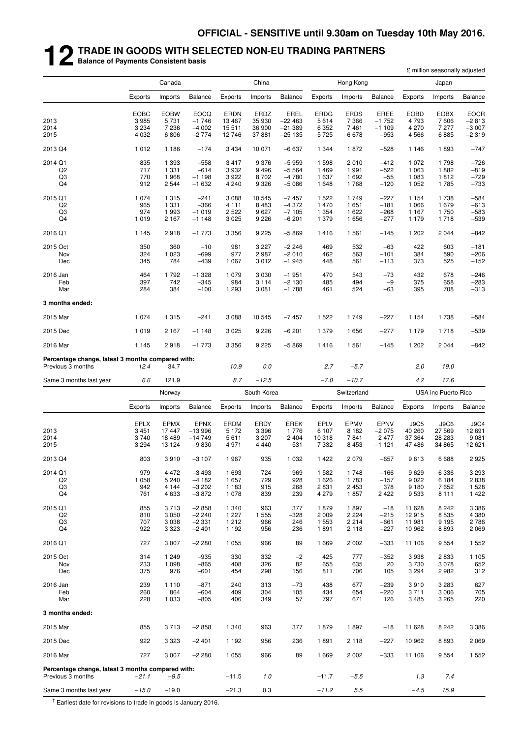# **12 TRADE IN GOODS WITH SELECTED NON-EU TRADING PARTNERS Balance of Payments Consistent basis**

|                                                                        |                |                    |                    |                    |                    |                    |                 |                    |                  |                    | £ million seasonally adjusted |                  |
|------------------------------------------------------------------------|----------------|--------------------|--------------------|--------------------|--------------------|--------------------|-----------------|--------------------|------------------|--------------------|-------------------------------|------------------|
|                                                                        |                | Canada             |                    |                    | China              |                    |                 | Hong Kong          |                  |                    | Japan                         |                  |
|                                                                        | Exports        | Imports            | Balance            | Exports            | Imports            | <b>Balance</b>     | Exports         | Imports            | Balance          | Exports            | Imports                       | <b>Balance</b>   |
|                                                                        | <b>EOBC</b>    | <b>EOBW</b>        | <b>EOCQ</b>        | <b>ERDN</b>        | ERDZ               | EREL               | <b>ERDG</b>     | <b>ERDS</b>        | <b>EREE</b>      | <b>EOBD</b>        | <b>EOBX</b>                   | EOCR             |
| 2013                                                                   | 3 9 8 5        | 5 7 3 1            | $-1746$            | 13 4 67            | 35 930             | $-22463$           | 5614            | 7 3 6 6            | $-1752$          | 4793               | 7606                          | $-2813$          |
| 2014                                                                   | 3 2 3 4        | 7 2 3 6            | $-4002$            | 15511              | 36 900             | $-21389$           | 6 3 5 2         | 7461               | $-1109$          | 4 2 7 0            | 7 277                         | $-3007$          |
| 2015                                                                   | 4 0 3 2        | 6806               | $-2774$            | 12746              | 37881              | $-25135$           | 5725            | 6678               | $-953$           | 4566               | 6885                          | $-2319$          |
| 2013 Q4                                                                | 1012           | 1 1 8 6            | $-174$             | 3 4 3 4            | 10 071             | $-6637$            | 1 3 4 4         | 1872               | $-528$           | 1 1 4 6            | 1893                          | -747             |
| 2014 Q1                                                                | 835<br>717     | 1 3 9 3<br>1 3 3 1 | $-558$<br>$-614$   | 3417<br>3932       | 9 3 7 6<br>9 4 9 6 | $-5959$<br>$-5564$ | 1598<br>1469    | 2010<br>1 9 9 1    | $-412$           | 1072<br>1 0 6 3    | 1798<br>1882                  | $-726$           |
| Q <sub>2</sub><br>Q3                                                   | 770            | 1968               | $-1198$            | 3922               | 8702               | $-4780$            | 1637            | 1692               | $-522$<br>$-55$  | 1 0 8 3            | 1812                          | $-819$<br>$-729$ |
| Q <sub>4</sub>                                                         | 912            | 2 5 4 4            | $-1632$            | 4 2 4 0            | 9 3 2 6            | $-5086$            | 1648            | 1768               | $-120$           | 1 0 5 2            | 1785                          | $-733$           |
| 2015 Q1                                                                | 1 0 7 4        | 1 3 1 5            | $-241$             | 3 0 8 8            | 10 545             | $-7457$            | 1522            | 1749               | $-227$           | 1 1 5 4            | 1738                          | $-584$           |
| Q2<br>Q <sub>3</sub>                                                   | 965<br>974     | 1 3 3 1<br>1993    | $-366$<br>$-1019$  | 4 1 1 1            | 8 4 8 3            | $-4372$<br>$-7105$ | 1470<br>1 3 5 4 | 1 651<br>1 622     | $-181$<br>$-268$ | 1 0 6 6            | 1679<br>1750                  | $-613$<br>$-583$ |
| Q <sub>4</sub>                                                         | 1 0 1 9        | 2 1 6 7            | $-1148$            | 2 5 2 2<br>3 0 2 5 | 9627<br>9 2 2 6    | $-6201$            | 1 379           | 1656               | $-277$           | 1 1 6 7<br>1 1 7 9 | 1718                          | $-539$           |
| 2016 Q1                                                                | 1 1 4 5        | 2918               | $-1773$            | 3 3 5 6            | 9 2 2 5            | $-5869$            | 1416            | 1561               | $-145$           | 1 202              | 2 0 4 4                       | $-842$           |
| 2015 Oct                                                               | 350            | 360                | $-10$              | 981                | 3 2 2 7            | $-2246$            | 469             | 532                | $-63$            | 422                | 603                           | $-181$           |
| Nov                                                                    | 324            | 1 0 2 3            | $-699$             | 977                | 2987               | $-2010$            | 462             | 563                | $-101$           | 384                | 590                           | $-206$           |
| Dec                                                                    | 345            | 784                | $-439$             | 1 0 6 7            | 3012               | $-1945$            | 448             | 561                | $-113$           | 373                | 525                           | $-152$           |
| 2016 Jan                                                               | 464            | 1792               | $-1328$            | 1 0 7 9            | 3 0 3 0            | $-1951$            | 470             | 543                | $-73$            | 432                | 678                           | $-246$           |
| Feb<br>Mar                                                             | 397<br>284     | 742<br>384         | $-345$<br>$-100$   | 984<br>1 2 9 3     | 3 1 1 4<br>3 0 8 1 | $-2130$<br>$-1788$ | 485<br>461      | 494<br>524         | $-9$<br>$-63$    | 375<br>395         | 658<br>708                    | $-283$<br>$-313$ |
|                                                                        |                |                    |                    |                    |                    |                    |                 |                    |                  |                    |                               |                  |
| 3 months ended:                                                        |                |                    |                    |                    |                    |                    |                 |                    |                  |                    |                               |                  |
| 2015 Mar                                                               | 1 0 7 4        | 1 3 1 5            | $-241$             | 3 0 8 8            | 10 545             | $-7457$            | 1 5 2 2         | 1749               | $-227$           | 1 1 5 4            | 1738                          | $-584$           |
| 2015 Dec                                                               | 1 0 1 9        | 2 1 6 7            | $-1148$            | 3 0 2 5            | 9 2 2 6            | $-6201$            | 1 3 7 9         | 1656               | $-277$           | 1 1 7 9            | 1718                          | $-539$           |
| 2016 Mar                                                               | 1 1 4 5        | 2918               | $-1773$            | 3 3 5 6            | 9 2 2 5            | $-5869$            | 1416            | 1561               | $-145$           | 1 2 0 2            | 2044                          | $-842$           |
| Percentage change, latest 3 months compared with:<br>Previous 3 months | 12.4           | 34.7               |                    | 10.9               | 0.0                |                    | 2.7             | $-5.7$             |                  | 2.0                | 19.0                          |                  |
| Same 3 months last year                                                | 6.6            | 121.9              |                    | 8.7                | $-12.5$            |                    | $-7.0$          | $-10.7$            |                  | 4.2                | 17.6                          |                  |
|                                                                        | Norway         |                    |                    | South Korea        |                    |                    | Switzerland     |                    |                  |                    | USA inc Puerto Rico           |                  |
|                                                                        | Exports        | Imports            | Balance            | Exports            | Imports            | <b>Balance</b>     | Exports         | Imports            | <b>Balance</b>   | Exports            | Imports                       | <b>Balance</b>   |
|                                                                        | <b>EPLX</b>    | <b>EPMX</b>        | <b>EPNX</b>        | ERDM               | <b>ERDY</b>        | <b>EREK</b>        | <b>EPLV</b>     | <b>EPMV</b>        | EPNV             | J9C5               | J9C6                          | J9C4             |
| 2013                                                                   | 3451           | 17 447             | $-13996$           | 5 1 7 2            | 3 3 9 6            | 1776               | 6 107           | 8 1 8 2            | $-2075$          | 40 260             | 27 569                        | 12 691           |
| 2014                                                                   | 3740           | 18 4 8 9           | $-14749$           | 5611               | 3 2 0 7            | 2 4 0 4            | 10 318          | 7841               | 2 4 7 7          | 37 364             | 28 28 3                       | 9 0 8 1          |
| 2015                                                                   | 3 2 9 4        | 13 124             | $-9830$            | 4971               | 4 4 4 0            | 531                | 7 3 3 2         | 8 4 5 3            | $-1121$          | 47486              | 34 865                        | 12 621           |
| 2013 Q4                                                                | 803            | 3910               | $-3107$            | 1967               | 935                | 1 0 3 2            | 1 4 2 2         | 2 0 7 9            | $-657$           | 9613               | 6688                          | 2925             |
| 2014 Q1                                                                | 979            | 4 4 7 2            | $-3493$            | 1 6 9 3            | 724                | 969                | 1 5 8 2         | 1748               | $-166$           | 9629               | 6 3 3 6                       | 3 2 9 3          |
| Q <sub>2</sub><br>Q3                                                   | 1 0 5 8<br>942 | 5 2 4 0<br>4 1 4 4 | $-4182$<br>$-3202$ | 1 657<br>1 1 8 3   | 729<br>915         | 928<br>268         | 1 6 2 6<br>2831 | 1783<br>2 4 5 3    | $-157$<br>378    | 9022<br>9 1 8 0    | 6 184<br>7652                 | 2838<br>1 5 2 8  |
| Q <sub>4</sub>                                                         | 761            | 4 6 3 3            | $-3872$            | 1 0 7 8            | 839                | 239                | 4 279           | 1857               | 2422             | 9533               | 8 1 1 1                       | 1 4 2 2          |
| 2015 Q1                                                                | 855            | 3713               | $-2858$            | 1 340              | 963                | 377                | 1879            | 1897               | $-18$            | 11 628             | 8 2 4 2                       | 3 3 8 6          |
| Q <sub>2</sub>                                                         | 810            | 3 0 5 0            | $-2240$            | 1 2 2 7            | 1 5 5 5            | $-328$             | 2 0 0 9         | 2 2 2 4            | $-215$           | 12915              | 8 5 3 5                       | 4 3 8 0          |
| Q <sub>3</sub><br>Q4                                                   | 707<br>922     | 3 0 38<br>3 3 2 3  | $-2331$<br>$-2401$ | 1 2 1 2<br>1 1 9 2 | 966<br>956         | 246<br>236         | 1 553<br>1891   | 2 2 1 4<br>2 1 1 8 | $-661$<br>$-227$ | 11 981<br>10 962   | 9 1 9 5<br>8893               | 2786<br>2 0 6 9  |
| 2016 Q1                                                                | 727            | 3 0 0 7            | $-2280$            | 1 0 5 5            | 966                | 89                 | 1 669           | 2 0 0 2            | $-333$           | 11 106             | 9 5 5 4                       | 1 5 5 2          |
| 2015 Oct                                                               | 314            | 1 2 4 9            | $-935$             | 330                | 332                | $-2$               | 425             | 777                | $-352$           | 3938               | 2833                          | 1 1 0 5          |
| Nov                                                                    | 233            | 1 0 9 8            | $-865$             | 408                | 326                | 82                 | 655             | 635                | 20               | 3730               | 3 0 7 8                       | 652              |
| Dec                                                                    | 375            | 976                | $-601$             | 454                | 298                | 156                | 811             | 706                | 105              | 3 2 9 4            | 2982                          | 312              |
| 2016 Jan                                                               | 239            | 1 1 1 0            | $-871$             | 240                | 313                | $-73$              | 438             | 677                | $-239$           | 3910               | 3 2 8 3                       | 627              |
| Feb<br>Mar                                                             | 260<br>228     | 864<br>1 0 3 3     | $-604$<br>$-805$   | 409<br>406         | 304<br>349         | 105<br>57          | 434<br>797      | 654<br>671         | $-220$<br>126    | 3711<br>3485       | 3 0 0 6<br>3 2 6 5            | 705<br>220       |
|                                                                        |                |                    |                    |                    |                    |                    |                 |                    |                  |                    |                               |                  |
| 3 months ended:                                                        |                |                    |                    |                    |                    |                    |                 |                    |                  |                    |                               |                  |
| 2015 Mar                                                               | 855            | 3713               | $-2858$            | 1 340              | 963                | 377                | 1879            | 1897               | $-18$            | 11 628             | 8 2 4 2                       | 3 3 8 6          |
| 2015 Dec                                                               | 922            | 3 3 2 3            | $-2401$            | 1 1 9 2            | 956                | 236                | 1891            | 2 1 1 8            | $-227$           | 10 962             | 8893                          | 2 0 6 9          |
| 2016 Mar                                                               | 727            | 3 0 0 7            | $-2280$            | 1 0 5 5            | 966                | 89                 | 1 6 6 9         | 2 0 0 2            | $-333$           | 11 106             | 9 5 5 4                       | 1 5 5 2          |
| Percentage change, latest 3 months compared with:<br>Previous 3 months | -21.1          | $-9.5$             |                    | $-11.5$            | 1.0                |                    | $-11.7$         | $-5.5$             |                  | 1.3                | 7.4                           |                  |
| Same 3 months last year                                                | $-15.0$        | $-19.0$            |                    | $-21.3$            | 0.3                |                    | $-11.2$         | $5.5\,$            |                  | $-4.5$             | 15.9                          |                  |
|                                                                        |                |                    |                    |                    |                    |                    |                 |                    |                  |                    |                               |                  |

 $\frac{1}{1}$  Earliest date for revisions to trade in goods is January 2016.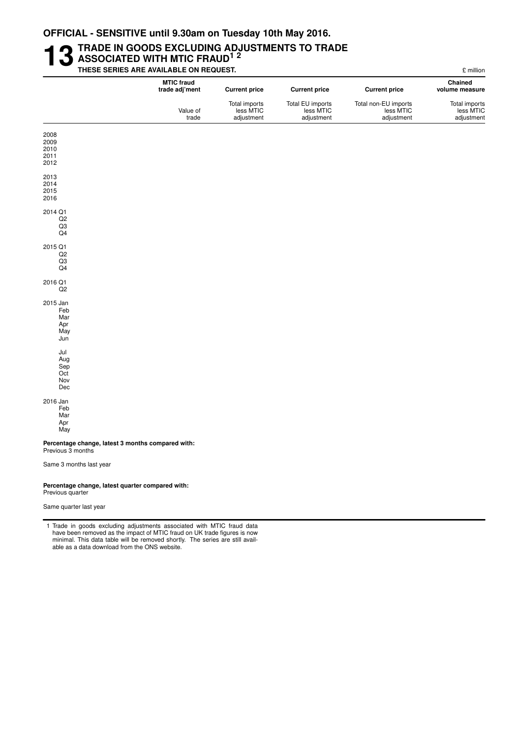#### **13** TRADE IN GOODS EXCLUDING ADJUSTMENTS TO TRADE<br>THESE SERIES ARE AVAILABLE ON REQUEST. **ASSOCIATED WITH MTIC FRAUD1 2 THESE SERIES ARE AVAILABLE ON REQUEST.** THE SERIES ARE ANNOUNCED A SERIES AND RESERVED ASSESSED.

| E million                                |                                                 | THESE SERIES ARE AVAILABLE ON REQUEST.      |                                          |                                     |  |  |  |  |  |  |  |  |
|------------------------------------------|-------------------------------------------------|---------------------------------------------|------------------------------------------|-------------------------------------|--|--|--|--|--|--|--|--|
| Chained<br>volume measure                | <b>Current price</b>                            | <b>Current price</b>                        | <b>Current price</b>                     | <b>MTIC fraud</b><br>trade adj'ment |  |  |  |  |  |  |  |  |
| Total imports<br>less MTIC<br>adjustment | Total non-EU imports<br>less MTIC<br>adjustment | Total EU imports<br>less MTIC<br>adjustment | Total imports<br>less MTIC<br>adjustment | Value of<br>trade                   |  |  |  |  |  |  |  |  |

Sep Oct Nov

2008 2009 2010 2011 2012 2013 2014 2015 2016 2014 Q1 Q2 Q3 Q4 2015 Q1  $Q2$ Q3  $\overline{Q4}$ 2016 Q1 Q2 2015 Jan Feb Mar Apr May Jun Jul Aug

2016 Jan

Feb Mar

Dec

Apr May

Percentage change, latest 3 months compared with: Previous 3 months

Same 3 months last year

#### Percentage change, latest quarter compared with:

Previous quarter

Same quarter last year

1 Trade in goods excluding adjustments associated with MTIC fraud data have been removed as the impact of MTIC fraud on UK trade figures is now minimal. This data table will be removed shortly. The series are still available as a data download from the ONS website.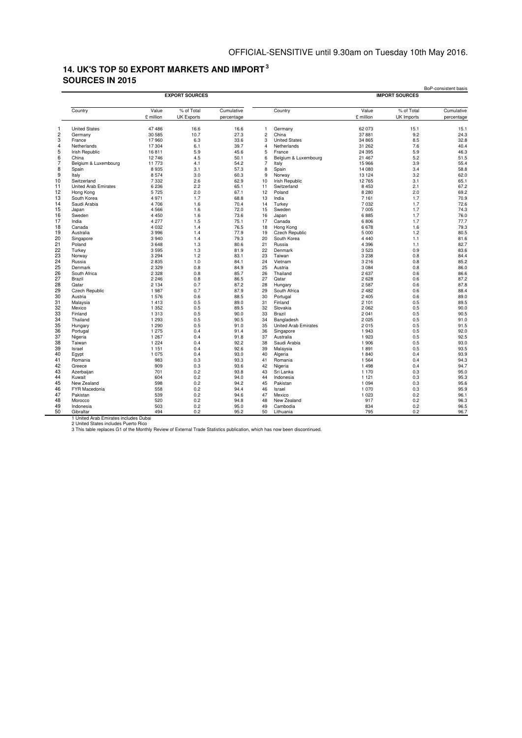### **14. UK'S TOP 50 EXPORT MARKETS AND IMPORT <sup>3</sup> SOURCES IN 2015**

|                |                             |           |                   |            |                |                             |           | <b>IMPORT SOURCES</b> |            |
|----------------|-----------------------------|-----------|-------------------|------------|----------------|-----------------------------|-----------|-----------------------|------------|
|                | Country                     | Value     | % of Total        | Cumulative |                | Country                     | Value     | % of Total            | Cumulative |
|                |                             | £ million | <b>UK Exports</b> | percentage |                |                             | £ million | UK Imports            | percentage |
| 1              | <b>United States</b>        | 47 486    | 16.6              | 16.6       | $\mathbf{1}$   | Germany                     | 62 073    | 15.1                  | 15.1       |
| $\overline{c}$ | Germany                     | 30 585    | 10.7              | 27.3       | $\overline{c}$ | China                       | 37881     | 9.2                   | 24.3       |
|                | France                      | 17960     | 6.3               | 33.6       | 3              | <b>United States</b>        | 34 865    | 8.5                   | 32.8       |
|                | Netherlands                 | 17 304    | 6.1               | 39.7       | $\overline{4}$ | Netherlands                 | 31 26 2   | 7.6                   | 40.4       |
|                | Irish Republic              | 16811     | 5.9               | 45.6       | 5              | France                      | 24 3 95   | 5.9                   | 46.3       |
|                | China                       | 12746     | 4.5               | 50.1       | 6              | Belgium & Luxembourg        | 21 467    | 5.2                   | 51.5       |
|                | Belgium & Luxembourg        | 11 773    | 4.1               | 54.2       | $\overline{7}$ | Italy                       | 15 966    | 3.9                   | 55.4       |
| 8              | Spain                       | 8935      | 3.1               | 57.3       | 8              | Spain                       | 14 080    | 3.4                   | 58.8       |
| 9              | Italy                       | 8574      | 3.0               | 60.3       | 9              | Norway                      | 13 124    | 3.2                   | 62.0       |
|                | Switzerland                 | 7 3 3 2   | 2.6               | 62.9       | 10             | <b>Irish Republic</b>       | 12765     | 3.1                   | 65.1       |
|                | <b>United Arab Emirates</b> | 6 2 3 6   | 2.2               | 65.1       | 11             | Switzerland                 | 8 4 5 3   | 2.1                   | 67.2       |
| 12             | Hong Kong                   | 5725      | 2.0               | 67.1       | 12             | Poland                      | 8 2 8 0   | 2.0                   | 69.2       |
|                | South Korea                 | 4971      | 1.7               | 68.8       | 13             | India                       | 7 1 6 1   | 1.7                   | 70.9       |
| 13             | Saudi Arabia                | 4706      | 1.6               | 70.4       | 14             | Turkey                      | 7 0 3 2   | 1.7                   | 72.6       |
|                | Japan                       | 4566      | 1.6               | 72.0       | 15             | Sweden                      | 7 0 0 5   | 1.7                   | 74.3       |
| 16             | Sweden                      | 4 4 5 0   | 1.6               | 73.6       | 16             | Japan                       | 6885      | 1.7                   | 76.0       |
| 17             | India                       | 4 277     | 1.5               | 75.1       | 17             | Canada                      | 6806      | 1.7                   | 77.7       |
| 18             | Canada                      | 4 0 3 2   | 1.4               | 76.5       | 18             | Hong Kong                   | 6678      | 1.6                   | 79.3       |
| 19             | Australia                   | 3996      | 1.4               | 77.9       | 19             | Czech Republic              | 5 0 0 0   | 1.2                   | 80.5       |
| 20             | Singapore                   | 3940      | 1.4               | 79.3       | 20             | South Korea                 | 4 4 4 0   | 1.1                   | 81.6       |
| 21             | Poland                      | 3648      | 1.3               | 80.6       | 21             | Russia                      | 4 3 9 6   | 1.1                   | 82.7       |
| 22             | Turkey                      | 3595      | 1.3               | 81.9       | 22             | Denmark                     | 3 5 2 3   | 0.9                   | 83.6       |
| 23             | Norway                      | 3 2 9 4   | 1.2               | 83.1       | 23             | Taiwan                      | 3 2 3 8   | 0.8                   | 84.4       |
| 24             | Russia                      | 2835      | 1.0               | 84.1       | 24             | Vietnam                     | 3 2 1 6   | 0.8                   | 85.2       |
| 25             | Denmark                     | 2 3 2 9   | 0.8               | 84.9       | 25             | Austria                     | 3 0 8 4   | 0.8                   | 86.0       |
| 26             | South Africa                | 2 3 2 8   | 0.8               | 85.7       | 26             | Thailand                    | 2 6 3 7   | 0.6                   | 86.6       |
| 27             | Brazil                      | 2 2 4 6   | 0.8               | 86.5       | 27             | Qatar                       | 2628      | 0.6                   | 87.2       |
| 28             | Qatar                       | 2 1 3 4   | 0.7               | 87.2       | 28             | Hungary                     | 2587      | 0.6                   | 87.8       |
| 29             | <b>Czech Republic</b>       | 1987      | 0.7               | 87.9       | 29             | South Africa                | 2 4 8 2   | 0.6                   | 88.4       |
| 30             | Austria                     | 1576      | 0.6               | 88.5       | 30             | Portugal                    | 2 4 0 5   | 0.6                   | 89.0       |
| 31             | Malaysia                    | 1413      | 0.5               | 89.0       | 31             | Finland                     | 2 101     | 0.5                   | 89.5       |
| 32             | Mexico                      | 1 3 5 2   | 0.5               | 89.5       | 32             | Slovakia                    | 2 0 6 2   | 0.5                   | 90.0       |
| 33             | Finland                     | 1 3 1 3   | 0.5               | 90.0       | 33             | Brazil                      | 2 0 4 1   | 0.5                   | 90.5       |
| 34             | Thailand                    | 1 2 9 3   | 0.5               | 90.5       | 34             | Bangladesh                  | 2 0 2 5   | 0.5                   | 91.0       |
| 35             | Hungary                     | 1 2 9 0   | 0.5               | 91.0       | 35             | <b>United Arab Emirates</b> | 2015      | 0.5                   | 91.5       |
| 36             | Portugal                    | 1 2 7 5   | 0.4               | 91.4       | 36             | Singapore                   | 1943      | 0.5                   | 92.0       |
| 37             | Nigeria                     | 1 2 6 7   | 0.4               | 91.8       | 37             | Australia                   | 1923      | 0.5                   | 92.5       |
| 38             | Taiwan                      | 1 2 2 4   | 0.4               | 92.2       | 38             | Saudi Arabia                | 1 906     | 0.5                   | 93.0       |
| 39             | Israel                      | 1 1 5 1   | 0.4               | 92.6       | 39             | Malaysia                    | 1891      | 0.5                   | 93.5       |
| 40             | Egypt                       | 1 0 7 5   | 0.4               | 93.0       | 40             | Algeria                     | 1840      | 0.4                   | 93.9       |
| 41             | Romania                     | 983       | 0.3               | 93.3       | 41             | Romania                     | 1 5 6 4   | 0.4                   | 94.3       |
| 42             | Greece                      | 909       | 0.3               | 93.6       | 42             | Nigeria                     | 1 4 9 8   | 0.4                   | 94.7       |
| 43             | Azerbaijan                  | 701       | 0.2               | 93.8       | 43             | Sri Lanka                   | 1 170     | 0.3                   | 95.0       |
| 44             | Kuwait                      | 604       | 0.2               | 94.0       | 44             | Indonesia                   | 1 1 2 1   | 0.3                   | 95.3       |
| 45             | New Zealand                 | 598       | 0.2               | 94.2       | 45             | Pakistan                    | 1 0 9 4   | 0.3                   | 95.6       |
| 46             | <b>FYR Macedonia</b>        | 558       | 0.2               | 94.4       | 46             | Israel                      | 1 0 7 0   | 0.3                   | 95.9       |
|                | Pakistan                    | 539       | 0.2               | 94.6       | 47             | Mexico                      | 1 0 2 3   | 0.2                   | 96.1       |
|                | Morocco                     | 520       | 0.2               | 94.8       | 48             | New Zealand                 | 917       | 0.2                   | 96.3       |
|                | Indonesia                   | 503       | 0.2               | 95.0       | 49             | Cambodia                    | 834       | 0.2                   | 96.5       |
|                | Gibraltar                   | 494       | 0.2               | 95.2       | 50             | Lithuania                   | 795       | 0.2                   | 96.7       |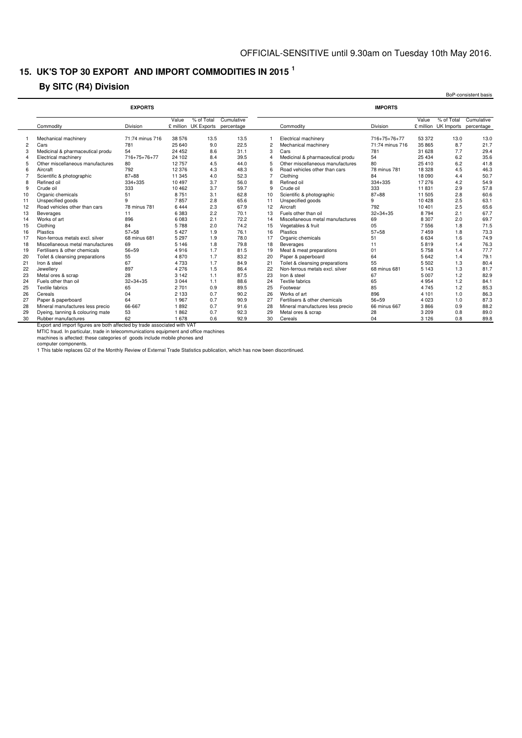### **15. UK'S TOP 30 EXPORT AND IMPORT COMMODITIES IN 2015 <sup>1</sup>**

### **By SITC (R4) Division**

|                |                                  | <b>EXPORTS</b>  |          |                                               |            |                |                                  | <b>IMPORTS</b>  |         |                                    |                          |
|----------------|----------------------------------|-----------------|----------|-----------------------------------------------|------------|----------------|----------------------------------|-----------------|---------|------------------------------------|--------------------------|
|                | Commodity                        | Division        | Value    | % of Total<br>£ million UK Exports percentage | Cumulative |                | Commodity                        | Division        | Value   | % of Total<br>£ million UK Imports | Cumulative<br>percentage |
|                |                                  |                 |          |                                               |            |                |                                  |                 |         |                                    |                          |
|                | Mechanical machinery             | 71:74 minus 716 | 38 576   | 13.5                                          | 13.5       |                | Electrical machinery             | 716+75+76+77    | 53 372  | 13.0                               | 13.0                     |
| $\overline{c}$ | Cars                             | 781             | 25 640   | 9.0                                           | 22.5       | $\overline{c}$ | Mechanical machinery             | 71:74 minus 716 | 35 865  | 8.7                                | 21.7                     |
| 3              | Medicinal & pharmaceutical produ | 54              | 24 45 2  | 8.6                                           | 31.1       | 3              | Cars                             | 781             | 31 628  | 7.7                                | 29.4                     |
| $\overline{4}$ | Electrical machinery             | 716+75+76+77    | 24 102   | 8.4                                           | 39.5       |                | Medicinal & pharmaceutical produ | 54              | 25 4 34 | 6.2                                | 35.6                     |
| 5              | Other miscellaneous manufactures | 80              | 12757    | 4.5                                           | 44.0       |                | Other miscellaneous manufactures | 80              | 25 410  | 6.2                                | 41.8                     |
| 6              | Aircraft                         | 792             | 12 3 76  | 4.3                                           | 48.3       |                | Road vehicles other than cars    | 78 minus 781    | 18 3 28 | 4.5                                | 46.3                     |
|                | Scientific & photographic        | $87 + 88$       | 11 345   | 4.0                                           | 52.3       |                | Clothing                         | 84              | 18 090  | 4.4                                | 50.7                     |
| 8              | Refined oil                      | 334+335         | 10 4 9 7 | 3.7                                           | 56.0       | 8              | Refined oil                      | 334+335         | 17 276  | 4.2                                | 54.9                     |
| 9              | Crude oil                        | 333             | 10 4 62  | 3.7                                           | 59.7       |                | Crude oil                        | 333             | 11831   | 2.9                                | 57.8                     |
| 10             | Organic chemicals                | 51              | 8751     | 3.1                                           | 62.8       | 10             | Scientific & photographic        | $87 + 88$       | 11 505  | 2.8                                | 60.6                     |
| 11             | Unspecified goods                | g               | 7857     | 2.8                                           | 65.6       | 11             | Unspecified goods                | 9               | 10 4 28 | 2.5                                | 63.1                     |
| 12             | Road vehicles other than cars    | 78 minus 781    | 6444     | 2.3                                           | 67.9       | 12             | Aircraft                         | 792             | 10 401  | 2.5                                | 65.6                     |
| 13             | Beverages                        | 11              | 6383     | 2.2                                           | 70.1       | 13             | Fuels other than oil             | $32 + 34 + 35$  | 8794    | 2.1                                | 67.7                     |
| 14             | Works of art                     | 896             | 6083     | 2.1                                           | 72.2       | 14             | Miscellaneous metal manufactures | 69              | 8 3 0 7 | 2.0                                | 69.7                     |
| 15             | Clothing                         | 84              | 5788     | 2.0                                           | 74.2       | 15             | Vegetables & fruit               | 05              | 7 5 5 6 | 1.8                                | 71.5                     |
| 16             | Plastics                         | $57 + 58$       | 5427     | 1.9                                           | 76.1       | 16             | Plastics                         | $57 + 58$       | 7459    | 1.8                                | 73.3                     |
| 17             | Non-ferrous metals excl. silver  | 68 minus 681    | 5 2 9 7  | 1.9                                           | 78.0       | 17             | Organic chemicals                | 51              | 6 6 3 4 | 1.6                                | 74.9                     |
| 18             | Miscellaneous metal manufactures | 69              | 5 1 4 6  | 1.8                                           | 79.8       | 18             | Beverages                        | 11              | 5819    | 1.4                                | 76.3                     |
| 19             | Fertilisers & other chemicals    | $56 + 59$       | 4916     | 1.7                                           | 81.5       | 19             | Meat & meat preparations         | 01              | 5758    | 1.4                                | 77.7                     |
| 20             | Toilet & cleansing preparations  | 55              | 4870     | 1.7                                           | 83.2       | 20             | Paper & paperboard               | 64              | 5 6 4 2 | 1.4                                | 79.1                     |
| 21             | Iron & steel                     | 67              | 4733     | 1.7                                           | 84.9       | 21             | Toilet & cleansing preparations  | 55              | 5 5 0 2 | 1.3                                | 80.4                     |
| 22             | Jewellery                        | 897             | 4 2 7 6  | 1.5                                           | 86.4       | 22             | Non-ferrous metals excl. silver  | 68 minus 681    | 5 1 4 3 | 1.3                                | 81.7                     |
| 23             | Metal ores & scrap               | 28              | 3 1 4 2  | 1.1                                           | 87.5       | 23             | Iron & steel                     | 67              | 5 0 0 7 | 1.2                                | 82.9                     |
| 24             | Fuels other than oil             | $32 + 34 + 35$  | 3 0 4 4  | 1.1                                           | 88.6       | 24             | Textile fabrics                  | 65              | 4 9 5 4 | 1.2                                | 84.1                     |
| 25             | <b>Textile fabrics</b>           | 65              | 2701     | 0.9                                           | 89.5       | 25             | Footwear                         | 85              | 4 7 4 5 | 1.2                                | 85.3                     |
| 26             | Cereals                          | 04              | 2 1 3 3  | 0.7                                           | 90.2       | 26             | Works of art                     | 896             | 4 1 0 1 | 1.0                                | 86.3                     |
| 27             | Paper & paperboard               | 64              | 1967     | 0.7                                           | 90.9       | 27             | Fertilisers & other chemicals    | $56 + 59$       | 4 0 2 3 | 1.0                                | 87.3                     |
| 28             | Mineral manufactures less precio | 66-667          | 1892     | 0.7                                           | 91.6       | 28             | Mineral manufactures less precio | 66 minus 667    | 3866    | 0.9                                | 88.2                     |
| 29             | Dyeing, tanning & colouring mate | 53              | 1862     | 0.7                                           | 92.3       | 29             | Metal ores & scrap               | 28              | 3 2 0 9 | 0.8                                | 89.0                     |
| 30             | Rubber manufactures              | 62              | 1678     | 0.6                                           | 92.9       | 30             | Cereals                          | 04              | 3 1 2 6 | 0.8                                | 89.8                     |

computer components.

1 This table replaces G2 of the Monthly Review of External Trade Statistics publication, which has now been discontinued.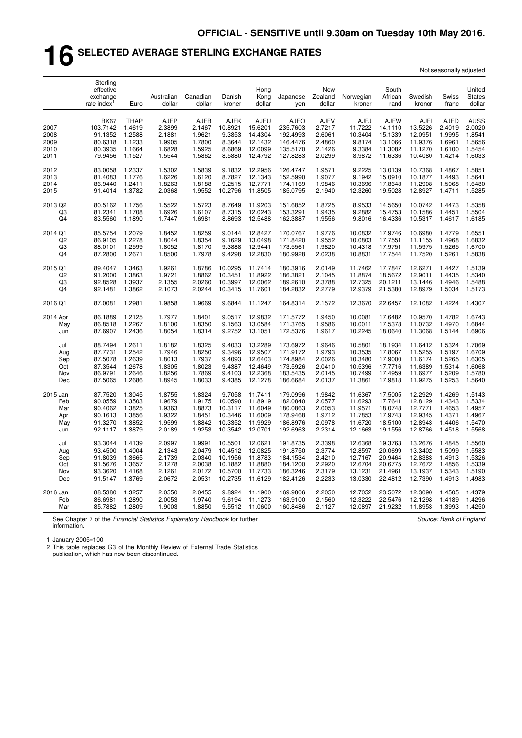# **16 SELECTED AVERAGE STERLING EXCHANGE RATES**

| Not seasonally adjusted |  |
|-------------------------|--|
|-------------------------|--|

|                              | Sterling<br>effective<br>exchange<br>rate index <sup>1</sup> | Euro                                                | Australian<br>dollar                                | Canadian<br>dollar                                  | Danish<br>kroner                                     | Hong<br>Kong<br>dollar                                  | Japanese<br>yen                                             | New<br>Zealand<br>dollar                            | Norwegian<br>kroner                            | South<br>African<br>rand                                | Swedish<br>kronor                                | Swiss<br>franc                                      | United<br><b>States</b><br>dollar                   |
|------------------------------|--------------------------------------------------------------|-----------------------------------------------------|-----------------------------------------------------|-----------------------------------------------------|------------------------------------------------------|---------------------------------------------------------|-------------------------------------------------------------|-----------------------------------------------------|------------------------------------------------|---------------------------------------------------------|--------------------------------------------------|-----------------------------------------------------|-----------------------------------------------------|
| 2007<br>2008<br>2009<br>2010 | <b>BK67</b><br>103.7142<br>91.1352<br>80.6318<br>80.3935     | <b>THAP</b><br>1.4619<br>1.2588<br>1.1233<br>1.1664 | <b>AJFP</b><br>2.3899<br>2.1881<br>1.9905<br>1.6828 | <b>AJFB</b><br>2.1467<br>1.9621<br>1.7800<br>1.5925 | <b>AJFK</b><br>10.8921<br>9.3853<br>8.3644<br>8.6869 | <b>AJFU</b><br>15.6201<br>14.4304<br>12.1432<br>12.0099 | <b>AJFO</b><br>235.7603<br>192.4993<br>146.4476<br>135.5170 | <b>AJFV</b><br>2.7217<br>2.6061<br>2.4860<br>2.1426 | AJFJ<br>11.7222<br>10.3404<br>9.8174<br>9.3384 | <b>AJFW</b><br>14.1110<br>15.1339<br>13.1066<br>11.3082 | AJFI<br>13.5226<br>12.0951<br>11.9376<br>11.1270 | <b>AJFD</b><br>2.4019<br>1.9995<br>1.6961<br>1.6100 | <b>AUSS</b><br>2.0020<br>1.8541<br>1.5656<br>1.5454 |
| 2011                         | 79.9456                                                      | 1.1527                                              | 1.5544                                              | 1.5862                                              | 8.5880                                               | 12.4792                                                 | 127.8283                                                    | 2.0299                                              | 8.9872                                         | 11.6336                                                 | 10.4080                                          | 1.4214                                              | 1.6033                                              |
| 2012                         | 83.0058                                                      | 1.2337                                              | 1.5302                                              | 1.5839                                              | 9.1832                                               | 12.2956                                                 | 126.4747                                                    | 1.9571                                              | 9.2225                                         | 13.0139                                                 | 10.7368                                          | 1.4867                                              | 1.5851                                              |
| 2013                         | 81.4083                                                      | 1.1776                                              | 1.6226                                              | 1.6120                                              | 8.7827                                               | 12.1343                                                 | 152.5990                                                    | 1.9077                                              | 9.1942                                         | 15.0910                                                 | 10.1877                                          | 1.4493                                              | 1.5641                                              |
| 2014                         | 86.9440                                                      | 1.2411                                              | 1.8263                                              | 1.8188                                              | 9.2515                                               | 12.7771                                                 | 174.1169                                                    | 1.9846                                              | 10.3696                                        | 17.8648                                                 | 11.2908                                          | 1.5068                                              | 1.6480                                              |
| 2015                         | 91.4014                                                      | 1.3782                                              | 2.0368                                              | 1.9552                                              | 10.2796                                              | 11.8505                                                 | 185.0795                                                    | 2.1940                                              | 12.3260                                        | 19.5028                                                 | 12.8927                                          | 1.4711                                              | 1.5285                                              |
| 2013 Q2                      | 80.5162                                                      | 1.1756                                              | 1.5522                                              | 1.5723                                              | 8.7649                                               | 11.9203                                                 | 151.6852                                                    | 1.8725                                              | 8.9533                                         | 14.5650                                                 | 10.0742                                          | 1.4473                                              | 1.5358                                              |
| Q3                           | 81.2341                                                      | 1.1708                                              | 1.6926                                              | 1.6107                                              | 8.7315                                               | 12.0243                                                 | 153.3291                                                    | 1.9435                                              | 9.2882                                         | 15.4753                                                 | 10.1586                                          | 1.4451                                              | 1.5504                                              |
| Q <sub>4</sub>               | 83.5560                                                      | 1.1890                                              | 1.7447                                              | 1.6981                                              | 8.8693                                               | 12.5488                                                 | 162.3887                                                    | 1.9556                                              | 9.8016                                         | 16.4336                                                 | 10.5317                                          | 1.4617                                              | 1.6185                                              |
| 2014 Q1                      | 85.5754                                                      | 1.2079                                              | 1.8452                                              | 1.8259                                              | 9.0144                                               | 12.8427                                                 | 170.0767                                                    | 1.9776                                              | 10.0832                                        | 17.9746                                                 | 10.6980                                          | 1.4779                                              | 1.6551                                              |
| Q <sub>2</sub>               | 86.9105                                                      | 1.2278                                              | 1.8044                                              | 1.8354                                              | 9.1629                                               | 13.0498                                                 | 171.8420                                                    | 1.9552                                              | 10.0803                                        | 17.7551                                                 | 11.1155                                          | 1.4968                                              | 1.6832                                              |
| Q <sub>3</sub>               | 88.0101                                                      | 1.2599                                              | 1.8052                                              | 1.8170                                              | 9.3888                                               | 12.9441                                                 | 173.5561                                                    | 1.9820                                              | 10.4318                                        | 17.9751                                                 | 11.5975                                          | 1.5265                                              | 1.6700                                              |
| Q <sub>4</sub>               | 87.2800                                                      | 1.2671                                              | 1.8500                                              | 1.7978                                              | 9.4298                                               | 12.2830                                                 | 180.9928                                                    | 2.0238                                              | 10.8831                                        | 17.7544                                                 | 11.7520                                          | 1.5261                                              | 1.5838                                              |
| 2015 Q1                      | 89.4047                                                      | 1.3463                                              | 1.9261                                              | 1.8786                                              | 10.0295                                              | 11.7414                                                 | 180.3916                                                    | 2.0149                                              | 11.7462                                        | 17.7847                                                 | 12.6271                                          | 1.4427                                              | 1.5139                                              |
| Q <sub>2</sub>               | 91.2000                                                      | 1.3863                                              | 1.9721                                              | 1.8862                                              | 10.3451                                              | 11.8922                                                 | 186.3821                                                    | 2.1045                                              | 11.8874                                        | 18.5672                                                 | 12.9011                                          | 1.4435                                              | 1.5340                                              |
| Q <sub>3</sub>               | 92.8528                                                      | 1.3937                                              | 2.1355                                              | 2.0260                                              | 10.3997                                              | 12.0062                                                 | 189.2610                                                    | 2.3788                                              | 12.7325                                        | 20.1211                                                 | 13.1446                                          | 1.4946                                              | 1.5488                                              |
| Q <sub>4</sub>               | 92.1481                                                      | 1.3862                                              | 2.1073                                              | 2.0244                                              | 10.3415                                              | 11.7601                                                 | 184.2832                                                    | 2.2779                                              | 12.9379                                        | 21.5380                                                 | 12.8979                                          | 1.5034                                              | 1.5173                                              |
| 2016 Q1                      | 87.0081                                                      | 1.2981                                              | 1.9858                                              | 1.9669                                              | 9.6844                                               | 11.1247                                                 | 164.8314                                                    | 2.1572                                              | 12.3670                                        | 22.6457                                                 | 12.1082                                          | 1.4224                                              | 1.4307                                              |
| 2014 Apr                     | 86.1889                                                      | 1.2125                                              | 1.7977                                              | 1.8401                                              | 9.0517                                               | 12.9832                                                 | 171.5772                                                    | 1.9450                                              | 10.0081                                        | 17.6482                                                 | 10.9570                                          | 1.4782                                              | 1.6743                                              |
| May                          | 86.8518                                                      | 1.2267                                              | 1.8100                                              | 1.8350                                              | 9.1563                                               | 13.0584                                                 | 171.3765                                                    | 1.9586                                              | 10.0011                                        | 17.5378                                                 | 11.0732                                          | 1.4970                                              | 1.6844                                              |
| Jun                          | 87.6907                                                      | 1.2436                                              | 1.8054                                              | 1.8314                                              | 9.2752                                               | 13.1051                                                 | 172.5376                                                    | 1.9617                                              | 10.2245                                        | 18.0640                                                 | 11.3068                                          | 1.5144                                              | 1.6906                                              |
| Jul                          | 88.7494                                                      | 1.2611                                              | 1.8182                                              | 1.8325                                              | 9.4033                                               | 13.2289                                                 | 173.6972                                                    | 1.9646                                              | 10.5801                                        | 18.1934                                                 | 11.6412                                          | 1.5324                                              | 1.7069                                              |
| Aug                          | 87.7731                                                      | 1.2542                                              | 1.7946                                              | 1.8250                                              | 9.3496                                               | 12.9507                                                 | 171.9172                                                    | 1.9793                                              | 10.3535                                        | 17.8067                                                 | 11.5255                                          | 1.5197                                              | 1.6709                                              |
| Sep                          | 87.5078                                                      | 1.2639                                              | 1.8013                                              | 1.7937                                              | 9.4093                                               | 12.6403                                                 | 174.8984                                                    | 2.0026                                              | 10.3480                                        | 17.9000                                                 | 11.6174                                          | 1.5265                                              | 1.6305                                              |
| Oct                          | 87.3544                                                      | 1.2678                                              | 1.8305                                              | 1.8023                                              | 9.4387                                               | 12.4649                                                 | 173.5926                                                    | 2.0410                                              | 10.5396                                        | 17.7716                                                 | 11.6389                                          | 1.5314                                              | 1.6068                                              |
| Nov                          | 86.9791                                                      | 1.2646                                              | 1.8256                                              | 1.7869                                              | 9.4103                                               | 12.2368                                                 | 183.5435                                                    | 2.0145                                              | 10.7499                                        | 17.4959                                                 | 11.6977                                          | 1.5209                                              | 1.5780                                              |
| Dec                          | 87.5065                                                      | 1.2686                                              | 1.8945                                              | 1.8033                                              | 9.4385                                               | 12.1278                                                 | 186.6684                                                    | 2.0137                                              | 11.3861                                        | 17.9818                                                 | 11.9275                                          | 1.5253                                              | 1.5640                                              |
| 2015 Jan                     | 87.7520                                                      | 1.3045                                              | 1.8755                                              | 1.8324                                              | 9.7058                                               | 11.7411                                                 | 179.0996                                                    | 1.9842                                              | 11.6367                                        | 17.5005                                                 | 12.2929                                          | 1.4269                                              | 1.5143                                              |
| Feb                          | 90.0559                                                      | 1.3503                                              | 1.9679                                              | 1.9175                                              | 10.0590                                              | 11.8919                                                 | 182.0840                                                    | 2.0577                                              | 11.6293                                        | 17.7641                                                 | 12.8129                                          | 1.4343                                              | 1.5334                                              |
| Mar                          | 90.4062                                                      | 1.3825                                              | 1.9363                                              | 1.8873                                              | 10.3117                                              | 11.6049                                                 | 180.0863                                                    | 2.0053                                              | 11.9571                                        | 18.0748                                                 | 12.7771                                          | 1.4653                                              | 1.4957                                              |
| Apr                          | 90.1613                                                      | 1.3856                                              | 1.9322                                              | 1.8451                                              | 10.3446                                              | 11.6009                                                 | 178.9468                                                    | 1.9712                                              | 11.7853                                        | 17.9743                                                 | 12.9345                                          | 1.4371                                              | 1.4967                                              |
| May                          | 91.3270                                                      | 1.3852                                              | 1.9599                                              | 1.8842                                              | 10.3352                                              | 11.9929                                                 | 186.8976                                                    | 2.0978                                              | 11.6720                                        | 18.5100                                                 | 12.8943                                          | 1.4406                                              | 1.5470                                              |
| Jun                          | 92.1117                                                      | 1.3879                                              | 2.0189                                              | 1.9253                                              | 10.3542                                              | 12.0701                                                 | 192.6963                                                    | 2.2314                                              | 12.1663                                        | 19.1556                                                 | 12.8766                                          | 1.4518                                              | 1.5568                                              |
| Jul                          | 93.3044                                                      | 1.4139                                              | 2.0997                                              | 1.9991                                              | 10.5501                                              | 12.0621                                                 | 191.8735                                                    | 2.3398                                              | 12.6368                                        | 19.3763                                                 | 13.2676                                          | 1.4845                                              | 1.5560                                              |
| Aug                          | 93.4500                                                      | 1.4004                                              | 2.1343                                              | 2.0479                                              | 10.4512                                              | 12.0825                                                 | 191.8750                                                    | 2.3774                                              | 12.8597                                        | 20.0699                                                 | 13.3402                                          | 1.5099                                              | 1.5583                                              |
| Sep                          | 91.8039                                                      | 1.3665                                              | 2.1739                                              | 2.0340                                              | 10.1956                                              | 11.8783                                                 | 184.1534                                                    | 2.4210                                              | 12.7167                                        | 20.9464                                                 | 12.8383                                          | 1.4913                                              | 1.5326                                              |
| Oct                          | 91.5676                                                      | 1.3657                                              | 2.1278                                              | 2.0038                                              | 10.1882                                              | 11.8880                                                 | 184.1200                                                    | 2.2920                                              | 12.6704                                        | 20.6775                                                 | 12.7672                                          | 1.4856                                              | 1.5339                                              |
| Nov                          | 93.3620                                                      | 1.4168                                              | 2.1261                                              | 2.0172                                              | 10.5700                                              | 11.7733                                                 | 186.3246                                                    | 2.3179                                              | 13.1231                                        | 21.4961                                                 | 13.1937                                          | 1.5343                                              | 1.5190                                              |
| Dec                          | 91.5147                                                      | 1.3769                                              | 2.0672                                              | 2.0531                                              | 10.2735                                              | 11.6129                                                 | 182.4126                                                    | 2.2233                                              | 13.0330                                        | 22.4812                                                 | 12.7390                                          | 1.4913                                              | 1.4983                                              |
| 2016 Jan                     | 88.5380                                                      | 1.3257                                              | 2.0550                                              | 2.0455                                              | 9.8924                                               | 11.1900                                                 | 169.9806                                                    | 2.2050                                              | 12.7052                                        | 23.5072                                                 | 12.3090                                          | 1.4505                                              | 1.4379                                              |
| Feb                          | 86.6981                                                      | 1.2890                                              | 2.0053                                              | 1.9740                                              | 9.6194                                               | 11.1273                                                 | 163.9100                                                    | 2.1560                                              | 12.3222                                        | 22.5476                                                 | 12.1298                                          | 1.4189                                              | 1.4296                                              |
| Mar                          | 85.7882                                                      | 1.2809                                              | 1.9003                                              | 1.8850                                              | 9.5512                                               | 11.0600                                                 | 160.8486                                                    | 2.1127                                              | 12.0897                                        | 21.9232                                                 | 11.8953                                          | 1.3993                                              | 1.4250                                              |

See Chapter 7 of the *Financial Statistics Explanatory Handbook* for further information.

*Source: Bank of England*

1 January 2005=100

2 This table replaces G3 of the Monthly Review of External Trade Statistics publication, which has now been discontinued.